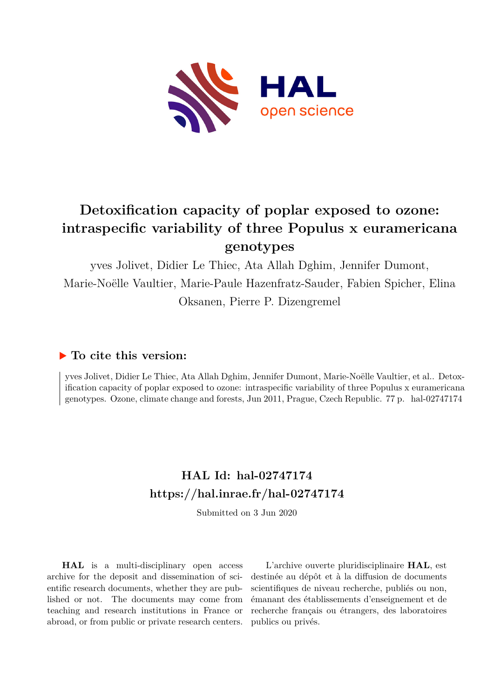

# **Detoxification capacity of poplar exposed to ozone: intraspecific variability of three Populus x euramericana genotypes**

yves Jolivet, Didier Le Thiec, Ata Allah Dghim, Jennifer Dumont, Marie-Noëlle Vaultier, Marie-Paule Hazenfratz-Sauder, Fabien Spicher, Elina Oksanen, Pierre P. Dizengremel

# **To cite this version:**

yves Jolivet, Didier Le Thiec, Ata Allah Dghim, Jennifer Dumont, Marie-Noëlle Vaultier, et al.. Detoxification capacity of poplar exposed to ozone: intraspecific variability of three Populus x euramericana genotypes. Ozone, climate change and forests, Jun 2011, Prague, Czech Republic. 77 p. hal-02747174

# **HAL Id: hal-02747174 <https://hal.inrae.fr/hal-02747174>**

Submitted on 3 Jun 2020

**HAL** is a multi-disciplinary open access archive for the deposit and dissemination of scientific research documents, whether they are published or not. The documents may come from teaching and research institutions in France or abroad, or from public or private research centers.

L'archive ouverte pluridisciplinaire **HAL**, est destinée au dépôt et à la diffusion de documents scientifiques de niveau recherche, publiés ou non, émanant des établissements d'enseignement et de recherche français ou étrangers, des laboratoires publics ou privés.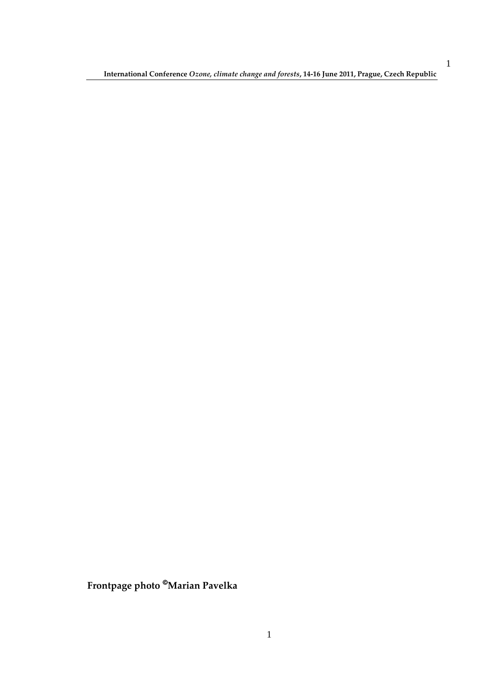**International Conference** *Ozone, climate change and forests***, 14-16 June 2011, Prague, Czech Republic** 

**Frontpage photo Marian Pavelka**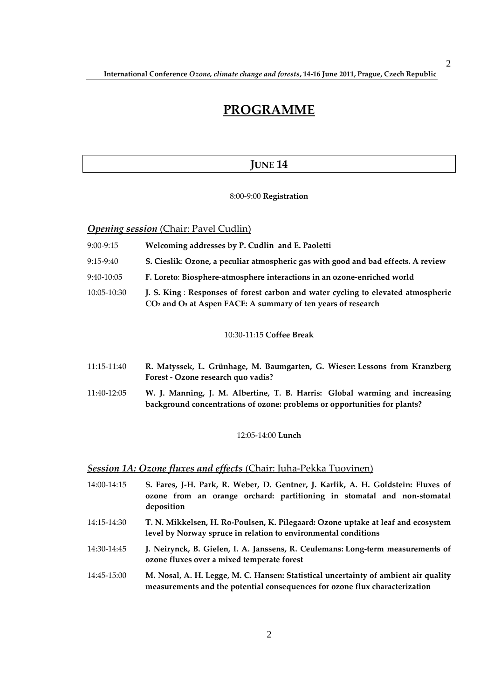# **PROGRAMME**

## **JUNE 14**

### 8:00-9:00 **Registration**

**Opening session** (Chair: Pavel Cudlin)

| $9:00-9:15$ | Welcoming addresses by P. Cudlin and E. Paoletti                                                                                                     |
|-------------|------------------------------------------------------------------------------------------------------------------------------------------------------|
| $9:15-9:40$ | S. Cieslik: Ozone, a peculiar atmospheric gas with good and bad effects. A review                                                                    |
| 9:40-10:05  | F. Loreto: Biosphere-atmosphere interactions in an ozone-enriched world                                                                              |
| 10:05-10:30 | J. S. King: Responses of forest carbon and water cycling to elevated atmospheric<br>$CO2$ and $O3$ at Aspen FACE: A summary of ten years of research |

#### 10:30-11:15 **Coffee Break**

- 11:15-11:40 **R. Matyssek, L. Grünhage, M. Baumgarten, G. Wieser: Lessons from Kranzberg Forest - Ozone research quo vadis?**
- 11:40-12:05 **W. J. Manning, J. M. Albertine, T. B. Harris: Global warming and increasing background concentrations of ozone: problems or opportunities for plants?**

#### 12:05-14:00 **Lunch**

## *Session 1A: Ozone fluxes and effects* (Chair: Juha-Pekka Tuovinen)

- 14:00-14:15 **S. Fares, J-H. Park, R. Weber, D. Gentner, J. Karlik, A. H. Goldstein: Fluxes of ozone from an orange orchard: partitioning in stomatal and non-stomatal deposition**
- 14:15-14:30 **T. N. Mikkelsen, H. Ro-Poulsen, K. Pilegaard: Ozone uptake at leaf and ecosystem level by Norway spruce in relation to environmental conditions**
- 14:30-14:45 **J. Neirynck, B. Gielen, I. A. Janssens, R. Ceulemans: Long-term measurements of ozone fluxes over a mixed temperate forest**

## 14:45-15:00 **M. Nosal, A. H. Legge, M. C. Hansen: Statistical uncertainty of ambient air quality measurements and the potential consequences for ozone flux characterization**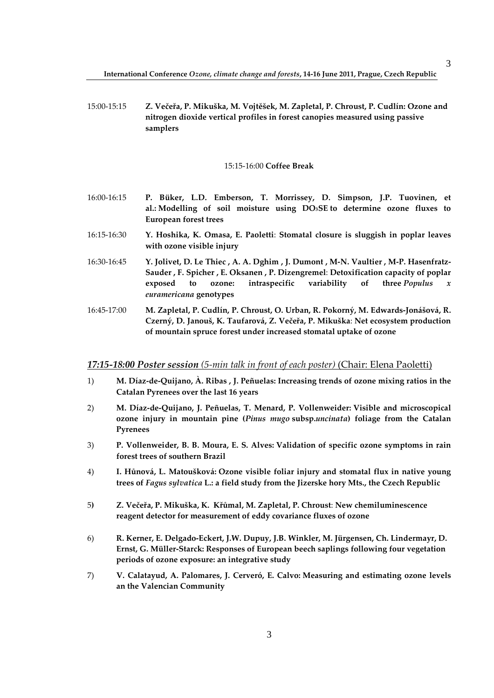15:00-15:15 **Z. Večeřa, P. Mikuška, M. Vojtěšek, M. Zapletal, P. Chroust, P. Cudlín: Ozone and nitrogen dioxide vertical profiles in forest canopies measured using passive samplers** 

#### 15:15-16:00 **Coffee Break**

- 16:00-16:15 **P. Büker, L.D. Emberson, T. Morrissey, D. Simpson, J.P. Tuovinen, et al.: Modelling of soil moisture using DO3SE to determine ozone fluxes to European forest trees**
- 16:15-16:30 **Y. Hoshika, K. Omasa, E. Paoletti**: **Stomatal closure is sluggish in poplar leaves with ozone visible injury**
- 16:30-16:45 **Y. Jolivet, D. Le Thiec , A. A. Dghim , J. Dumont , M-N. Vaultier , M-P. Hasenfratz-Sauder , F. Spicher , E. Oksanen , P. Dizengremel**: **Detoxification capacity of poplar exposed to ozone: intraspecific variability of three** *Populus x euramericana* **genotypes**
- 16:45-17:00 **M. Zapletal, P. Cudlín, P. Chroust, O. Urban, R. Pokorný, M. Edwards-Jonášová, R. Czerný, D. Janouš, K. Taufarová, Z. Večeřa, P. Mikuška**: **Net ecosystem production of mountain spruce forest under increased stomatal uptake of ozone**

#### *17:15-18:00 Poster session (5-min talk in front of each poster)* (Chair: Elena Paoletti)

- 1) **M. Díaz-de-Quijano, À. Ribas , J. Peñuelas: Increasing trends of ozone mixing ratios in the Catalan Pyrenees over the last 16 years**
- 2) **M. Díaz-de-Quijano, J. Peñuelas, T. Menard, P. Vollenweider: Visible and microscopical ozone injury in mountain pine (***Pinus mugo* **subsp.***uncinata***) foliage from the Catalan Pyrenees**
- 3) **P. Vollenweider, B. B. Moura, E. S. Alves: Validation of specific ozone symptoms in rain forest trees of southern Brazil**
- 4) **I. Hůnová, L. Matoušková: Ozone visible foliar injury and stomatal flux in native young trees of** *Fagus sylvatica* **L.: a field study from the Jizerske hory Mts., the Czech Republic**
- 5**) Z. Večeřa, P. Mikuška, K. Křůmal, M. Zapletal, P. Chroust**: **New chemiluminescence reagent detector for measurement of eddy covariance fluxes of ozone**
- 6) **R. Kerner, E. Delgado-Eckert, J.W. Dupuy, J.B. Winkler, M. Jürgensen, Ch. Lindermayr, D. Ernst, G. Müller-Starck: Responses of European beech saplings following four vegetation periods of ozone exposure: an integrative study**
- 7) **V. Calatayud, A. Palomares, J. Cerveró, E. Calvo: Measuring and estimating ozone levels an the Valencian Community**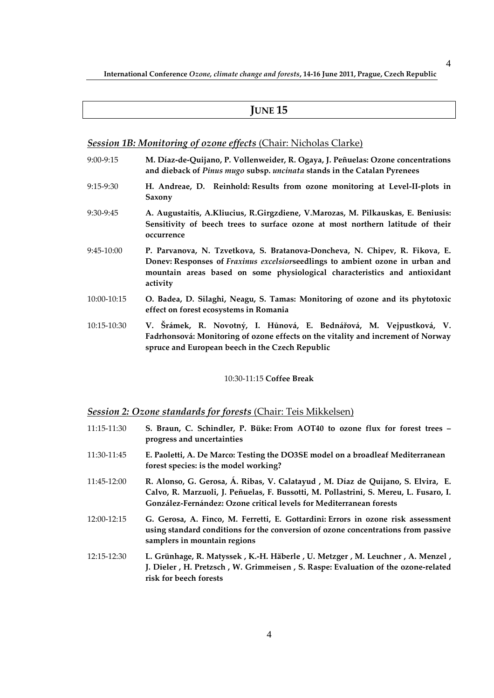## **JUNE 15**

## *Session 1B: Monitoring of ozone effects* (Chair: Nicholas Clarke)

- 9:00-9:15 **M. Díaz-de-Quijano, P. Vollenweider, R. Ogaya, J. Peñuelas: Ozone concentrations and dieback of** *Pinus mugo* **subsp.** *uncinata* **stands in the Catalan Pyrenees**
- 9:15-9:30 **H. Andreae, D. Reinhold: Results from ozone monitoring at Level-II-plots in Saxony**
- 9:30-9:45 **A. Augustaitis, A.Kliucius, R.Girgzdiene, V.Marozas, M. Pilkauskas, E. Beniusis: Sensitivity of beech trees to surface ozone at most northern latitude of their occurrence**
- 9:45-10:00 **P. Parvanova, N. Tzvetkova, S. Bratanova-Doncheva, N. Chipev, R. Fikova, E. Donev: Responses of** *Fraxinus excelsior***seedlings to ambient ozone in urban and mountain areas based on some physiological characteristics and antioxidant activity**
- 10:00-10:15 **O. Badea, D. Silaghi, Neagu, S. Tamas: Monitoring of ozone and its phytotoxic effect on forest ecosystems in Romania**
- 10:15-10:30 **V. Šrámek, R. Novotný, I. Hůnová, E. Bednářová, M. Vejpustková, V. Fadrhonsová: Monitoring of ozone effects on the vitality and increment of Norway spruce and European beech in the Czech Republic**

#### 10:30-11:15 **Coffee Break**

## *Session 2: Ozone standards for forests* (Chair: Teis Mikkelsen)

11:15-11:30 **S. Braun, C. Schindler, P. Büke: From AOT40 to ozone flux for forest trees – progress and uncertainties** 11:30-11:45 **E. Paoletti, A. De Marco: Testing the DO3SE model on a broadleaf Mediterranean forest species: is the model working?**  11:45-12:00 **R. Alonso, G. Gerosa, Á. Ribas, V. Calatayud , M. Díaz de Quijano, S. Elvira, E. Calvo, R. Marzuoli, J. Peñuelas, F. Bussotti, M. Pollastrini, S. Mereu, L. Fusaro, I. González-Fernández: Ozone critical levels for Mediterranean forests** 12:00-12:15 **G. Gerosa, A. Finco, M. Ferretti, E. Gottardini: Errors in ozone risk assessment using standard conditions for the conversion of ozone concentrations from passive samplers in mountain regions** 12:15-12:30 **L. Grünhage, R. Matyssek , K.-H. Häberle , U. Metzger , M. Leuchner , A. Menzel , J. Dieler , H. Pretzsch , W. Grimmeisen , S. Raspe: Evaluation of the ozone-related risk for beech forests**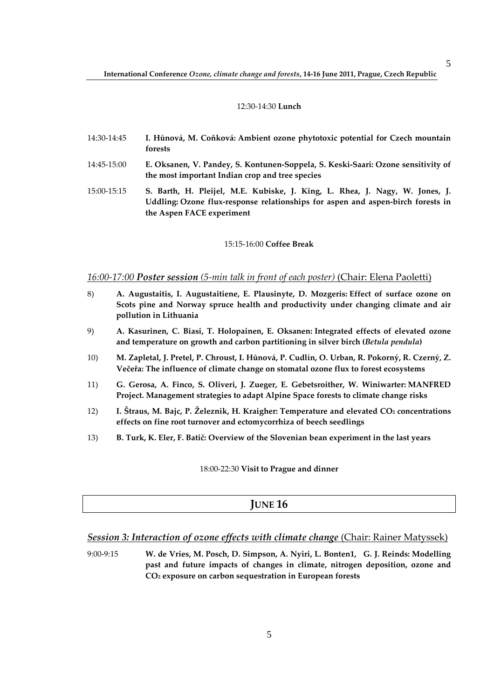### 12:30-14:30 **Lunch**

- 14:30-14:45 **I. Hůnová, M. Coňková: Ambient ozone phytotoxic potential for Czech mountain forests**
- 14:45-15:00 **E. Oksanen, V. Pandey, S. Kontunen-Soppela, S. Keski-Saari: Ozone sensitivity of the most important Indian crop and tree species**
- 15:00-15:15 **S. Barth, H. Pleijel, M.E. Kubiske, J. King, L. Rhea, J. Nagy, W. Jones, J. Uddling: Ozone flux-response relationships for aspen and aspen-birch forests in the Aspen FACE experiment**

#### 15:15-16:00 **Coffee Break**

## *16:00-17:00 Poster session (5-min talk in front of each poster)* (Chair: Elena Paoletti)

- 8) **A. Augustaitis, I. Augustaitiene, E. Plausinyte, D. Mozgeris: Effect of surface ozone on Scots pine and Norway spruce health and productivity under changing climate and air pollution in Lithuania**
- 9) **A. Kasurinen, C. Biasi, T. Holopainen, E. Oksanen: Integrated effects of elevated ozone and temperature on growth and carbon partitioning in silver birch (***Betula pendula***)**
- 10) **M. Zapletal, J. Pretel, P. Chroust, I. Hůnová, P. Cudlín, O. Urban, R. Pokorný, R. Czerný, Z. Večeřa: The influence of climate change on stomatal ozone flux to forest ecosystems**
- 11) **G. Gerosa, A. Finco, S. Oliveri, J. Zueger, E. Gebetsroither, W. Winiwarter: MANFRED Project. Management strategies to adapt Alpine Space forests to climate change risks**
- 12) **I. Štraus, M. Bajc, P. Železnik, H. Kraigher: Temperature and elevated CO2 concentrations effects on fine root turnover and ectomycorrhiza of beech seedlings**
- 13) **B. Turk, K. Eler, F. Batič: Overview of the Slovenian bean experiment in the last years**

18:00-22:30 **Visit to Prague and dinner**

## **JUNE 16**

## **Session 3: Interaction of ozone effects with climate change (Chair: Rainer Matyssek)**

9:00-9:15 **W. de Vries, M. Posch, D. Simpson, A. Nyiri, L. Bonten1, G. J. Reinds: Modelling past and future impacts of changes in climate, nitrogen deposition, ozone and CO2 exposure on carbon sequestration in European forests**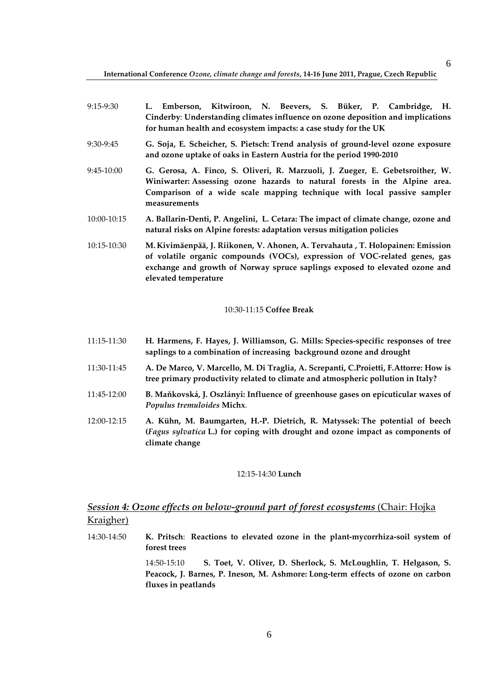| 9:15-9:30   | Emberson, Kitwiroon, N. Beevers, S. Büker, P. Cambridge, H.                                                                                                                                                                                                          |
|-------------|----------------------------------------------------------------------------------------------------------------------------------------------------------------------------------------------------------------------------------------------------------------------|
|             | Cinderby: Understanding climates influence on ozone deposition and implications<br>for human health and ecosystem impacts: a case study for the UK                                                                                                                   |
| 9:30-9:45   | G. Soja, E. Scheicher, S. Pietsch: Trend analysis of ground-level ozone exposure<br>and ozone uptake of oaks in Eastern Austria for the period 1990-2010                                                                                                             |
| 9:45-10:00  | G. Gerosa, A. Finco, S. Oliveri, R. Marzuoli, J. Zueger, E. Gebetsroither, W.<br>Winiwarter: Assessing ozone hazards to natural forests in the Alpine area.<br>Comparison of a wide scale mapping technique with local passive sampler<br>measurements               |
| 10:00-10:15 | A. Ballarin-Denti, P. Angelini, L. Cetara: The impact of climate change, ozone and<br>natural risks on Alpine forests: adaptation versus mitigation policies                                                                                                         |
| 10:15-10:30 | M. Kivimäenpää, J. Riikonen, V. Ahonen, A. Tervahauta , T. Holopainen: Emission<br>of volatile organic compounds (VOCs), expression of VOC-related genes, gas<br>exchange and growth of Norway spruce saplings exposed to elevated ozone and<br>elevated temperature |

### 10:30-11:15 **Coffee Break**

- 11:15-11:30 **H. Harmens, F. Hayes, J. Williamson, G. Mills: Species-specific responses of tree saplings to a combination of increasing background ozone and drought**
- 11:30-11:45 **A. De Marco, V. Marcello, M. Di Traglia, A. Screpanti, C.Proietti, F.Attorre: How is tree primary productivity related to climate and atmospheric pollution in Italy?**
- 11:45-12:00 **B. Maňkovská, J. Oszlányi: Influence of greenhouse gases on epicuticular waxes of**  *Populus tremuloides* **Michx**.
- 12:00-12:15 **A. Kühn, M. Baumgarten, H.-P. Dietrich, R. Matyssek: The potential of beech (***Fagus sylvatica* **L.) for coping with drought and ozone impact as components of climate change**

#### 12:15-14:30 **Lunch**

# *Session 4: Ozone effects on below-ground part of forest ecosystems* (Chair: Hojka Kraigher)

14:30-14:50 **K. Pritsch**: **Reactions to elevated ozone in the plant-mycorrhiza-soil system of forest trees**

> 14:50-15:10 **S. Toet, V. Oliver, D. Sherlock, S. McLoughlin, T. Helgason, S. Peacock, J. Barnes, P. Ineson, M. Ashmore: Long-term effects of ozone on carbon fluxes in peatlands**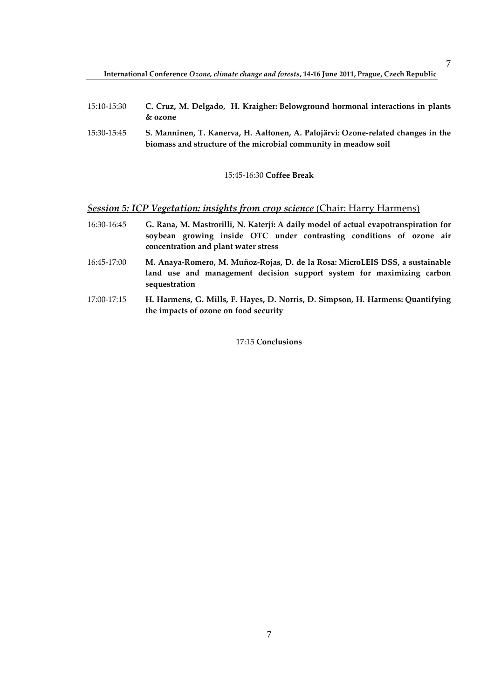- 15:10-15:30 **C. Cruz, M. Delgado, H. Kraigher: Belowground hormonal interactions in plants & ozone**
- 15:30-15:45 **S. Manninen, T. Kanerva, H. Aaltonen, A. Palojärvi: Ozone-related changes in the biomass and structure of the microbial community in meadow soil**

## 15:45-16:30 **Coffee Break**

## *Session 5: ICP Vegetation: insights from crop science* (Chair: Harry Harmens)

- 16:30-16:45 **G. Rana, M. Mastrorilli, N. Katerji: A daily model of actual evapotranspiration for soybean growing inside OTC under contrasting conditions of ozone air concentration and plant water stress**
- 16:45-17:00 **M. Anaya-Romero, M. Muñoz-Rojas, D. de la Rosa: MicroLEIS DSS, a sustainable land use and management decision support system for maximizing carbon sequestration**
- 17:00-17:15 **H. Harmens, G. Mills, F. Hayes, D. Norris, D. Simpson, H. Harmens: Quantifying the impacts of ozone on food security**

17:15 **Conclusions**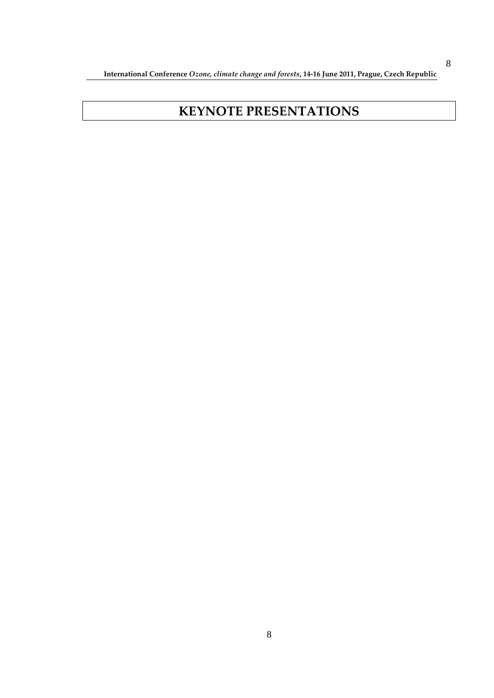**International Conference** *Ozone, climate change and forests***, 14-16 June 2011, Prague, Czech Republic** 

# **KEYNOTE PRESENTATIONS**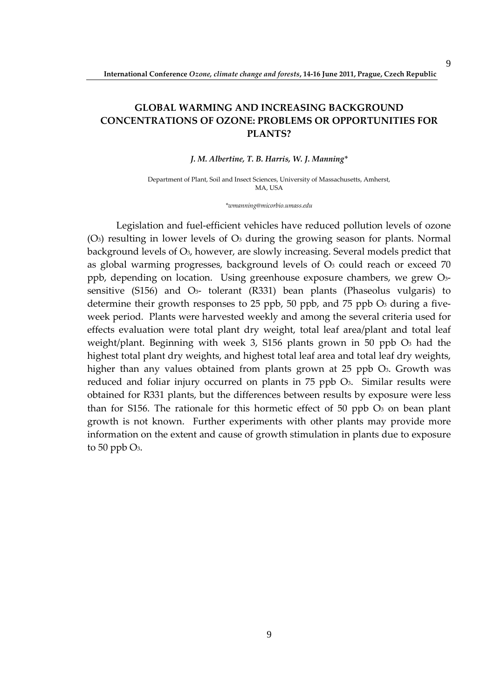# **GLOBAL WARMING AND INCREASING BACKGROUND CONCENTRATIONS OF OZONE: PROBLEMS OR OPPORTUNITIES FOR**

## **PLANTS?**

## *J. M. Albertine, T. B. Harris, W. J. Manning\**

Department of Plant, Soil and Insect Sciences, University of Massachusetts, Amherst, MA, USA

*\*wmanning@micorbio.umass.edu* 

Legislation and fuel-efficient vehicles have reduced pollution levels of ozone  $(O<sub>3</sub>)$  resulting in lower levels of  $O<sub>3</sub>$  during the growing season for plants. Normal background levels of O3, however, are slowly increasing. Several models predict that as global warming progresses, background levels of  $O<sub>3</sub>$  could reach or exceed 70 ppb, depending on location. Using greenhouse exposure chambers, we grew O3 sensitive  $(S156)$  and  $O<sub>3</sub>$ - tolerant  $(R331)$  bean plants (Phaseolus vulgaris) to determine their growth responses to 25 ppb, 50 ppb, and 75 ppb  $O<sub>3</sub>$  during a fiveweek period. Plants were harvested weekly and among the several criteria used for effects evaluation were total plant dry weight, total leaf area/plant and total leaf weight/plant. Beginning with week 3, S156 plants grown in 50 ppb O3 had the highest total plant dry weights, and highest total leaf area and total leaf dry weights, higher than any values obtained from plants grown at 25 ppb O<sub>3</sub>. Growth was reduced and foliar injury occurred on plants in 75 ppb O<sub>3</sub>. Similar results were obtained for R331 plants, but the differences between results by exposure were less than for S156. The rationale for this hormetic effect of 50 ppb  $O_3$  on bean plant growth is not known. Further experiments with other plants may provide more information on the extent and cause of growth stimulation in plants due to exposure to 50 ppb  $O_3$ .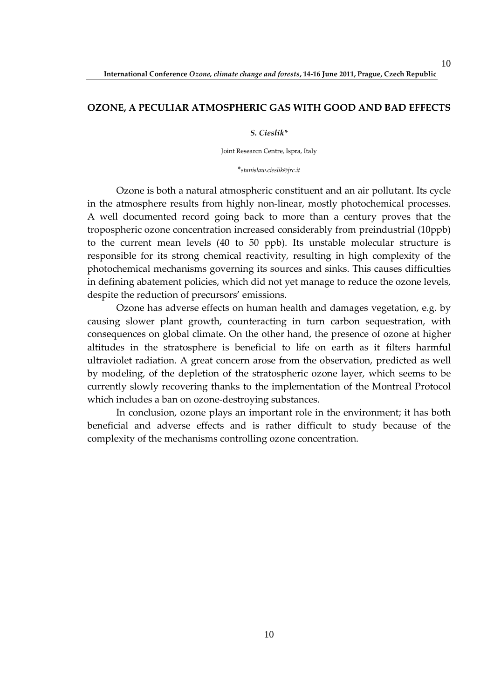## **OZONE, A PECULIAR ATMOSPHERIC GAS WITH GOOD AND BAD EFFECTS**

## *S. Cieslik\**

Joint Researcn Centre, Ispra, Italy

\**stanislaw.cieslik@jrc.it* 

Ozone is both a natural atmospheric constituent and an air pollutant. Its cycle in the atmosphere results from highly non-linear, mostly photochemical processes. A well documented record going back to more than a century proves that the tropospheric ozone concentration increased considerably from preindustrial (10ppb) to the current mean levels (40 to 50 ppb). Its unstable molecular structure is responsible for its strong chemical reactivity, resulting in high complexity of the photochemical mechanisms governing its sources and sinks. This causes difficulties in defining abatement policies, which did not yet manage to reduce the ozone levels, despite the reduction of precursors' emissions.

Ozone has adverse effects on human health and damages vegetation, e.g. by causing slower plant growth, counteracting in turn carbon sequestration, with consequences on global climate. On the other hand, the presence of ozone at higher altitudes in the stratosphere is beneficial to life on earth as it filters harmful ultraviolet radiation. A great concern arose from the observation, predicted as well by modeling, of the depletion of the stratospheric ozone layer, which seems to be currently slowly recovering thanks to the implementation of the Montreal Protocol which includes a ban on ozone-destroying substances.

In conclusion, ozone plays an important role in the environment; it has both beneficial and adverse effects and is rather difficult to study because of the complexity of the mechanisms controlling ozone concentration.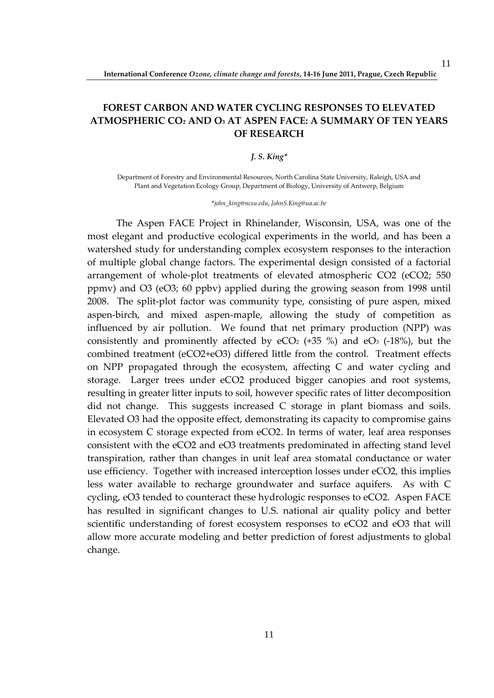# **FOREST CARBON AND WATER CYCLING RESPONSES TO ELEVATED ATMOSPHERIC CO2 AND O3 AT ASPEN FACE: A SUMMARY OF TEN YEARS OF RESEARCH**

## *J. S. King\**

Department of Forestry and Environmental Resources, North Carolina State University, Raleigh, USA and Plant and Vegetation Ecology Group, Department of Biology, University of Antwerp, Belgium

\**john\_king@ncsu.edu*, *JohnS.King@ua.ac.be*

The Aspen FACE Project in Rhinelander, Wisconsin, USA, was one of the most elegant and productive ecological experiments in the world, and has been a watershed study for understanding complex ecosystem responses to the interaction of multiple global change factors. The experimental design consisted of a factorial arrangement of whole-plot treatments of elevated atmospheric CO2 (eCO2; 550 ppmv) and O3 (eO3; 60 ppbv) applied during the growing season from 1998 until 2008. The split-plot factor was community type, consisting of pure aspen, mixed aspen-birch, and mixed aspen-maple, allowing the study of competition as influenced by air pollution. We found that net primary production (NPP) was consistently and prominently affected by  $eCO<sub>2</sub>$  (+35 %) and  $eO<sub>3</sub>$  (-18%), but the combined treatment (eCO2+eO3) differed little from the control. Treatment effects on NPP propagated through the ecosystem, affecting C and water cycling and storage. Larger trees under eCO2 produced bigger canopies and root systems, resulting in greater litter inputs to soil, however specific rates of litter decomposition did not change. This suggests increased C storage in plant biomass and soils. Elevated O3 had the opposite effect, demonstrating its capacity to compromise gains in ecosystem C storage expected from eCO2. In terms of water, leaf area responses consistent with the eCO2 and eO3 treatments predominated in affecting stand level transpiration, rather than changes in unit leaf area stomatal conductance or water use efficiency. Together with increased interception losses under eCO2, this implies less water available to recharge groundwater and surface aquifers. As with C cycling, eO3 tended to counteract these hydrologic responses to eCO2. Aspen FACE has resulted in significant changes to U.S. national air quality policy and better scientific understanding of forest ecosystem responses to eCO2 and eO3 that will allow more accurate modeling and better prediction of forest adjustments to global change.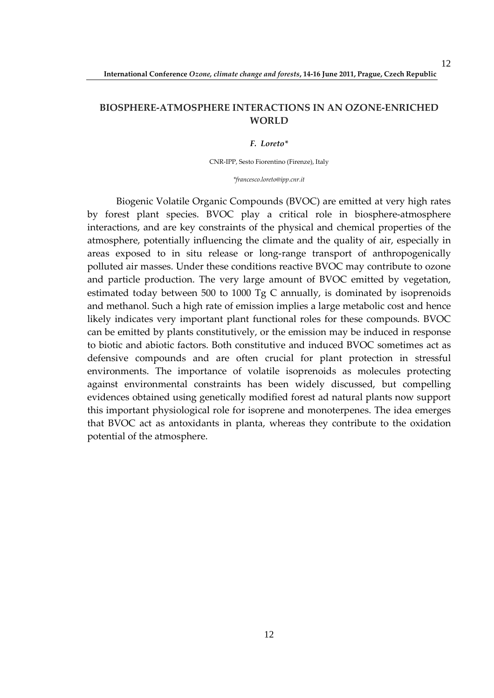# **BIOSPHERE-ATMOSPHERE INTERACTIONS IN AN OZONE-ENRICHED WORLD**

#### *F. Loreto\**

CNR-IPP, Sesto Fiorentino (Firenze), Italy

*\*francesco.loreto@ipp.cnr.it* 

Biogenic Volatile Organic Compounds (BVOC) are emitted at very high rates by forest plant species. BVOC play a critical role in biosphere-atmosphere interactions, and are key constraints of the physical and chemical properties of the atmosphere, potentially influencing the climate and the quality of air, especially in areas exposed to in situ release or long-range transport of anthropogenically polluted air masses. Under these conditions reactive BVOC may contribute to ozone and particle production. The very large amount of BVOC emitted by vegetation, estimated today between 500 to 1000 Tg C annually, is dominated by isoprenoids and methanol. Such a high rate of emission implies a large metabolic cost and hence likely indicates very important plant functional roles for these compounds. BVOC can be emitted by plants constitutively, or the emission may be induced in response to biotic and abiotic factors. Both constitutive and induced BVOC sometimes act as defensive compounds and are often crucial for plant protection in stressful environments. The importance of volatile isoprenoids as molecules protecting against environmental constraints has been widely discussed, but compelling evidences obtained using genetically modified forest ad natural plants now support this important physiological role for isoprene and monoterpenes. The idea emerges that BVOC act as antoxidants in planta, whereas they contribute to the oxidation potential of the atmosphere.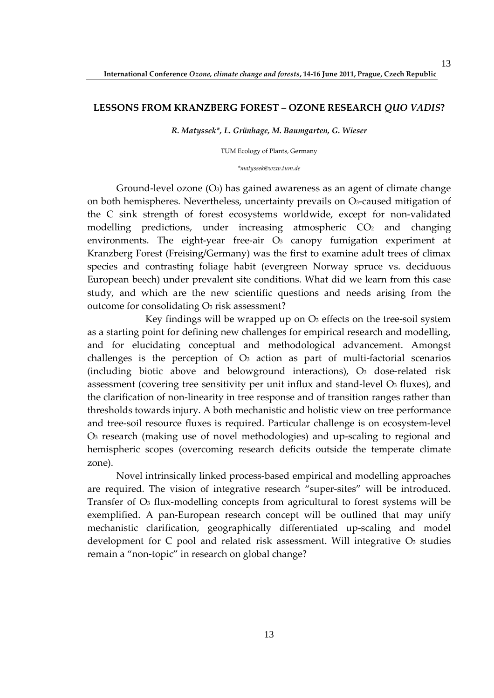## **LESSONS FROM KRANZBERG FOREST – OZONE RESEARCH** *QUO VADIS***?**

*R. Matyssek\*, L. Grünhage, M. Baumgarten, G. Wieser*

TUM Ecology of Plants, Germany

#### *\*matyssek@wzw.tum.de*

Ground-level ozone  $(O_3)$  has gained awareness as an agent of climate change on both hemispheres. Nevertheless, uncertainty prevails on O3-caused mitigation of the C sink strength of forest ecosystems worldwide, except for non-validated modelling predictions, under increasing atmospheric  $CO<sub>2</sub>$  and changing environments. The eight-year free-air  $O<sub>3</sub>$  canopy fumigation experiment at Kranzberg Forest (Freising/Germany) was the first to examine adult trees of climax species and contrasting foliage habit (evergreen Norway spruce vs. deciduous European beech) under prevalent site conditions. What did we learn from this case study, and which are the new scientific questions and needs arising from the outcome for consolidating O3 risk assessment?

Key findings will be wrapped up on  $\mathcal{O}_3$  effects on the tree-soil system as a starting point for defining new challenges for empirical research and modelling, and for elucidating conceptual and methodological advancement. Amongst challenges is the perception of O3 action as part of multi-factorial scenarios (including biotic above and belowground interactions),  $O_3$  dose-related risk assessment (covering tree sensitivity per unit influx and stand-level O3 fluxes), and the clarification of non-linearity in tree response and of transition ranges rather than thresholds towards injury. A both mechanistic and holistic view on tree performance and tree-soil resource fluxes is required. Particular challenge is on ecosystem-level O3 research (making use of novel methodologies) and up-scaling to regional and hemispheric scopes (overcoming research deficits outside the temperate climate zone).

Novel intrinsically linked process-based empirical and modelling approaches are required. The vision of integrative research "super-sites" will be introduced. Transfer of O<sub>3</sub> flux-modelling concepts from agricultural to forest systems will be exemplified. A pan-European research concept will be outlined that may unify mechanistic clarification, geographically differentiated up-scaling and model development for  $C$  pool and related risk assessment. Will integrative  $O<sub>3</sub>$  studies remain a "non-topic" in research on global change?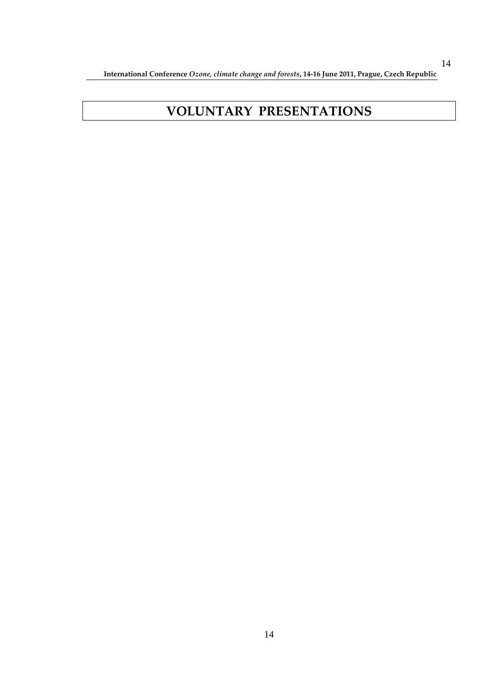**International Conference** *Ozone, climate change and forests***, 14-16 June 2011, Prague, Czech Republic** 

# **VOLUNTARY PRESENTATIONS**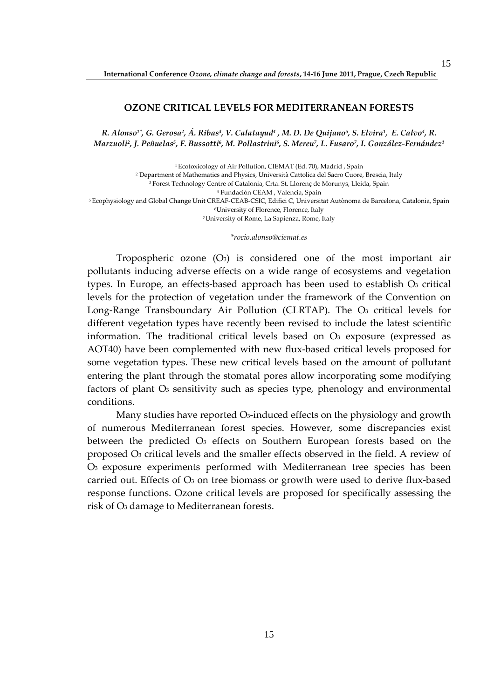## **OZONE CRITICAL LEVELS FOR MEDITERRANEAN FORESTS**

*R. Alonso1\*, G. Gerosa<sup>2</sup> , Á. Ribas<sup>3</sup> , V. Calatayud<sup>4</sup> , M. D. De Quijano<sup>5</sup> , S. Elvira<sup>1</sup> , E. Calvo<sup>4</sup> , R. Marzuoli<sup>2</sup> , J. Peñuelas<sup>5</sup> , F. Bussotti<sup>6</sup> , M. Pollastrini<sup>6</sup> , S. Mereu<sup>7</sup> , L. Fusaro<sup>7</sup> , I. González-Fernández<sup>1</sup>*

<sup>1</sup> Ecotoxicology of Air Pollution, CIEMAT (Ed. 70), Madrid, Spain Department of Mathematics and Physics, Università Cattolica del Sacro Cuore, Brescia, Italy Forest Technology Centre of Catalonia, Crta. St. Llorenç de Morunys, Lleida, Spain Fundación CEAM , Valencia, Spain Ecophysiology and Global Change Unit CREAF-CEAB-CSIC, Edifici C, Universitat Autònoma de Barcelona, Catalonia, Spain University of Florence, Florence, Italy University of Rome, La Sapienza, Rome, Italy

*\*rocio.alonso@ciemat.es* 

Tropospheric ozone  $(O_3)$  is considered one of the most important air pollutants inducing adverse effects on a wide range of ecosystems and vegetation types. In Europe, an effects-based approach has been used to establish O3 critical levels for the protection of vegetation under the framework of the Convention on Long-Range Transboundary Air Pollution (CLRTAP). The O3 critical levels for different vegetation types have recently been revised to include the latest scientific information. The traditional critical levels based on  $O_3$  exposure (expressed as AOT40) have been complemented with new flux-based critical levels proposed for some vegetation types. These new critical levels based on the amount of pollutant entering the plant through the stomatal pores allow incorporating some modifying factors of plant O<sub>3</sub> sensitivity such as species type, phenology and environmental conditions.

Many studies have reported O<sub>3</sub>-induced effects on the physiology and growth of numerous Mediterranean forest species. However, some discrepancies exist between the predicted O3 effects on Southern European forests based on the proposed O3 critical levels and the smaller effects observed in the field. A review of O3 exposure experiments performed with Mediterranean tree species has been carried out. Effects of  $O_3$  on tree biomass or growth were used to derive flux-based response functions. Ozone critical levels are proposed for specifically assessing the risk of O<sub>3</sub> damage to Mediterranean forests.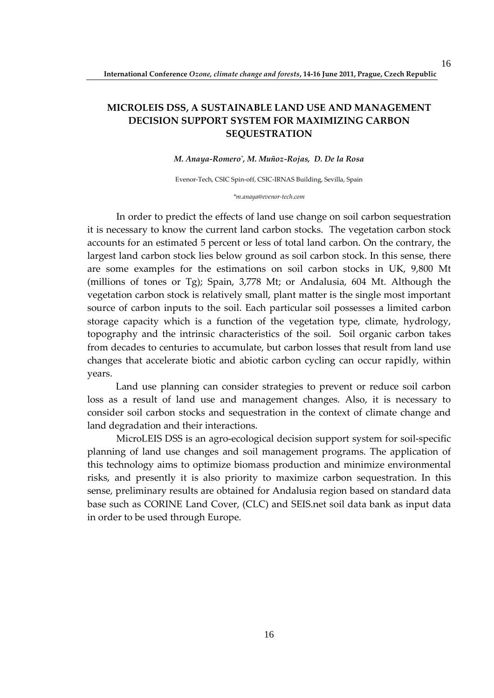# **MICROLEIS DSS, A SUSTAINABLE LAND USE AND MANAGEMENT DECISION SUPPORT SYSTEM FOR MAXIMIZING CARBON SEQUESTRATION**

#### *M. Anaya-Romero\* , M. Muñoz-Rojas, D. De la Rosa*

Evenor-Tech, CSIC Spin-off, CSIC-IRNAS Building, Sevilla, Spain

*\*m.anaya@evenor-tech.com* 

In order to predict the effects of land use change on soil carbon sequestration it is necessary to know the current land carbon stocks. The vegetation carbon stock accounts for an estimated 5 percent or less of total land carbon. On the contrary, the largest land carbon stock lies below ground as soil carbon stock. In this sense, there are some examples for the estimations on soil carbon stocks in UK, 9,800 Mt (millions of tones or Tg); Spain, 3,778 Mt; or Andalusia, 604 Mt. Although the vegetation carbon stock is relatively small, plant matter is the single most important source of carbon inputs to the soil. Each particular soil possesses a limited carbon storage capacity which is a function of the vegetation type, climate, hydrology, topography and the intrinsic characteristics of the soil. Soil organic carbon takes from decades to centuries to accumulate, but carbon losses that result from land use changes that accelerate biotic and abiotic carbon cycling can occur rapidly, within years.

Land use planning can consider strategies to prevent or reduce soil carbon loss as a result of land use and management changes. Also, it is necessary to consider soil carbon stocks and sequestration in the context of climate change and land degradation and their interactions.

MicroLEIS DSS is an agro-ecological decision support system for soil-specific planning of land use changes and soil management programs. The application of this technology aims to optimize biomass production and minimize environmental risks, and presently it is also priority to maximize carbon sequestration. In this sense, preliminary results are obtained for Andalusia region based on standard data base such as CORINE Land Cover, (CLC) and SEIS.net soil data bank as input data in order to be used through Europe.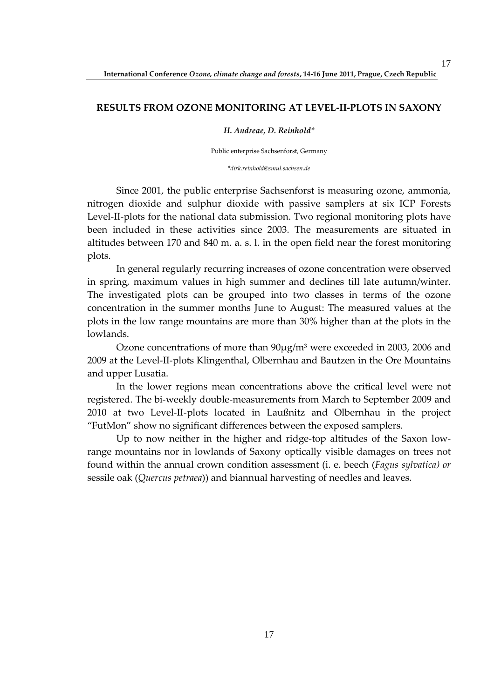## **RESULTS FROM OZONE MONITORING AT LEVEL-II-PLOTS IN SAXONY**

### *H. Andreae, D. Reinhold\**

Public enterprise Sachsenforst, Germany

*\*dirk.reinhold@smul.sachsen.de* 

Since 2001, the public enterprise Sachsenforst is measuring ozone, ammonia, nitrogen dioxide and sulphur dioxide with passive samplers at six ICP Forests Level-II-plots for the national data submission. Two regional monitoring plots have been included in these activities since 2003. The measurements are situated in altitudes between 170 and 840 m. a. s. l. in the open field near the forest monitoring plots.

In general regularly recurring increases of ozone concentration were observed in spring, maximum values in high summer and declines till late autumn/winter. The investigated plots can be grouped into two classes in terms of the ozone concentration in the summer months June to August: The measured values at the plots in the low range mountains are more than 30% higher than at the plots in the lowlands.

Ozone concentrations of more than  $90\mu g/m^3$  were exceeded in 2003, 2006 and 2009 at the Level-II-plots Klingenthal, Olbernhau and Bautzen in the Ore Mountains and upper Lusatia.

In the lower regions mean concentrations above the critical level were not registered. The bi-weekly double-measurements from March to September 2009 and 2010 at two Level-II-plots located in Laußnitz and Olbernhau in the project "FutMon" show no significant differences between the exposed samplers.

Up to now neither in the higher and ridge-top altitudes of the Saxon lowrange mountains nor in lowlands of Saxony optically visible damages on trees not found within the annual crown condition assessment (i. e. beech (*Fagus sylvatica) or* sessile oak (*Quercus petraea*)) and biannual harvesting of needles and leaves.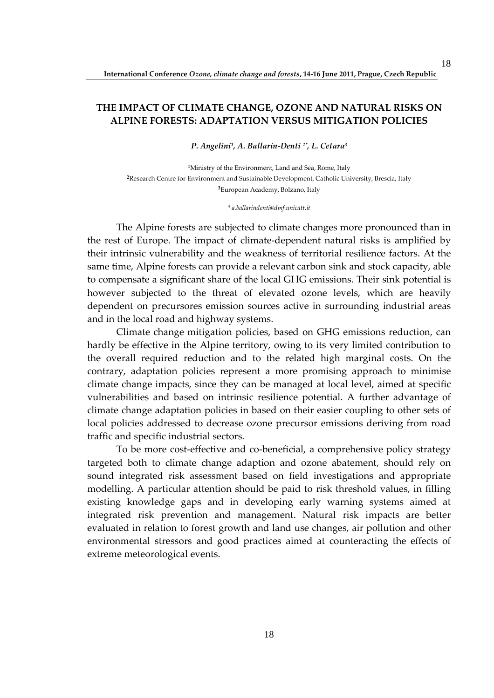# **THE IMPACT OF CLIMATE CHANGE, OZONE AND NATURAL RISKS ON ALPINE FORESTS: ADAPTATION VERSUS MITIGATION POLICIES**

*P. Angelini<sup>1</sup> , A. Ballarin-Denti 2\*, L. Cetara<sup>3</sup>*

**<sup>1</sup>**Ministry of the Environment, Land and Sea, Rome, Italy **<sup>2</sup>**Research Centre for Environment and Sustainable Development, Catholic University, Brescia, Italy **<sup>3</sup>**European Academy, Bolzano, Italy

#### *\* a.ballarindenti@dmf.unicatt.it*

The Alpine forests are subjected to climate changes more pronounced than in the rest of Europe. The impact of climate-dependent natural risks is amplified by their intrinsic vulnerability and the weakness of territorial resilience factors. At the same time, Alpine forests can provide a relevant carbon sink and stock capacity, able to compensate a significant share of the local GHG emissions. Their sink potential is however subjected to the threat of elevated ozone levels, which are heavily dependent on precursores emission sources active in surrounding industrial areas and in the local road and highway systems.

Climate change mitigation policies, based on GHG emissions reduction, can hardly be effective in the Alpine territory, owing to its very limited contribution to the overall required reduction and to the related high marginal costs. On the contrary, adaptation policies represent a more promising approach to minimise climate change impacts, since they can be managed at local level, aimed at specific vulnerabilities and based on intrinsic resilience potential. A further advantage of climate change adaptation policies in based on their easier coupling to other sets of local policies addressed to decrease ozone precursor emissions deriving from road traffic and specific industrial sectors.

To be more cost-effective and co-beneficial, a comprehensive policy strategy targeted both to climate change adaption and ozone abatement, should rely on sound integrated risk assessment based on field investigations and appropriate modelling. A particular attention should be paid to risk threshold values, in filling existing knowledge gaps and in developing early warning systems aimed at integrated risk prevention and management. Natural risk impacts are better evaluated in relation to forest growth and land use changes, air pollution and other environmental stressors and good practices aimed at counteracting the effects of extreme meteorological events.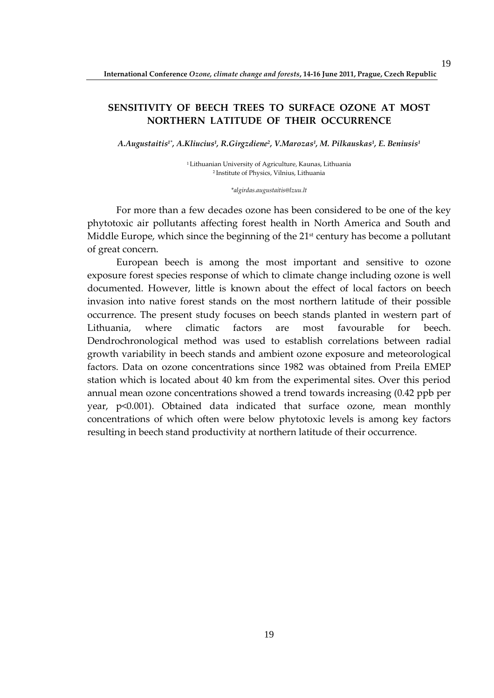# **SENSITIVITY OF BEECH TREES TO SURFACE OZONE AT MOST NORTHERN LATITUDE OF THEIR OCCURRENCE**

*A.Augustaitis1\*, A.Kliucius<sup>1</sup> , R.Girgzdiene<sup>2</sup> , V.Marozas<sup>1</sup> , M. Pilkauskas<sup>1</sup> , E. Beniusis<sup>1</sup>*

<sup>1</sup>Lithuanian University of Agriculture, Kaunas, Lithuania <sup>2</sup>Institute of Physics, Vilnius, Lithuania

#### *\*algirdas.augustaitis@lzuu.lt*

For more than a few decades ozone has been considered to be one of the key phytotoxic air pollutants affecting forest health in North America and South and Middle Europe, which since the beginning of the 21<sup>st</sup> century has become a pollutant of great concern.

European beech is among the most important and sensitive to ozone exposure forest species response of which to climate change including ozone is well documented. However, little is known about the effect of local factors on beech invasion into native forest stands on the most northern latitude of their possible occurrence. The present study focuses on beech stands planted in western part of Lithuania, where climatic factors are most favourable for beech. Dendrochronological method was used to establish correlations between radial growth variability in beech stands and ambient ozone exposure and meteorological factors. Data on ozone concentrations since 1982 was obtained from Preila EMEP station which is located about 40 km from the experimental sites. Over this period annual mean ozone concentrations showed a trend towards increasing (0.42 ppb per year, p<0.001). Obtained data indicated that surface ozone, mean monthly concentrations of which often were below phytotoxic levels is among key factors resulting in beech stand productivity at northern latitude of their occurrence.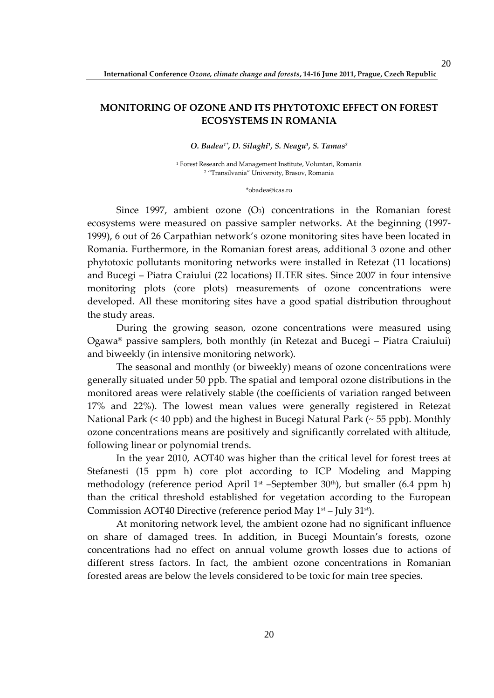# **MONITORING OF OZONE AND ITS PHYTOTOXIC EFFECT ON FOREST ECOSYSTEMS IN ROMANIA**

#### *O. Badea1\*, D. Silaghi<sup>1</sup> , S. Neagu<sup>1</sup> , S. Tamas<sup>2</sup>*

1 Forest Research and Management Institute, Voluntari, Romania 2 "Transilvania" University, Brasov, Romania

#### \*obadea@icas.ro

Since 1997, ambient ozone  $(O_3)$  concentrations in the Romanian forest ecosystems were measured on passive sampler networks. At the beginning (1997- 1999), 6 out of 26 Carpathian network's ozone monitoring sites have been located in Romania. Furthermore, in the Romanian forest areas, additional 3 ozone and other phytotoxic pollutants monitoring networks were installed in Retezat (11 locations) and Bucegi – Piatra Craiului (22 locations) ILTER sites. Since 2007 in four intensive monitoring plots (core plots) measurements of ozone concentrations were developed. All these monitoring sites have a good spatial distribution throughout the study areas.

During the growing season, ozone concentrations were measured using Ogawa® passive samplers, both monthly (in Retezat and Bucegi – Piatra Craiului) and biweekly (in intensive monitoring network).

The seasonal and monthly (or biweekly) means of ozone concentrations were generally situated under 50 ppb. The spatial and temporal ozone distributions in the monitored areas were relatively stable (the coefficients of variation ranged between 17% and 22%). The lowest mean values were generally registered in Retezat National Park (< 40 ppb) and the highest in Bucegi Natural Park (~ 55 ppb). Monthly ozone concentrations means are positively and significantly correlated with altitude, following linear or polynomial trends.

In the year 2010, AOT40 was higher than the critical level for forest trees at Stefanesti (15 ppm h) core plot according to ICP Modeling and Mapping methodology (reference period April  $1^{st}$  –September 30<sup>th</sup>), but smaller (6.4 ppm h) than the critical threshold established for vegetation according to the European Commission AOT40 Directive (reference period May  $1<sup>st</sup>$  – July 31<sup>st</sup>).

At monitoring network level, the ambient ozone had no significant influence on share of damaged trees. In addition, in Bucegi Mountain's forests, ozone concentrations had no effect on annual volume growth losses due to actions of different stress factors. In fact, the ambient ozone concentrations in Romanian forested areas are below the levels considered to be toxic for main tree species.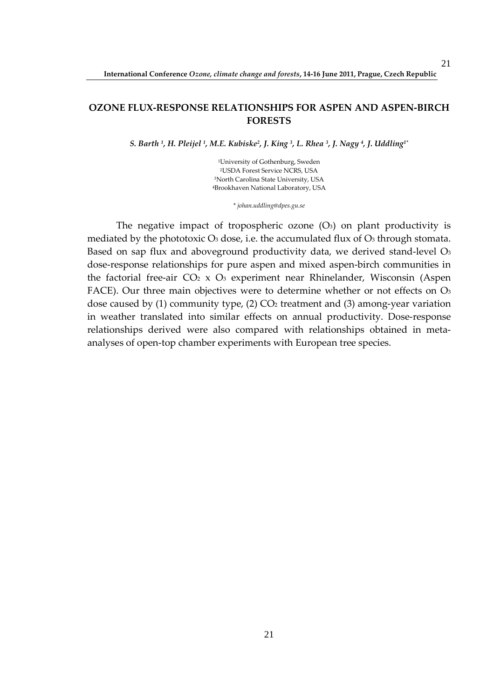## **OZONE FLUX-RESPONSE RELATIONSHIPS FOR ASPEN AND ASPEN-BIRCH FORESTS**

*S. Barth <sup>1</sup> , H. Pleijel <sup>1</sup> , M.E. Kubiske<sup>2</sup> , J. King <sup>3</sup> , L. Rhea <sup>3</sup> , J. Nagy <sup>4</sup> , J. Uddling1\**

University of Gothenburg, Sweden USDA Forest Service NCRS, USA North Carolina State University, USA Brookhaven National Laboratory, USA

*\* johan.uddling@dpes.gu.se* 

The negative impact of tropospheric ozone  $(O_3)$  on plant productivity is mediated by the phototoxic  $O_3$  dose, i.e. the accumulated flux of  $O_3$  through stomata. Based on sap flux and aboveground productivity data, we derived stand-level O<sub>3</sub> dose-response relationships for pure aspen and mixed aspen-birch communities in the factorial free-air  $CO<sub>2</sub> \times O<sub>3</sub>$  experiment near Rhinelander, Wisconsin (Aspen FACE). Our three main objectives were to determine whether or not effects on O<sub>3</sub> dose caused by  $(1)$  community type,  $(2)$  CO<sub>2</sub> treatment and  $(3)$  among-year variation in weather translated into similar effects on annual productivity. Dose-response relationships derived were also compared with relationships obtained in metaanalyses of open-top chamber experiments with European tree species.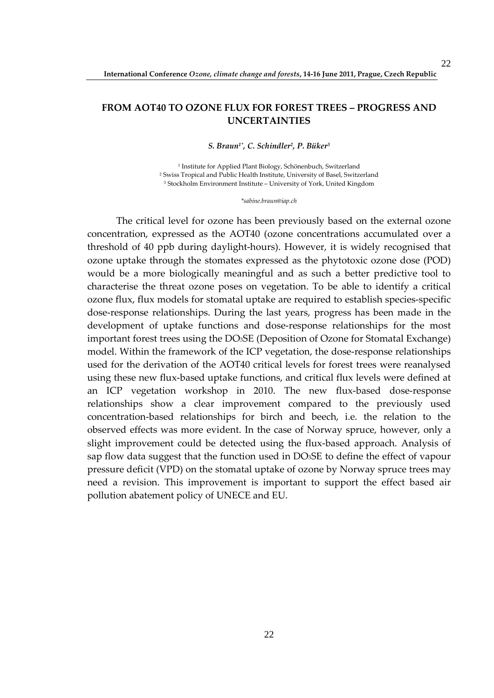# **FROM AOT40 TO OZONE FLUX FOR FOREST TREES – PROGRESS AND UNCERTAINTIES**

*S. Braun1\*, C. Schindler<sup>2</sup> , P. Büker<sup>3</sup>*

1 Institute for Applied Plant Biology, Schönenbuch, Switzerland 2 Swiss Tropical and Public Health Institute, University of Basel, Switzerland 3 Stockholm Environment Institute – University of York, United Kingdom

*\*sabine.braun@iap.ch* 

The critical level for ozone has been previously based on the external ozone concentration, expressed as the AOT40 (ozone concentrations accumulated over a threshold of 40 ppb during daylight-hours). However, it is widely recognised that ozone uptake through the stomates expressed as the phytotoxic ozone dose (POD) would be a more biologically meaningful and as such a better predictive tool to characterise the threat ozone poses on vegetation. To be able to identify a critical ozone flux, flux models for stomatal uptake are required to establish species-specific dose-response relationships. During the last years, progress has been made in the development of uptake functions and dose-response relationships for the most important forest trees using the DO3SE (Deposition of Ozone for Stomatal Exchange) model. Within the framework of the ICP vegetation, the dose-response relationships used for the derivation of the AOT40 critical levels for forest trees were reanalysed using these new flux-based uptake functions, and critical flux levels were defined at an ICP vegetation workshop in 2010. The new flux-based dose-response relationships show a clear improvement compared to the previously used concentration-based relationships for birch and beech, i.e. the relation to the observed effects was more evident. In the case of Norway spruce, however, only a slight improvement could be detected using the flux-based approach. Analysis of sap flow data suggest that the function used in DO3SE to define the effect of vapour pressure deficit (VPD) on the stomatal uptake of ozone by Norway spruce trees may need a revision. This improvement is important to support the effect based air pollution abatement policy of UNECE and EU.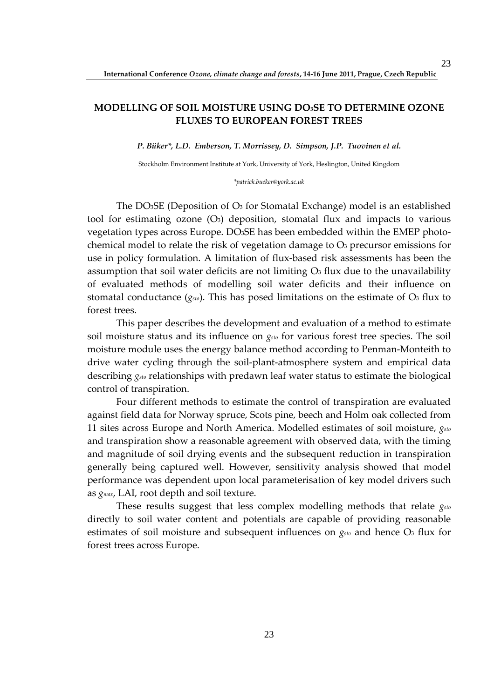# **MODELLING OF SOIL MOISTURE USING DO3SE TO DETERMINE OZONE FLUXES TO EUROPEAN FOREST TREES**

*P. Büker\*, L.D. Emberson, T. Morrissey, D. Simpson, J.P. Tuovinen et al.* 

Stockholm Environment Institute at York, University of York, Heslington, United Kingdom

*\*patrick.bueker@york.ac.uk* 

The DO $_3$ SE (Deposition of O<sub>3</sub> for Stomatal Exchange) model is an established tool for estimating ozone  $(O_3)$  deposition, stomatal flux and impacts to various vegetation types across Europe. DO3SE has been embedded within the EMEP photochemical model to relate the risk of vegetation damage to  $O<sub>3</sub>$  precursor emissions for use in policy formulation. A limitation of flux-based risk assessments has been the assumption that soil water deficits are not limiting  $\mathcal{O}_3$  flux due to the unavailability of evaluated methods of modelling soil water deficits and their influence on stomatal conductance  $(g_{sto})$ . This has posed limitations on the estimate of  $O<sub>3</sub>$  flux to forest trees.

This paper describes the development and evaluation of a method to estimate soil moisture status and its influence on *gsto* for various forest tree species. The soil moisture module uses the energy balance method according to Penman-Monteith to drive water cycling through the soil-plant-atmosphere system and empirical data describing *gsto* relationships with predawn leaf water status to estimate the biological control of transpiration.

Four different methods to estimate the control of transpiration are evaluated against field data for Norway spruce, Scots pine, beech and Holm oak collected from 11 sites across Europe and North America. Modelled estimates of soil moisture, *gsto* and transpiration show a reasonable agreement with observed data, with the timing and magnitude of soil drying events and the subsequent reduction in transpiration generally being captured well. However, sensitivity analysis showed that model performance was dependent upon local parameterisation of key model drivers such as *gmax*, LAI, root depth and soil texture.

These results suggest that less complex modelling methods that relate *gsto* directly to soil water content and potentials are capable of providing reasonable estimates of soil moisture and subsequent influences on *gsto* and hence O3 flux for forest trees across Europe.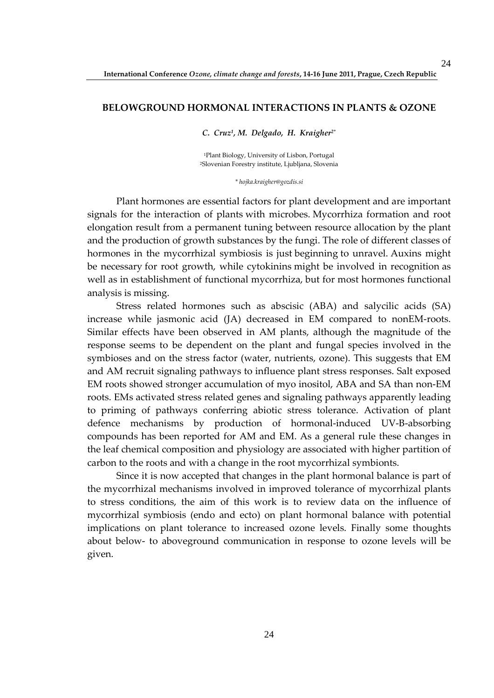## **BELOWGROUND HORMONAL INTERACTIONS IN PLANTS & OZONE**

*C. Cruz<sup>1</sup> , M. Delgado, H. Kraigher2\**

<sup>1</sup>Plant Biology, University of Lisbon, Portugal <sup>2</sup>Slovenian Forestry institute, Ljubljana, Slovenia

*\* hojka.kraigher@gozdis.si* 

Plant hormones are essential factors for plant development and are important signals for the interaction of plants with microbes. Mycorrhiza formation and root elongation result from a permanent tuning between resource allocation by the plant and the production of growth substances by the fungi. The role of different classes of hormones in the mycorrhizal symbiosis is just beginning to unravel. Auxins might be necessary for root growth, while cytokinins might be involved in recognition as well as in establishment of functional mycorrhiza, but for most hormones functional analysis is missing.

Stress related hormones such as abscisic (ABA) and salycilic acids (SA) increase while jasmonic acid (JA) decreased in EM compared to nonEM-roots. Similar effects have been observed in AM plants, although the magnitude of the response seems to be dependent on the plant and fungal species involved in the symbioses and on the stress factor (water, nutrients, ozone). This suggests that EM and AM recruit signaling pathways to influence plant stress responses. Salt exposed EM roots showed stronger accumulation of myo inositol, ABA and SA than non-EM roots. EMs activated stress related genes and signaling pathways apparently leading to priming of pathways conferring abiotic stress tolerance. Activation of plant defence mechanisms by production of hormonal-induced UV-B-absorbing compounds has been reported for AM and EM. As a general rule these changes in the leaf chemical composition and physiology are associated with higher partition of carbon to the roots and with a change in the root mycorrhizal symbionts.

Since it is now accepted that changes in the plant hormonal balance is part of the mycorrhizal mechanisms involved in improved tolerance of mycorrhizal plants to stress conditions, the aim of this work is to review data on the influence of mycorrhizal symbiosis (endo and ecto) on plant hormonal balance with potential implications on plant tolerance to increased ozone levels. Finally some thoughts about below- to aboveground communication in response to ozone levels will be given.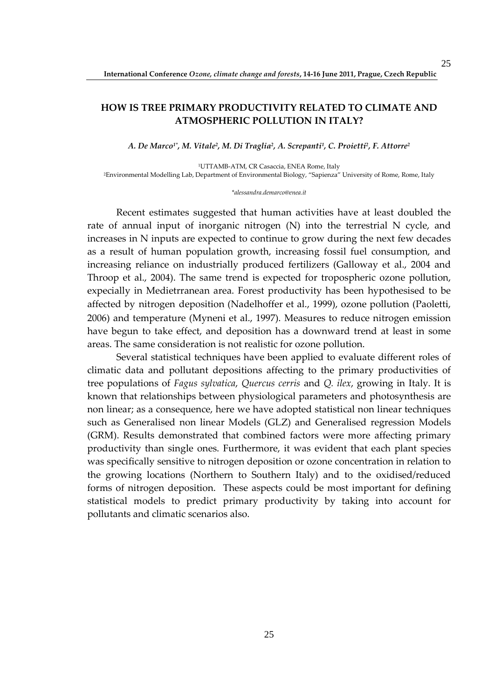# **HOW IS TREE PRIMARY PRODUCTIVITY RELATED TO CLIMATE AND ATMOSPHERIC POLLUTION IN ITALY?**

*A. De Marco1\*, M. Vitale<sup>2</sup> , M. Di Traglia<sup>2</sup> , A. Screpanti<sup>1</sup> , C. Proietti<sup>2</sup> , F. Attorre<sup>2</sup>*

<sup>1</sup>UTTAMB-ATM, CR Casaccia, ENEA Rome, Italy <sup>2</sup>Environmental Modelling Lab, Department of Environmental Biology, "Sapienza" University of Rome, Rome, Italy

#### *\*alessandra.demarco@enea.it*

Recent estimates suggested that human activities have at least doubled the rate of annual input of inorganic nitrogen (N) into the terrestrial N cycle, and increases in N inputs are expected to continue to grow during the next few decades as a result of human population growth, increasing fossil fuel consumption, and increasing reliance on industrially produced fertilizers (Galloway et al., 2004 and Throop et al., 2004). The same trend is expected for tropospheric ozone pollution, expecially in Medietrranean area. Forest productivity has been hypothesised to be affected by nitrogen deposition (Nadelhoffer et al., 1999), ozone pollution (Paoletti, 2006) and temperature (Myneni et al., 1997). Measures to reduce nitrogen emission have begun to take effect, and deposition has a downward trend at least in some areas. The same consideration is not realistic for ozone pollution.

Several statistical techniques have been applied to evaluate different roles of climatic data and pollutant depositions affecting to the primary productivities of tree populations of *Fagus sylvatica*, *Quercus cerris* and *Q. ilex*, growing in Italy. It is known that relationships between physiological parameters and photosynthesis are non linear; as a consequence, here we have adopted statistical non linear techniques such as Generalised non linear Models (GLZ) and Generalised regression Models (GRM). Results demonstrated that combined factors were more affecting primary productivity than single ones. Furthermore, it was evident that each plant species was specifically sensitive to nitrogen deposition or ozone concentration in relation to the growing locations (Northern to Southern Italy) and to the oxidised/reduced forms of nitrogen deposition. These aspects could be most important for defining statistical models to predict primary productivity by taking into account for pollutants and climatic scenarios also.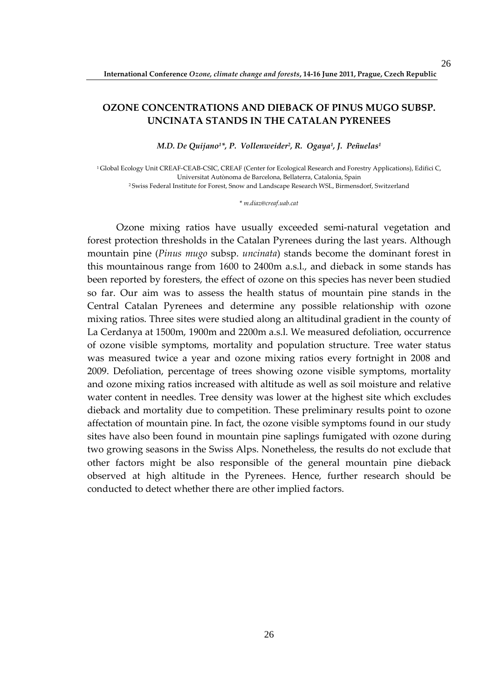# **OZONE CONCENTRATIONS AND DIEBACK OF PINUS MUGO SUBSP. UNCINATA STANDS IN THE CATALAN PYRENEES**

*M.D. De Quijano1\*, P. Vollenweider<sup>2</sup> , R. Ogaya<sup>1</sup> , J. Peñuelas<sup>1</sup>*

<sup>1</sup> Global Ecology Unit CREAF-CEAB-CSIC, CREAF (Center for Ecological Research and Forestry Applications), Edifici C, Universitat Autònoma de Barcelona, Bellaterra, Catalonia, Spain <sup>2</sup>Swiss Federal Institute for Forest, Snow and Landscape Research WSL, Birmensdorf, Switzerland

\* *m.diaz@creaf.uab.cat* 

Ozone mixing ratios have usually exceeded semi-natural vegetation and forest protection thresholds in the Catalan Pyrenees during the last years. Although mountain pine (*Pinus mugo* subsp. *uncinata*) stands become the dominant forest in this mountainous range from 1600 to 2400m a.s.l., and dieback in some stands has been reported by foresters, the effect of ozone on this species has never been studied so far. Our aim was to assess the health status of mountain pine stands in the Central Catalan Pyrenees and determine any possible relationship with ozone mixing ratios. Three sites were studied along an altitudinal gradient in the county of La Cerdanya at 1500m, 1900m and 2200m a.s.l. We measured defoliation, occurrence of ozone visible symptoms, mortality and population structure. Tree water status was measured twice a year and ozone mixing ratios every fortnight in 2008 and 2009. Defoliation, percentage of trees showing ozone visible symptoms, mortality and ozone mixing ratios increased with altitude as well as soil moisture and relative water content in needles. Tree density was lower at the highest site which excludes dieback and mortality due to competition. These preliminary results point to ozone affectation of mountain pine. In fact, the ozone visible symptoms found in our study sites have also been found in mountain pine saplings fumigated with ozone during two growing seasons in the Swiss Alps. Nonetheless, the results do not exclude that other factors might be also responsible of the general mountain pine dieback observed at high altitude in the Pyrenees. Hence, further research should be conducted to detect whether there are other implied factors.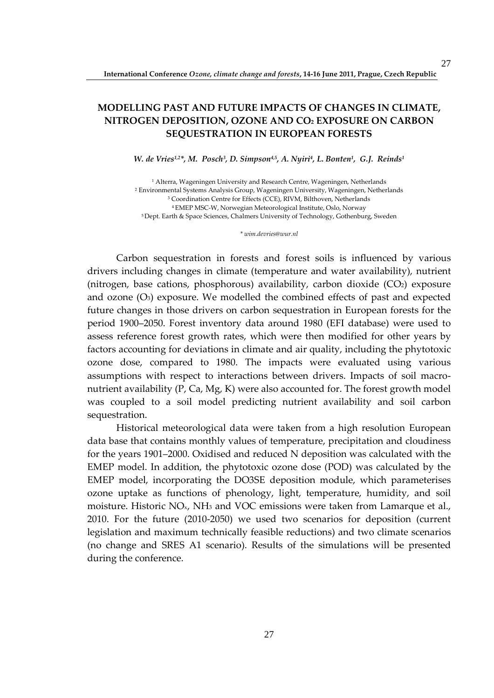# **MODELLING PAST AND FUTURE IMPACTS OF CHANGES IN CLIMATE, NITROGEN DEPOSITION, OZONE AND CO2 EXPOSURE ON CARBON SEQUESTRATION IN EUROPEAN FORESTS**

*W. de Vries1,2\*, M. Posch<sup>3</sup> , D. Simpson4,5, A. Nyiri<sup>4</sup> , L. Bonten<sup>1</sup> , G.J. Reinds<sup>1</sup>*

 Alterra, Wageningen University and Research Centre, Wageningen, Netherlands Environmental Systems Analysis Group, Wageningen University, Wageningen, Netherlands Coordination Centre for Effects (CCE), RIVM, Bilthoven, Netherlands EMEP MSC-W, Norwegian Meteorological Institute, Oslo, Norway Dept. Earth & Space Sciences, Chalmers University of Technology, Gothenburg, Sweden

*\* wim.devries@wur.nl* 

Carbon sequestration in forests and forest soils is influenced by various drivers including changes in climate (temperature and water availability), nutrient (nitrogen, base cations, phosphorous) availability, carbon dioxide (CO2) exposure and ozone  $(O_3)$  exposure. We modelled the combined effects of past and expected future changes in those drivers on carbon sequestration in European forests for the period 1900–2050. Forest inventory data around 1980 (EFI database) were used to assess reference forest growth rates, which were then modified for other years by factors accounting for deviations in climate and air quality, including the phytotoxic ozone dose, compared to 1980. The impacts were evaluated using various assumptions with respect to interactions between drivers. Impacts of soil macronutrient availability (P, Ca, Mg, K) were also accounted for. The forest growth model was coupled to a soil model predicting nutrient availability and soil carbon sequestration.

Historical meteorological data were taken from a high resolution European data base that contains monthly values of temperature, precipitation and cloudiness for the years 1901–2000. Oxidised and reduced N deposition was calculated with the EMEP model. In addition, the phytotoxic ozone dose (POD) was calculated by the EMEP model, incorporating the DO3SE deposition module, which parameterises ozone uptake as functions of phenology, light, temperature, humidity, and soil moisture. Historic NO<sub>x</sub>, NH<sub>3</sub> and VOC emissions were taken from Lamarque et al., 2010. For the future (2010-2050) we used two scenarios for deposition (current legislation and maximum technically feasible reductions) and two climate scenarios (no change and SRES A1 scenario). Results of the simulations will be presented during the conference.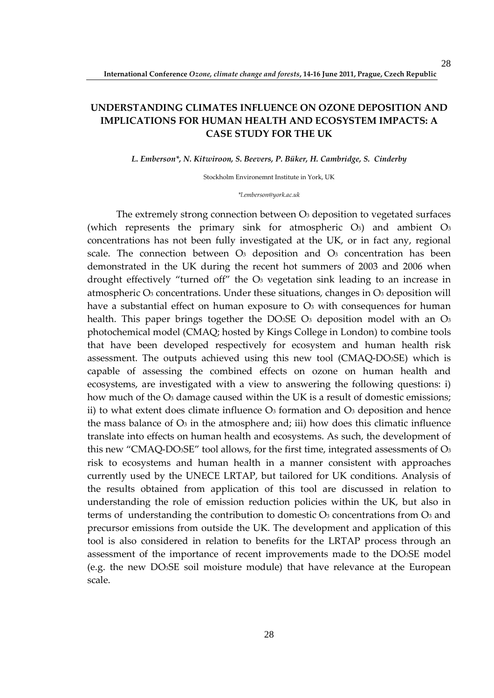# **UNDERSTANDING CLIMATES INFLUENCE ON OZONE DEPOSITION AND IMPLICATIONS FOR HUMAN HEALTH AND ECOSYSTEM IMPACTS: A CASE STUDY FOR THE UK**

#### *L. Emberson\*, N. Kitwiroon, S. Beevers, P. Büker, H. Cambridge, S. Cinderby*

Stockholm Environemnt Institute in York, UK

*\*l.emberson@york.ac.uk* 

The extremely strong connection between O<sub>3</sub> deposition to vegetated surfaces (which represents the primary sink for atmospheric  $O_3$ ) and ambient  $O_3$ concentrations has not been fully investigated at the UK, or in fact any, regional scale. The connection between  $O_3$  deposition and  $O_3$  concentration has been demonstrated in the UK during the recent hot summers of 2003 and 2006 when drought effectively "turned off" the O3 vegetation sink leading to an increase in atmospheric  $O_3$  concentrations. Under these situations, changes in  $O_3$  deposition will have a substantial effect on human exposure to  $\mathcal{O}_3$  with consequences for human health. This paper brings together the DO $_3$ SE O<sub>3</sub> deposition model with an O<sub>3</sub> photochemical model (CMAQ; hosted by Kings College in London) to combine tools that have been developed respectively for ecosystem and human health risk assessment. The outputs achieved using this new tool (CMAQ-DO3SE) which is capable of assessing the combined effects on ozone on human health and ecosystems, are investigated with a view to answering the following questions: i) how much of the O<sub>3</sub> damage caused within the UK is a result of domestic emissions; ii) to what extent does climate influence  $O_3$  formation and  $O_3$  deposition and hence the mass balance of  $\mathcal{O}_3$  in the atmosphere and; iii) how does this climatic influence translate into effects on human health and ecosystems. As such, the development of this new "CMAQ-DO3SE" tool allows, for the first time, integrated assessments of O<sup>3</sup> risk to ecosystems and human health in a manner consistent with approaches currently used by the UNECE LRTAP, but tailored for UK conditions. Analysis of the results obtained from application of this tool are discussed in relation to understanding the role of emission reduction policies within the UK, but also in terms of understanding the contribution to domestic  $O_3$  concentrations from  $O_3$  and precursor emissions from outside the UK. The development and application of this tool is also considered in relation to benefits for the LRTAP process through an assessment of the importance of recent improvements made to the DO3SE model (e.g. the new DO3SE soil moisture module) that have relevance at the European scale.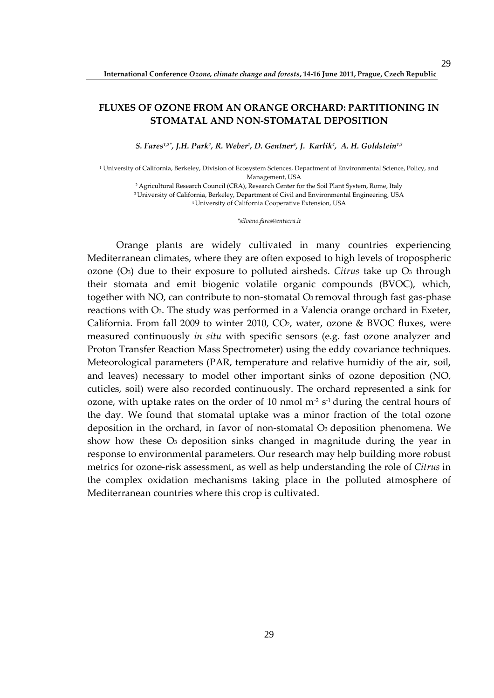# **FLUXES OF OZONE FROM AN ORANGE ORCHARD: PARTITIONING IN STOMATAL AND NON-STOMATAL DEPOSITION**

*S. Fares1,2\*, J.H. Park<sup>1</sup> , R. Weber<sup>1</sup> , D. Gentner<sup>3</sup> , J. Karlik<sup>4</sup> , A. H. Goldstein1,3*

1 University of California, Berkeley, Division of Ecosystem Sciences, Department of Environmental Science, Policy, and Management, USA

<sup>2</sup>Agricultural Research Council (CRA), Research Center for the Soil Plant System, Rome, Italy

<sup>3</sup>University of California, Berkeley, Department of Civil and Environmental Engineering, USA

<sup>4</sup>University of California Cooperative Extension, USA

*\*silvano.fares@entecra.it* 

Orange plants are widely cultivated in many countries experiencing Mediterranean climates, where they are often exposed to high levels of tropospheric ozone  $(O_3)$  due to their exposure to polluted airsheds. *Citrus* take up  $O_3$  through their stomata and emit biogenic volatile organic compounds (BVOC), which, together with NO, can contribute to non-stomatal  $O<sub>3</sub>$  removal through fast gas-phase reactions with O3. The study was performed in a Valencia orange orchard in Exeter, California. From fall 2009 to winter 2010,  $CO<sub>2</sub>$ , water, ozone & BVOC fluxes, were measured continuously *in situ* with specific sensors (e.g. fast ozone analyzer and Proton Transfer Reaction Mass Spectrometer) using the eddy covariance techniques. Meteorological parameters (PAR, temperature and relative humidiy of the air, soil, and leaves) necessary to model other important sinks of ozone deposition (NO, cuticles, soil) were also recorded continuously. The orchard represented a sink for ozone, with uptake rates on the order of 10 nmol  $m<sup>2</sup> s<sup>-1</sup>$  during the central hours of the day. We found that stomatal uptake was a minor fraction of the total ozone deposition in the orchard, in favor of non-stomatal O3 deposition phenomena. We show how these  $O_3$  deposition sinks changed in magnitude during the year in response to environmental parameters. Our research may help building more robust metrics for ozone-risk assessment, as well as help understanding the role of *Citrus* in the complex oxidation mechanisms taking place in the polluted atmosphere of Mediterranean countries where this crop is cultivated.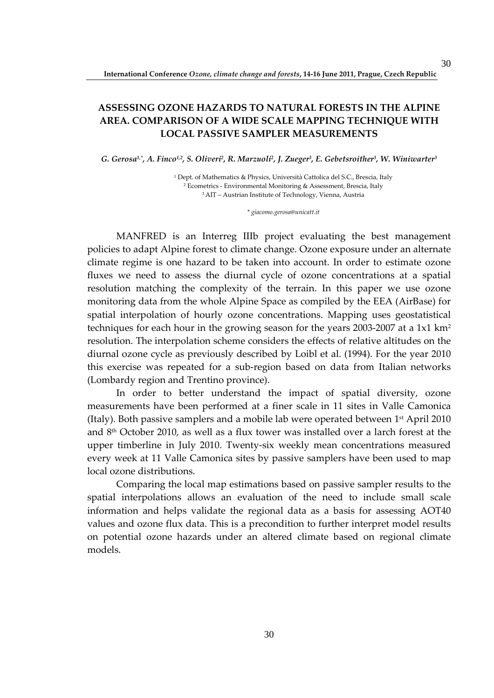# **ASSESSING OZONE HAZARDS TO NATURAL FORESTS IN THE ALPINE AREA. COMPARISON OF A WIDE SCALE MAPPING TECHNIQUE WITH LOCAL PASSIVE SAMPLER MEASUREMENTS**

*G. Gerosa1,\*, A. Finco1,2, S. Oliveri<sup>2</sup> , R. Marzuoli<sup>2</sup> , J. Zueger<sup>3</sup> , E. Gebetsroither<sup>3</sup> , W. Winiwarter<sup>3</sup>*

1 Dept. of Mathematics & Physics, Università Cattolica del S.C., Brescia, Italy 2 Ecometrics - Environmental Monitoring & Assessment, Brescia, Italy <sup>3</sup>AIT – Austrian Institute of Technology, Vienna, Austria

*\* giacomo.gerosa@unicatt.it* 

MANFRED is an Interreg IIIb project evaluating the best management policies to adapt Alpine forest to climate change. Ozone exposure under an alternate climate regime is one hazard to be taken into account. In order to estimate ozone fluxes we need to assess the diurnal cycle of ozone concentrations at a spatial resolution matching the complexity of the terrain. In this paper we use ozone monitoring data from the whole Alpine Space as compiled by the EEA (AirBase) for spatial interpolation of hourly ozone concentrations. Mapping uses geostatistical techniques for each hour in the growing season for the years 2003-2007 at a 1x1 km<sup>2</sup> resolution. The interpolation scheme considers the effects of relative altitudes on the diurnal ozone cycle as previously described by Loibl et al. (1994). For the year 2010 this exercise was repeated for a sub-region based on data from Italian networks (Lombardy region and Trentino province).

In order to better understand the impact of spatial diversity, ozone measurements have been performed at a finer scale in 11 sites in Valle Camonica (Italy). Both passive samplers and a mobile lab were operated between  $1<sup>st</sup>$  April 2010 and 8th October 2010, as well as a flux tower was installed over a larch forest at the upper timberline in July 2010. Twenty-six weekly mean concentrations measured every week at 11 Valle Camonica sites by passive samplers have been used to map local ozone distributions.

Comparing the local map estimations based on passive sampler results to the spatial interpolations allows an evaluation of the need to include small scale information and helps validate the regional data as a basis for assessing AOT40 values and ozone flux data. This is a precondition to further interpret model results on potential ozone hazards under an altered climate based on regional climate models.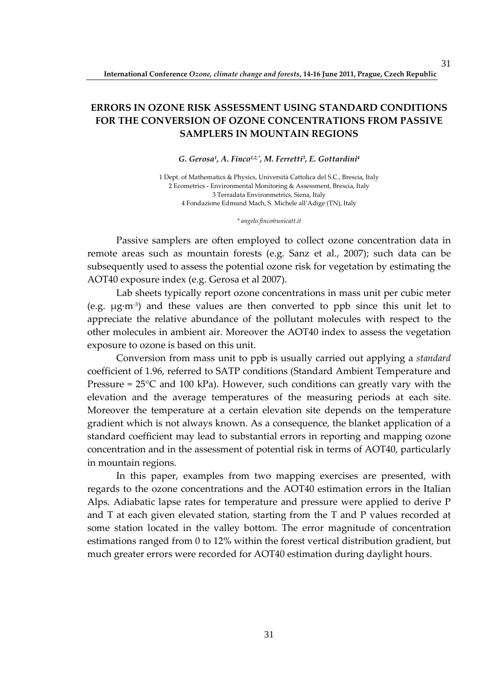# **ERRORS IN OZONE RISK ASSESSMENT USING STANDARD CONDITIONS FOR THE CONVERSION OF OZONE CONCENTRATIONS FROM PASSIVE SAMPLERS IN MOUNTAIN REGIONS**

### *G. Gerosa<sup>1</sup> , A. Finco1,2,\*, M. Ferretti<sup>3</sup> , E. Gottardini<sup>4</sup>*

1 Dept. of Mathematics & Physics, Università Cattolica del S.C., Brescia, Italy 2 Ecometrics - Environmental Monitoring & Assessment, Brescia, Italy 3 Terradata Environmetrics, Siena, Italy 4 Fondazione Edmund Mach, S. Michele all'Adige (TN), Italy

#### *\* angelo.finco@unicatt.it*

Passive samplers are often employed to collect ozone concentration data in remote areas such as mountain forests (e.g. Sanz et al., 2007); such data can be subsequently used to assess the potential ozone risk for vegetation by estimating the AOT40 exposure index (e.g. Gerosa et al 2007).

Lab sheets typically report ozone concentrations in mass unit per cubic meter (e.g.  $\mu$ g·m<sup>-3</sup>) and these values are then converted to ppb since this unit let to appreciate the relative abundance of the pollutant molecules with respect to the other molecules in ambient air. Moreover the AOT40 index to assess the vegetation exposure to ozone is based on this unit.

Conversion from mass unit to ppb is usually carried out applying a *standard* coefficient of 1.96, referred to SATP conditions (Standard Ambient Temperature and Pressure =  $25^{\circ}$ C and 100 kPa). However, such conditions can greatly vary with the elevation and the average temperatures of the measuring periods at each site. Moreover the temperature at a certain elevation site depends on the temperature gradient which is not always known. As a consequence, the blanket application of a standard coefficient may lead to substantial errors in reporting and mapping ozone concentration and in the assessment of potential risk in terms of AOT40, particularly in mountain regions.

In this paper, examples from two mapping exercises are presented, with regards to the ozone concentrations and the AOT40 estimation errors in the Italian Alps. Adiabatic lapse rates for temperature and pressure were applied to derive P and T at each given elevated station, starting from the T and P values recorded at some station located in the valley bottom. The error magnitude of concentration estimations ranged from 0 to 12% within the forest vertical distribution gradient, but much greater errors were recorded for AOT40 estimation during daylight hours.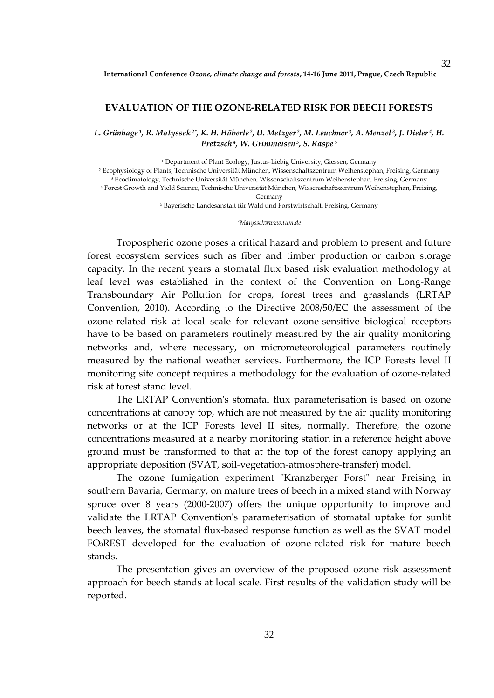## **EVALUATION OF THE OZONE-RELATED RISK FOR BEECH FORESTS**

*L. Grünhage 1, R. Matyssek 2\*, K. H. Häberle 2, U. Metzger 2, M. Leuchner 3, A. Menzel 3, J. Dieler 4, H. Pretzsch 4, W. Grimmeisen 5, S. Raspe<sup>5</sup>*

 Department of Plant Ecology, Justus-Liebig University, Giessen, Germany Ecophysiology of Plants, Technische Universität München, Wissenschaftszentrum Weihenstephan, Freising, Germany Ecoclimatology, Technische Universität München, Wissenschaftszentrum Weihenstephan, Freising, Germany Forest Growth and Yield Science, Technische Universität München, Wissenschaftszentrum Weihenstephan, Freising,

Germany

5 Bayerische Landesanstalt für Wald und Forstwirtschaft, Freising, Germany

*\*Matyssek@wzw.tum.de* 

Tropospheric ozone poses a critical hazard and problem to present and future forest ecosystem services such as fiber and timber production or carbon storage capacity. In the recent years a stomatal flux based risk evaluation methodology at leaf level was established in the context of the Convention on Long-Range Transboundary Air Pollution for crops, forest trees and grasslands (LRTAP Convention, 2010). According to the Directive 2008/50/EC the assessment of the ozone-related risk at local scale for relevant ozone-sensitive biological receptors have to be based on parameters routinely measured by the air quality monitoring networks and, where necessary, on micrometeorological parameters routinely measured by the national weather services. Furthermore, the ICP Forests level II monitoring site concept requires a methodology for the evaluation of ozone-related risk at forest stand level.

The LRTAP Convention's stomatal flux parameterisation is based on ozone concentrations at canopy top, which are not measured by the air quality monitoring networks or at the ICP Forests level II sites, normally. Therefore, the ozone concentrations measured at a nearby monitoring station in a reference height above ground must be transformed to that at the top of the forest canopy applying an appropriate deposition (SVAT, soil-vegetation-atmosphere-transfer) model.

The ozone fumigation experiment "Kranzberger Forst" near Freising in southern Bavaria, Germany, on mature trees of beech in a mixed stand with Norway spruce over 8 years (2000-2007) offers the unique opportunity to improve and validate the LRTAP Convention's parameterisation of stomatal uptake for sunlit beech leaves, the stomatal flux-based response function as well as the SVAT model FO3REST developed for the evaluation of ozone-related risk for mature beech stands.

The presentation gives an overview of the proposed ozone risk assessment approach for beech stands at local scale. First results of the validation study will be reported.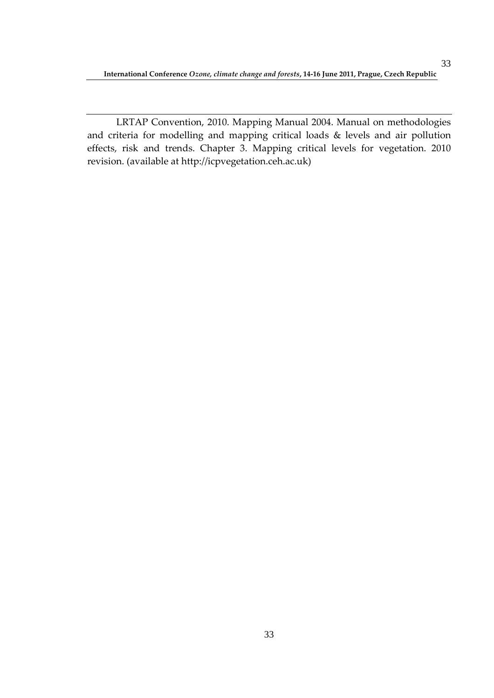LRTAP Convention, 2010. Mapping Manual 2004. Manual on methodologies and criteria for modelling and mapping critical loads & levels and air pollution effects, risk and trends. Chapter 3. Mapping critical levels for vegetation. 2010 revision. (available at http://icpvegetation.ceh.ac.uk)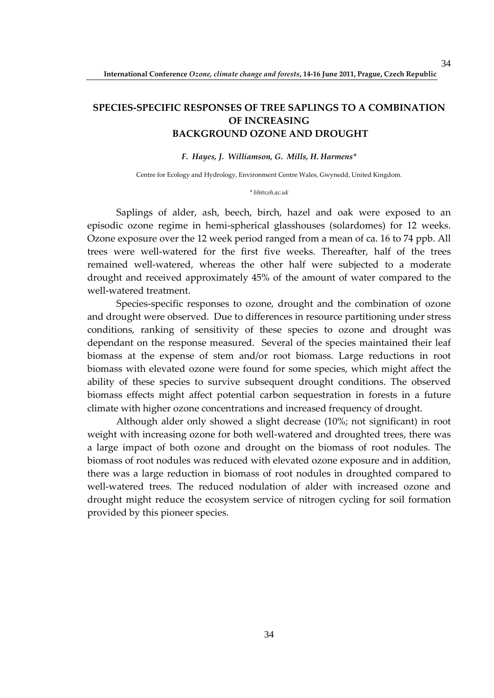# **SPECIES-SPECIFIC RESPONSES OF TREE SAPLINGS TO A COMBINATION OF INCREASING BACKGROUND OZONE AND DROUGHT**

## *F. Hayes, J. Williamson, G. Mills, H. Harmens\**

Centre for Ecology and Hydrology, Environment Centre Wales, Gwynedd, United Kingdom.

#### *\* hh@ceh.ac.uk*

Saplings of alder, ash, beech, birch, hazel and oak were exposed to an episodic ozone regime in hemi-spherical glasshouses (solardomes) for 12 weeks. Ozone exposure over the 12 week period ranged from a mean of ca. 16 to 74 ppb. All trees were well-watered for the first five weeks. Thereafter, half of the trees remained well-watered, whereas the other half were subjected to a moderate drought and received approximately 45% of the amount of water compared to the well-watered treatment.

Species-specific responses to ozone, drought and the combination of ozone and drought were observed. Due to differences in resource partitioning under stress conditions, ranking of sensitivity of these species to ozone and drought was dependant on the response measured. Several of the species maintained their leaf biomass at the expense of stem and/or root biomass. Large reductions in root biomass with elevated ozone were found for some species, which might affect the ability of these species to survive subsequent drought conditions. The observed biomass effects might affect potential carbon sequestration in forests in a future climate with higher ozone concentrations and increased frequency of drought.

Although alder only showed a slight decrease (10%; not significant) in root weight with increasing ozone for both well-watered and droughted trees, there was a large impact of both ozone and drought on the biomass of root nodules. The biomass of root nodules was reduced with elevated ozone exposure and in addition, there was a large reduction in biomass of root nodules in droughted compared to well-watered trees. The reduced nodulation of alder with increased ozone and drought might reduce the ecosystem service of nitrogen cycling for soil formation provided by this pioneer species.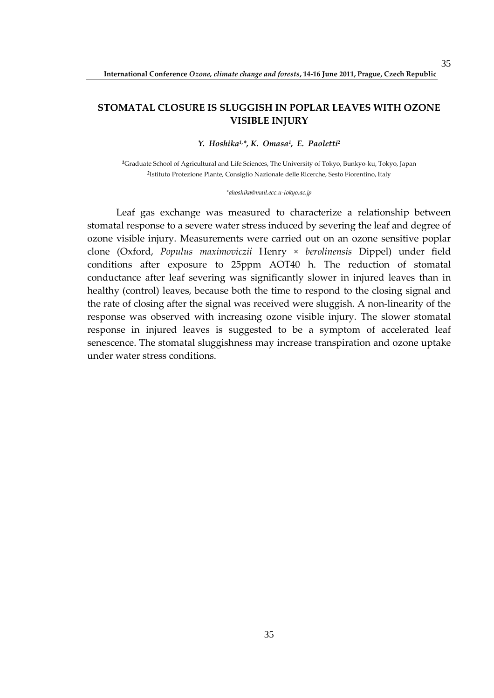# **STOMATAL CLOSURE IS SLUGGISH IN POPLAR LEAVES WITH OZONE VISIBLE INJURY**

*Y. Hoshika1,\*, K. Omasa<sup>1</sup> , E. Paoletti<sup>2</sup>*

*<sup>1</sup>*Graduate School of Agricultural and Life Sciences, The University of Tokyo, Bunkyo-ku, Tokyo, Japan *2* Istituto Protezione Piante, Consiglio Nazionale delle Ricerche, Sesto Fiorentino, Italy

#### *\*ahoshika@mail.ecc.u-tokyo.ac.jp*

Leaf gas exchange was measured to characterize a relationship between stomatal response to a severe water stress induced by severing the leaf and degree of ozone visible injury. Measurements were carried out on an ozone sensitive poplar clone (Oxford, *Populus maximoviczii* Henry × *berolinensis* Dippel) under field conditions after exposure to 25ppm AOT40 h. The reduction of stomatal conductance after leaf severing was significantly slower in injured leaves than in healthy (control) leaves, because both the time to respond to the closing signal and the rate of closing after the signal was received were sluggish. A non-linearity of the response was observed with increasing ozone visible injury. The slower stomatal response in injured leaves is suggested to be a symptom of accelerated leaf senescence. The stomatal sluggishness may increase transpiration and ozone uptake under water stress conditions.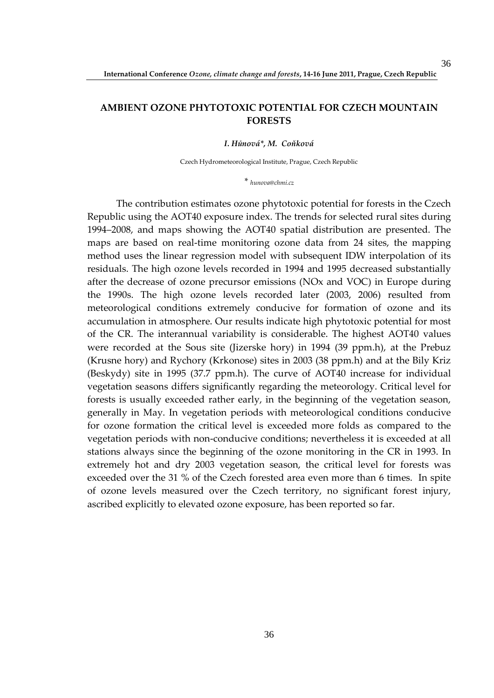### **AMBIENT OZONE PHYTOTOXIC POTENTIAL FOR CZECH MOUNTAIN FORESTS**

*I. Hůnová\*, M. Coňková* 

Czech Hydrometeorological Institute, Prague, Czech Republic

*\* hunova@chmi.cz* 

The contribution estimates ozone phytotoxic potential for forests in the Czech Republic using the AOT40 exposure index. The trends for selected rural sites during 1994–2008, and maps showing the AOT40 spatial distribution are presented. The maps are based on real-time monitoring ozone data from 24 sites, the mapping method uses the linear regression model with subsequent IDW interpolation of its residuals. The high ozone levels recorded in 1994 and 1995 decreased substantially after the decrease of ozone precursor emissions (NOx and VOC) in Europe during the 1990s. The high ozone levels recorded later (2003, 2006) resulted from meteorological conditions extremely conducive for formation of ozone and its accumulation in atmosphere. Our results indicate high phytotoxic potential for most of the CR. The interannual variability is considerable. The highest AOT40 values were recorded at the Sous site (Jizerske hory) in 1994 (39 ppm.h), at the Prebuz (Krusne hory) and Rychory (Krkonose) sites in 2003 (38 ppm.h) and at the Bily Kriz (Beskydy) site in 1995 (37.7 ppm.h). The curve of AOT40 increase for individual vegetation seasons differs significantly regarding the meteorology. Critical level for forests is usually exceeded rather early, in the beginning of the vegetation season, generally in May. In vegetation periods with meteorological conditions conducive for ozone formation the critical level is exceeded more folds as compared to the vegetation periods with non-conducive conditions; nevertheless it is exceeded at all stations always since the beginning of the ozone monitoring in the CR in 1993. In extremely hot and dry 2003 vegetation season, the critical level for forests was exceeded over the 31 % of the Czech forested area even more than 6 times. In spite of ozone levels measured over the Czech territory, no significant forest injury, ascribed explicitly to elevated ozone exposure, has been reported so far.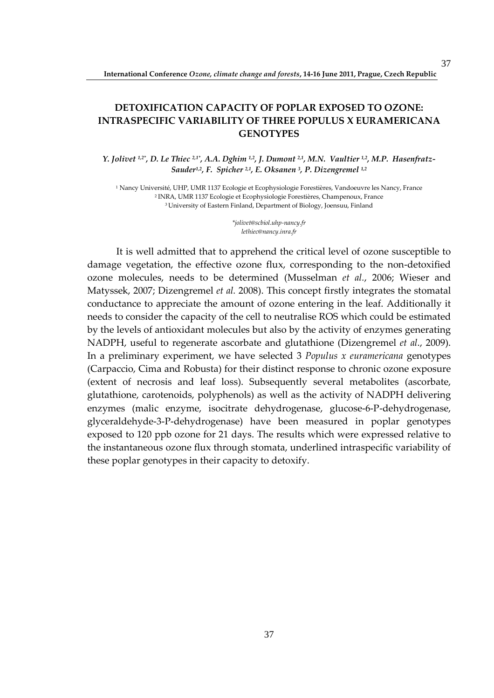# **DETOXIFICATION CAPACITY OF POPLAR EXPOSED TO OZONE: INTRASPECIFIC VARIABILITY OF THREE POPULUS X EURAMERICANA GENOTYPES**

*Y. Jolivet 1,2\*, D. Le Thiec 2,1\*, A.A. Dghim 1,2, J. Dumont 2,1, M.N. Vaultier 1,2, M.P. Hasenfratz-Sauder1,2, F. Spicher 2,1, E. Oksanen <sup>3</sup> , P. Dizengremel 1,2*

1 Nancy Université, UHP, UMR 1137 Ecologie et Ecophysiologie Forestières, Vandoeuvre les Nancy, France <sup>2</sup>INRA, UMR 1137 Ecologie et Ecophysiologie Forestières, Champenoux, France <sup>3</sup>University of Eastern Finland, Department of Biology, Joensuu, Finland

> *\*jolivet@scbiol.uhp-nancy.fr lethiec@nancy.inra.fr*

It is well admitted that to apprehend the critical level of ozone susceptible to damage vegetation, the effective ozone flux, corresponding to the non-detoxified ozone molecules, needs to be determined (Musselman *et al.*, 2006; Wieser and Matyssek, 2007; Dizengremel *et al.* 2008). This concept firstly integrates the stomatal conductance to appreciate the amount of ozone entering in the leaf. Additionally it needs to consider the capacity of the cell to neutralise ROS which could be estimated by the levels of antioxidant molecules but also by the activity of enzymes generating NADPH, useful to regenerate ascorbate and glutathione (Dizengremel *et al*., 2009). In a preliminary experiment, we have selected 3 *Populus x euramericana* genotypes (Carpaccio, Cima and Robusta) for their distinct response to chronic ozone exposure (extent of necrosis and leaf loss). Subsequently several metabolites (ascorbate, glutathione, carotenoids, polyphenols) as well as the activity of NADPH delivering enzymes (malic enzyme, isocitrate dehydrogenase, glucose-6-P-dehydrogenase, glyceraldehyde-3-P-dehydrogenase) have been measured in poplar genotypes exposed to 120 ppb ozone for 21 days. The results which were expressed relative to the instantaneous ozone flux through stomata, underlined intraspecific variability of these poplar genotypes in their capacity to detoxify.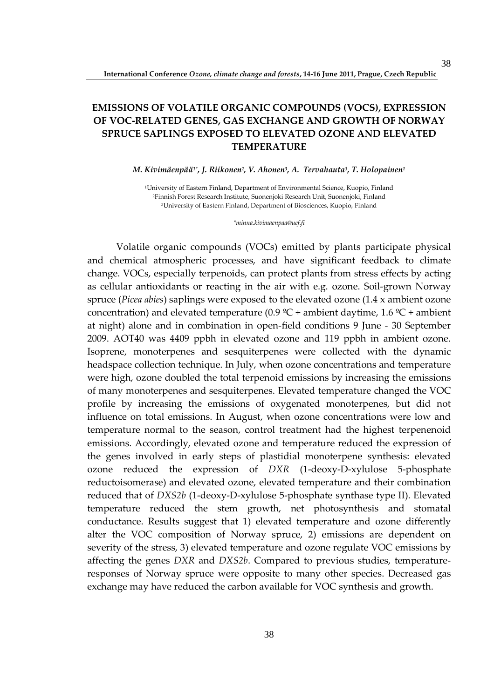# **EMISSIONS OF VOLATILE ORGANIC COMPOUNDS (VOCS), EXPRESSION OF VOC-RELATED GENES, GAS EXCHANGE AND GROWTH OF NORWAY SPRUCE SAPLINGS EXPOSED TO ELEVATED OZONE AND ELEVATED TEMPERATURE**

#### *M. Kivimäenpää1\*, J. Riikonen<sup>2</sup> , V. Ahonen<sup>3</sup> , A. Tervahauta<sup>3</sup> , T. Holopainen<sup>1</sup>*

<sup>1</sup>University of Eastern Finland, Department of Environmental Science, Kuopio, Finland <sup>2</sup>Finnish Forest Research Institute, Suonenjoki Research Unit, Suonenjoki, Finland <sup>3</sup>University of Eastern Finland, Department of Biosciences, Kuopio, Finland

*\*minna.kivimaenpaa@uef.fi* 

Volatile organic compounds (VOCs) emitted by plants participate physical and chemical atmospheric processes, and have significant feedback to climate change. VOCs, especially terpenoids, can protect plants from stress effects by acting as cellular antioxidants or reacting in the air with e.g. ozone. Soil-grown Norway spruce (*Picea abies*) saplings were exposed to the elevated ozone (1.4 x ambient ozone concentration) and elevated temperature (0.9  $^{\circ}C$  + ambient daytime, 1.6  $^{\circ}C$  + ambient at night) alone and in combination in open-field conditions 9 June - 30 September 2009. AOT40 was 4409 ppbh in elevated ozone and 119 ppbh in ambient ozone. Isoprene, monoterpenes and sesquiterpenes were collected with the dynamic headspace collection technique. In July, when ozone concentrations and temperature were high, ozone doubled the total terpenoid emissions by increasing the emissions of many monoterpenes and sesquiterpenes. Elevated temperature changed the VOC profile by increasing the emissions of oxygenated monoterpenes, but did not influence on total emissions. In August, when ozone concentrations were low and temperature normal to the season, control treatment had the highest terpenenoid emissions. Accordingly, elevated ozone and temperature reduced the expression of the genes involved in early steps of plastidial monoterpene synthesis: elevated ozone reduced the expression of *DXR* (1-deoxy-D-xylulose 5-phosphate reductoisomerase) and elevated ozone, elevated temperature and their combination reduced that of *DXS2b* (1-deoxy-D-xylulose 5-phosphate synthase type II). Elevated temperature reduced the stem growth, net photosynthesis and stomatal conductance. Results suggest that 1) elevated temperature and ozone differently alter the VOC composition of Norway spruce, 2) emissions are dependent on severity of the stress, 3) elevated temperature and ozone regulate VOC emissions by affecting the genes *DXR* and *DXS2b*. Compared to previous studies, temperatureresponses of Norway spruce were opposite to many other species. Decreased gas exchange may have reduced the carbon available for VOC synthesis and growth.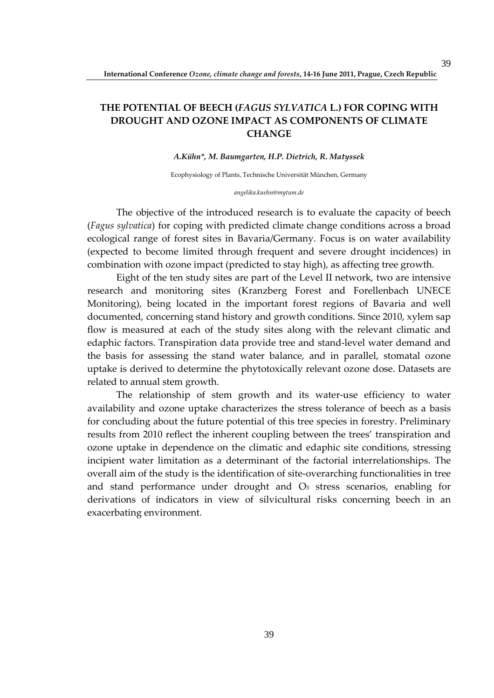# **THE POTENTIAL OF BEECH (***FAGUS SYLVATICA* **L.) FOR COPING WITH DROUGHT AND OZONE IMPACT AS COMPONENTS OF CLIMATE CHANGE**

#### *A.Kühn\*, M. Baumgarten, H.P. Dietrich, R. Matyssek*

Ecophysiology of Plants, Technische Universität München, Germany

*angelika.kuehn@mytum.de* 

The objective of the introduced research is to evaluate the capacity of beech (*Fagus sylvatica*) for coping with predicted climate change conditions across a broad ecological range of forest sites in Bavaria/Germany. Focus is on water availability (expected to become limited through frequent and severe drought incidences) in combination with ozone impact (predicted to stay high), as affecting tree growth.

Eight of the ten study sites are part of the Level II network, two are intensive research and monitoring sites (Kranzberg Forest and Forellenbach UNECE Monitoring), being located in the important forest regions of Bavaria and well documented, concerning stand history and growth conditions. Since 2010, xylem sap flow is measured at each of the study sites along with the relevant climatic and edaphic factors. Transpiration data provide tree and stand-level water demand and the basis for assessing the stand water balance, and in parallel, stomatal ozone uptake is derived to determine the phytotoxically relevant ozone dose. Datasets are related to annual stem growth.

The relationship of stem growth and its water-use efficiency to water availability and ozone uptake characterizes the stress tolerance of beech as a basis for concluding about the future potential of this tree species in forestry. Preliminary results from 2010 reflect the inherent coupling between the trees' transpiration and ozone uptake in dependence on the climatic and edaphic site conditions, stressing incipient water limitation as a determinant of the factorial interrelationships. The overall aim of the study is the identification of site-overarching functionalities in tree and stand performance under drought and  $O<sub>3</sub>$  stress scenarios, enabling for derivations of indicators in view of silvicultural risks concerning beech in an exacerbating environment.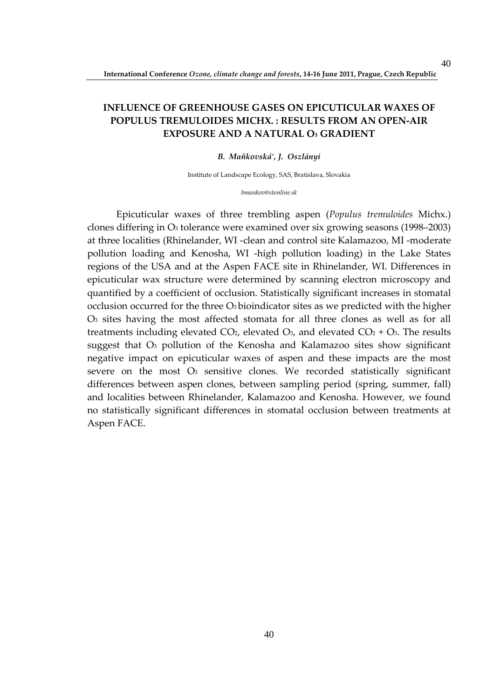# **INFLUENCE OF GREENHOUSE GASES ON EPICUTICULAR WAXES OF POPULUS TREMULOIDES MICHX. : RESULTS FROM AN OPEN-AIR EXPOSURE AND A NATURAL O3 GRADIENT**

#### *B. Maňkovská\* , J. Oszlányi*

Institute of Landscape Ecology, SAS, Bratislava, Slovakia

*bmankov@stonline.sk* 

Epicuticular waxes of three trembling aspen (*Populus tremuloides* Michx.) clones differing in O3 tolerance were examined over six growing seasons (1998–2003) at three localities (Rhinelander, WI -clean and control site Kalamazoo, MI -moderate pollution loading and Kenosha, WI -high pollution loading) in the Lake States regions of the USA and at the Aspen FACE site in Rhinelander, WI. Differences in epicuticular wax structure were determined by scanning electron microscopy and quantified by a coefficient of occlusion. Statistically significant increases in stomatal occlusion occurred for the three  $O_3$  bioindicator sites as we predicted with the higher O3 sites having the most affected stomata for all three clones as well as for all treatments including elevated  $CO<sub>2</sub>$ , elevated  $O<sub>3</sub>$ , and elevated  $CO<sub>2</sub> + O<sub>3</sub>$ . The results suggest that O3 pollution of the Kenosha and Kalamazoo sites show significant negative impact on epicuticular waxes of aspen and these impacts are the most severe on the most  $\mathbf{O}_3$  sensitive clones. We recorded statistically significant differences between aspen clones, between sampling period (spring, summer, fall) and localities between Rhinelander, Kalamazoo and Kenosha. However, we found no statistically significant differences in stomatal occlusion between treatments at Aspen FACE.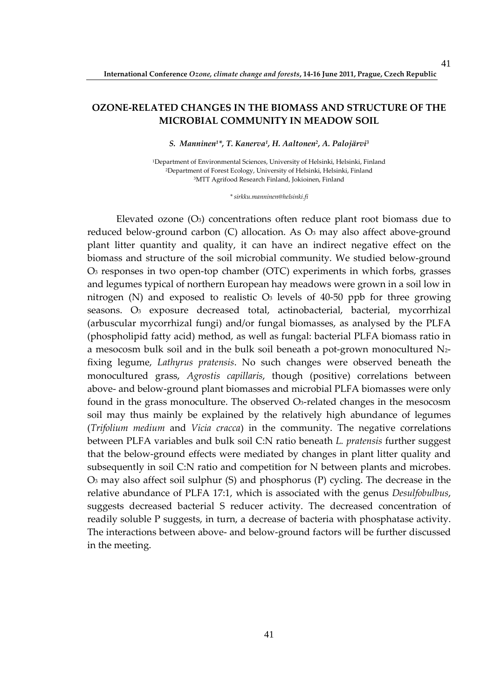### **OZONE-RELATED CHANGES IN THE BIOMASS AND STRUCTURE OF THE MICROBIAL COMMUNITY IN MEADOW SOIL**

*S. Manninen1\*, T. Kanerva<sup>1</sup> , H. Aaltonen<sup>2</sup> , A. Palojärvi<sup>3</sup>*

<sup>1</sup>Department of Environmental Sciences, University of Helsinki, Helsinki, Finland <sup>2</sup>Department of Forest Ecology, University of Helsinki, Helsinki, Finland <sup>3</sup>MTT Agrifood Research Finland, Jokioinen, Finland

*\* sirkku.manninen@helsinki.fi*

Elevated ozone  $(O_3)$  concentrations often reduce plant root biomass due to reduced below-ground carbon (C) allocation. As O<sub>3</sub> may also affect above-ground plant litter quantity and quality, it can have an indirect negative effect on the biomass and structure of the soil microbial community. We studied below-ground O3 responses in two open-top chamber (OTC) experiments in which forbs, grasses and legumes typical of northern European hay meadows were grown in a soil low in nitrogen (N) and exposed to realistic  $O_3$  levels of 40-50 ppb for three growing seasons. O<sub>3</sub> exposure decreased total, actinobacterial, bacterial, mycorrhizal (arbuscular mycorrhizal fungi) and/or fungal biomasses, as analysed by the PLFA (phospholipid fatty acid) method, as well as fungal: bacterial PLFA biomass ratio in a mesocosm bulk soil and in the bulk soil beneath a pot-grown monocultured N2 fixing legume, *Lathyrus pratensis*. No such changes were observed beneath the monocultured grass, *Agrostis capillaris*, though (positive) correlations between above- and below-ground plant biomasses and microbial PLFA biomasses were only found in the grass monoculture. The observed  $\mathcal{O}_3$ -related changes in the mesocosm soil may thus mainly be explained by the relatively high abundance of legumes (*Trifolium medium* and *Vicia cracca*) in the community. The negative correlations between PLFA variables and bulk soil C:N ratio beneath *L. pratensis* further suggest that the below-ground effects were mediated by changes in plant litter quality and subsequently in soil C:N ratio and competition for N between plants and microbes. O3 may also affect soil sulphur (S) and phosphorus (P) cycling. The decrease in the relative abundance of PLFA 17:1, which is associated with the genus *Desulfobulbus*, suggests decreased bacterial S reducer activity. The decreased concentration of readily soluble P suggests, in turn, a decrease of bacteria with phosphatase activity. The interactions between above- and below-ground factors will be further discussed in the meeting.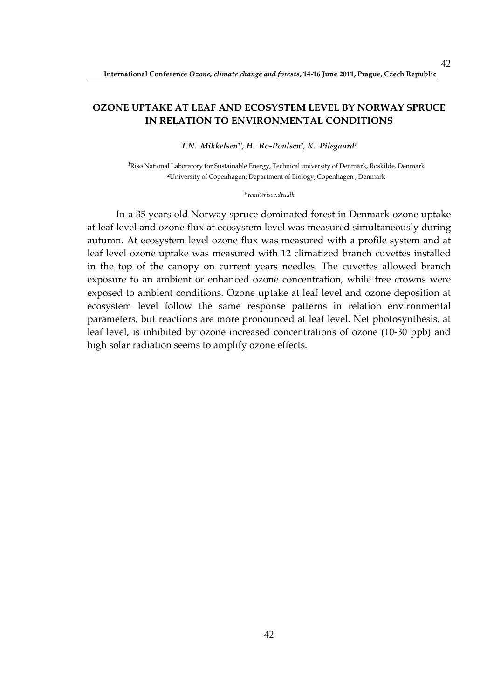### **OZONE UPTAKE AT LEAF AND ECOSYSTEM LEVEL BY NORWAY SPRUCE IN RELATION TO ENVIRONMENTAL CONDITIONS**

*T.N. Mikkelsen1\*, H. Ro-Poulsen<sup>2</sup> , K. Pilegaard<sup>1</sup>*

*<sup>1</sup>*Risø National Laboratory for Sustainable Energy, Technical university of Denmark, Roskilde, Denmark *<sup>2</sup>*University of Copenhagen; Department of Biology; Copenhagen , Denmark

#### *\* temi@risoe.dtu.dk*

In a 35 years old Norway spruce dominated forest in Denmark ozone uptake at leaf level and ozone flux at ecosystem level was measured simultaneously during autumn. At ecosystem level ozone flux was measured with a profile system and at leaf level ozone uptake was measured with 12 climatized branch cuvettes installed in the top of the canopy on current years needles. The cuvettes allowed branch exposure to an ambient or enhanced ozone concentration, while tree crowns were exposed to ambient conditions. Ozone uptake at leaf level and ozone deposition at ecosystem level follow the same response patterns in relation environmental parameters, but reactions are more pronounced at leaf level. Net photosynthesis, at leaf level, is inhibited by ozone increased concentrations of ozone (10-30 ppb) and high solar radiation seems to amplify ozone effects.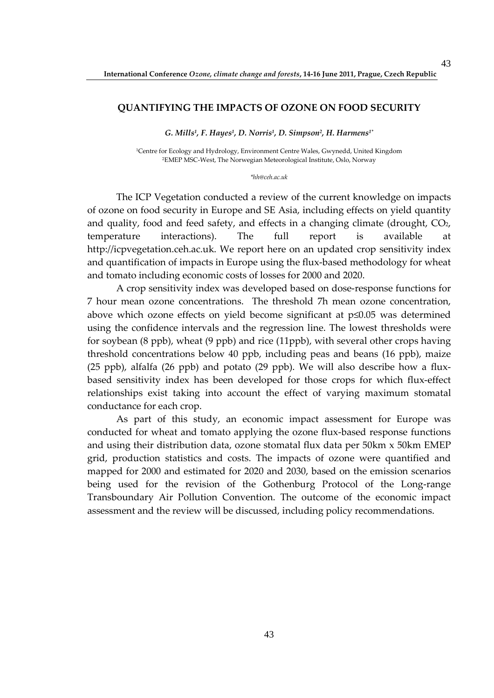#### **QUANTIFYING THE IMPACTS OF OZONE ON FOOD SECURITY**

*G. Mills<sup>1</sup> , F. Hayes<sup>1</sup> , D. Norris<sup>1</sup> , D. Simpson<sup>2</sup> , H. Harmens1\** 

<sup>1</sup>Centre for Ecology and Hydrology, Environment Centre Wales, Gwynedd, United Kingdom <sup>2</sup>EMEP MSC-West, The Norwegian Meteorological Institute, Oslo, Norway

*\*hh@ceh.ac.uk* 

The ICP Vegetation conducted a review of the current knowledge on impacts of ozone on food security in Europe and SE Asia, including effects on yield quantity and quality, food and feed safety, and effects in a changing climate (drought, CO2, temperature interactions). The full report is available at http://icpvegetation.ceh.ac.uk. We report here on an updated crop sensitivity index and quantification of impacts in Europe using the flux-based methodology for wheat and tomato including economic costs of losses for 2000 and 2020.

A crop sensitivity index was developed based on dose-response functions for 7 hour mean ozone concentrations. The threshold 7h mean ozone concentration, above which ozone effects on yield become significant at p≤0.05 was determined using the confidence intervals and the regression line. The lowest thresholds were for soybean (8 ppb), wheat (9 ppb) and rice (11ppb), with several other crops having threshold concentrations below 40 ppb, including peas and beans (16 ppb), maize (25 ppb), alfalfa (26 ppb) and potato (29 ppb). We will also describe how a fluxbased sensitivity index has been developed for those crops for which flux-effect relationships exist taking into account the effect of varying maximum stomatal conductance for each crop.

As part of this study, an economic impact assessment for Europe was conducted for wheat and tomato applying the ozone flux-based response functions and using their distribution data, ozone stomatal flux data per 50km x 50km EMEP grid, production statistics and costs. The impacts of ozone were quantified and mapped for 2000 and estimated for 2020 and 2030, based on the emission scenarios being used for the revision of the Gothenburg Protocol of the Long-range Transboundary Air Pollution Convention. The outcome of the economic impact assessment and the review will be discussed, including policy recommendations.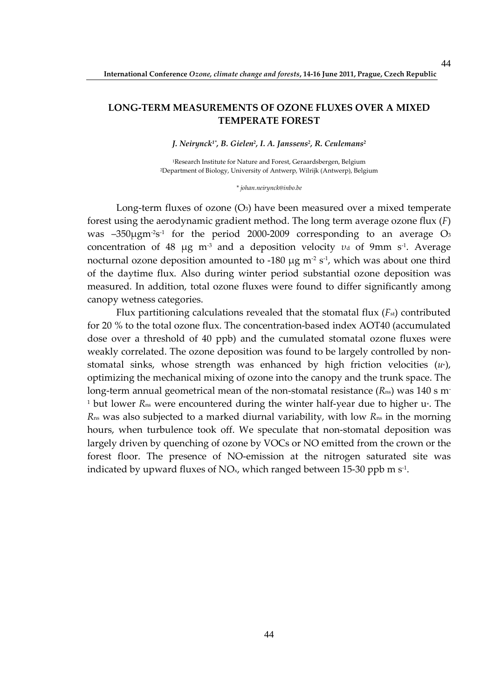### **LONG-TERM MEASUREMENTS OF OZONE FLUXES OVER A MIXED TEMPERATE FOREST**

*J. Neirynck1\*, B. Gielen<sup>2</sup> , I. A. Janssens<sup>2</sup> , R. Ceulemans<sup>2</sup>*

<sup>1</sup>Research Institute for Nature and Forest, Geraardsbergen, Belgium <sup>2</sup>Department of Biology, University of Antwerp, Wilrijk (Antwerp), Belgium

*\* johan.neirynck@inbo.be* 

Long-term fluxes of ozone  $(O_3)$  have been measured over a mixed temperate forest using the aerodynamic gradient method. The long term average ozone flux (*F*) was –350 $\mu$ gm<sup>-2</sup>s<sup>-1</sup> for the period 2000-2009 corresponding to an average O3 concentration of 48 μg m<sup>-3</sup> and a deposition velocity *ν*<sup>d</sup> of 9mm s<sup>-1</sup>. Average nocturnal ozone deposition amounted to -180  $\mu$ g m<sup>-2</sup> s<sup>-1</sup>, which was about one third of the daytime flux. Also during winter period substantial ozone deposition was measured. In addition, total ozone fluxes were found to differ significantly among canopy wetness categories.

Flux partitioning calculations revealed that the stomatal flux (*F<sub>st</sub>*) contributed for 20 % to the total ozone flux. The concentration-based index AOT40 (accumulated dose over a threshold of 40 ppb) and the cumulated stomatal ozone fluxes were weakly correlated. The ozone deposition was found to be largely controlled by nonstomatal sinks, whose strength was enhanced by high friction velocities (*u*\*), optimizing the mechanical mixing of ozone into the canopy and the trunk space. The long-term annual geometrical mean of the non-stomatal resistance (*R*ns) was 140 s m-<sup>1</sup> but lower *R*<sub>ns</sub> were encountered during the winter half-year due to higher u<sub>\*</sub>. The *R*ns was also subjected to a marked diurnal variability, with low *R*ns in the morning hours, when turbulence took off. We speculate that non-stomatal deposition was largely driven by quenching of ozone by VOCs or NO emitted from the crown or the forest floor. The presence of NO-emission at the nitrogen saturated site was indicated by upward fluxes of NO<sub>x</sub>, which ranged between 15-30 ppb m  $s<sup>-1</sup>$ .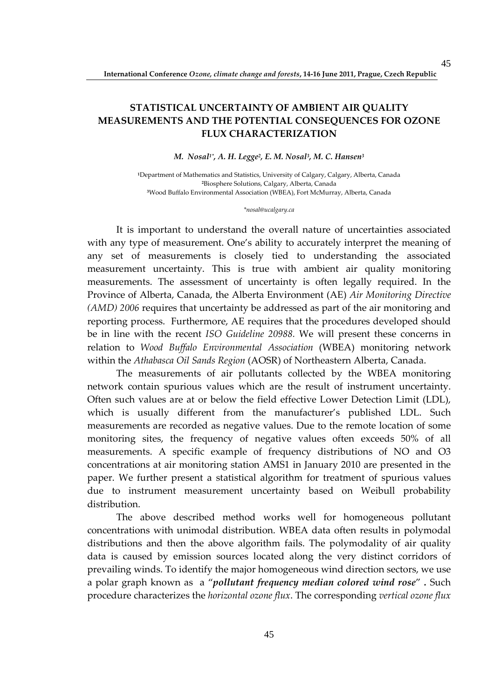# **STATISTICAL UNCERTAINTY OF AMBIENT AIR QUALITY MEASUREMENTS AND THE POTENTIAL CONSEQUENCES FOR OZONE FLUX CHARACTERIZATION**

#### *M. Nosal1\*, A. H. Legge<sup>2</sup> , E. M. Nosal<sup>3</sup> , M. C. Hansen<sup>3</sup>*

**<sup>1</sup>**Department of Mathematics and Statistics, University of Calgary, Calgary, Alberta, Canada **<sup>2</sup>**Biosphere Solutions, Calgary, Alberta, Canada **<sup>3</sup>**Wood Buffalo Environmental Association (WBEA), Fort McMurray, Alberta, Canada

#### *\*nosal@ucalgary.ca*

It is important to understand the overall nature of uncertainties associated with any type of measurement. One's ability to accurately interpret the meaning of any set of measurements is closely tied to understanding the associated measurement uncertainty. This is true with ambient air quality monitoring measurements. The assessment of uncertainty is often legally required. In the Province of Alberta, Canada, the Alberta Environment (AE) *Air Monitoring Directive (AMD) 2006* requires that uncertainty be addressed as part of the air monitoring and reporting process. Furthermore, AE requires that the procedures developed should be in line with the recent *ISO Guideline 20988.* We will present these concerns in relation to *Wood Buffalo Environmental Association* (WBEA) monitoring network within the *Athabasca Oil Sands Region* (AOSR) of Northeastern Alberta, Canada.

The measurements of air pollutants collected by the WBEA monitoring network contain spurious values which are the result of instrument uncertainty. Often such values are at or below the field effective Lower Detection Limit (LDL), which is usually different from the manufacturer's published LDL. Such measurements are recorded as negative values. Due to the remote location of some monitoring sites, the frequency of negative values often exceeds 50% of all measurements. A specific example of frequency distributions of NO and O3 concentrations at air monitoring station AMS1 in January 2010 are presented in the paper. We further present a statistical algorithm for treatment of spurious values due to instrument measurement uncertainty based on Weibull probability distribution.

The above described method works well for homogeneous pollutant concentrations with unimodal distribution. WBEA data often results in polymodal distributions and then the above algorithm fails. The polymodality of air quality data is caused by emission sources located along the very distinct corridors of prevailing winds. To identify the major homogeneous wind direction sectors, we use a polar graph known as a "*pollutant frequency median colored wind rose*" *.* Such procedure characterizes the *horizontal ozone flux*. The corresponding *vertical ozone flux*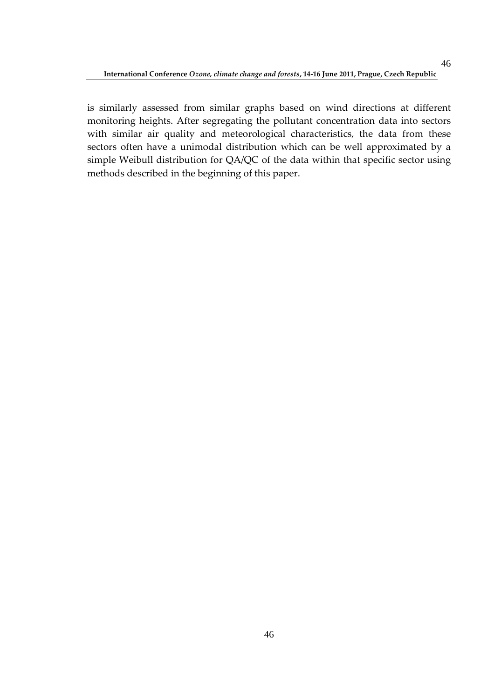is similarly assessed from similar graphs based on wind directions at different monitoring heights. After segregating the pollutant concentration data into sectors with similar air quality and meteorological characteristics, the data from these sectors often have a unimodal distribution which can be well approximated by a simple Weibull distribution for QA/QC of the data within that specific sector using methods described in the beginning of this paper.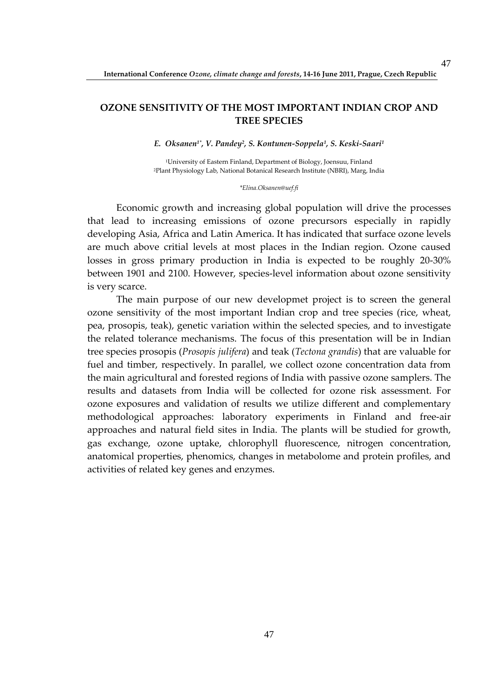### **OZONE SENSITIVITY OF THE MOST IMPORTANT INDIAN CROP AND TREE SPECIES**

*E. Oksanen1\*, V. Pandey<sup>2</sup> , S. Kontunen-Soppela<sup>1</sup> , S. Keski-Saari<sup>1</sup>*

<sup>1</sup>University of Eastern Finland, Department of Biology, Joensuu, Finland <sup>2</sup>Plant Physiology Lab, National Botanical Research Institute (NBRI), Marg, India

*\*Elina.Oksanen@uef.fi* 

Economic growth and increasing global population will drive the processes that lead to increasing emissions of ozone precursors especially in rapidly developing Asia, Africa and Latin America. It has indicated that surface ozone levels are much above critial levels at most places in the Indian region. Ozone caused losses in gross primary production in India is expected to be roughly 20-30% between 1901 and 2100. However, species-level information about ozone sensitivity is very scarce.

The main purpose of our new developmet project is to screen the general ozone sensitivity of the most important Indian crop and tree species (rice, wheat, pea, prosopis, teak), genetic variation within the selected species, and to investigate the related tolerance mechanisms. The focus of this presentation will be in Indian tree species prosopis (*Prosopis julifera*) and teak (*Tectona grandis*) that are valuable for fuel and timber, respectively. In parallel, we collect ozone concentration data from the main agricultural and forested regions of India with passive ozone samplers. The results and datasets from India will be collected for ozone risk assessment. For ozone exposures and validation of results we utilize different and complementary methodological approaches: laboratory experiments in Finland and free-air approaches and natural field sites in India. The plants will be studied for growth, gas exchange, ozone uptake, chlorophyll fluorescence, nitrogen concentration, anatomical properties, phenomics, changes in metabolome and protein profiles, and activities of related key genes and enzymes.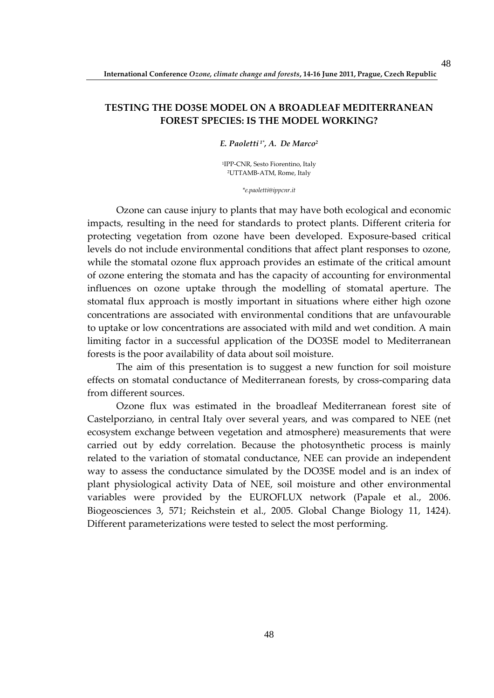### **TESTING THE DO3SE MODEL ON A BROADLEAF MEDITERRANEAN FOREST SPECIES: IS THE MODEL WORKING?**

#### *E. Paoletti 1\*, A. De Marco<sup>2</sup>*

<sup>1</sup>IPP-CNR, Sesto Fiorentino, Italy <sup>2</sup>UTTAMB-ATM, Rome, Italy

*\*e.paoletti@ippcnr.it* 

Ozone can cause injury to plants that may have both ecological and economic impacts, resulting in the need for standards to protect plants. Different criteria for protecting vegetation from ozone have been developed. Exposure-based critical levels do not include environmental conditions that affect plant responses to ozone, while the stomatal ozone flux approach provides an estimate of the critical amount of ozone entering the stomata and has the capacity of accounting for environmental influences on ozone uptake through the modelling of stomatal aperture. The stomatal flux approach is mostly important in situations where either high ozone concentrations are associated with environmental conditions that are unfavourable to uptake or low concentrations are associated with mild and wet condition. A main limiting factor in a successful application of the DO3SE model to Mediterranean forests is the poor availability of data about soil moisture.

The aim of this presentation is to suggest a new function for soil moisture effects on stomatal conductance of Mediterranean forests, by cross-comparing data from different sources.

Ozone flux was estimated in the broadleaf Mediterranean forest site of Castelporziano, in central Italy over several years, and was compared to NEE (net ecosystem exchange between vegetation and atmosphere) measurements that were carried out by eddy correlation. Because the photosynthetic process is mainly related to the variation of stomatal conductance, NEE can provide an independent way to assess the conductance simulated by the DO3SE model and is an index of plant physiological activity Data of NEE, soil moisture and other environmental variables were provided by the EUROFLUX network (Papale et al., 2006. Biogeosciences 3, 571; Reichstein et al., 2005. Global Change Biology 11, 1424). Different parameterizations were tested to select the most performing.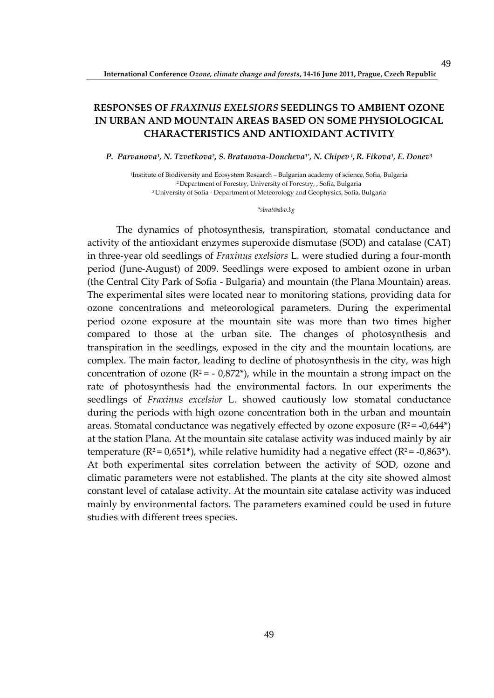# **RESPONSES OF** *FRAXINUS EXELSIORS* **SEEDLINGS TO AMBIENT OZONE IN URBAN AND MOUNTAIN AREAS BASED ON SOME PHYSIOLOGICAL CHARACTERISTICS AND ANTIOXIDANT ACTIVITY**

*P. Parvanova<sup>1</sup> , N. Tzvetkova<sup>2</sup> , S. Bratanova-Doncheva1\*, N. Chipev<sup>1</sup> , R. Fikova<sup>1</sup> , E. Donev<sup>3</sup>*

<sup>1</sup>Institute of Biodiversity and Ecosystem Research – Bulgarian academy of science, Sofia, Bulgaria <sup>2</sup>Department of Forestry, University of Forestry, , Sofia, Bulgaria <sup>3</sup>University of Sofia - Department of Meteorology and Geophysics, Sofia, Bulgaria

#### *\*sbrat@abv.bg*

The dynamics of photosynthesis, transpiration, stomatal conductance and activity of the antioxidant enzymes superoxide dismutase (SOD) and catalase (CAT) in three-year old seedlings of *Fraxinus exelsiors* L. were studied during a four-month period (June-August) of 2009. Seedlings were exposed to ambient ozone in urban (the Central City Park of Sofia - Bulgaria) and mountain (the Plana Mountain) areas. The experimental sites were located near to monitoring stations, providing data for ozone concentrations and meteorological parameters. During the experimental period ozone exposure at the mountain site was more than two times higher compared to those at the urban site. The changes of photosynthesis and transpiration in the seedlings, exposed in the city and the mountain locations, are complex. The main factor, leading to decline of photosynthesis in the city, was high concentration of ozone ( $R^2 = -0.872^*$ ), while in the mountain a strong impact on the rate of photosynthesis had the environmental factors. In our experiments the seedlings of *Fraxinus excelsior* L. showed cautiously low stomatal conductance during the periods with high ozone concentration both in the urban and mountain areas. Stomatal conductance was negatively effected by ozone exposure  $(R^2 = -0.644^*)$ at the station Plana. At the mountain site catalase activity was induced mainly by air temperature ( $R^2 = 0.651^*$ ), while relative humidity had a negative effect ( $R^2 = -0.863^*$ ). At both experimental sites correlation between the activity of SOD, ozone and climatic parameters were not established. The plants at the city site showed almost constant level of catalase activity. At the mountain site catalase activity was induced mainly by environmental factors. The parameters examined could be used in future studies with different trees species.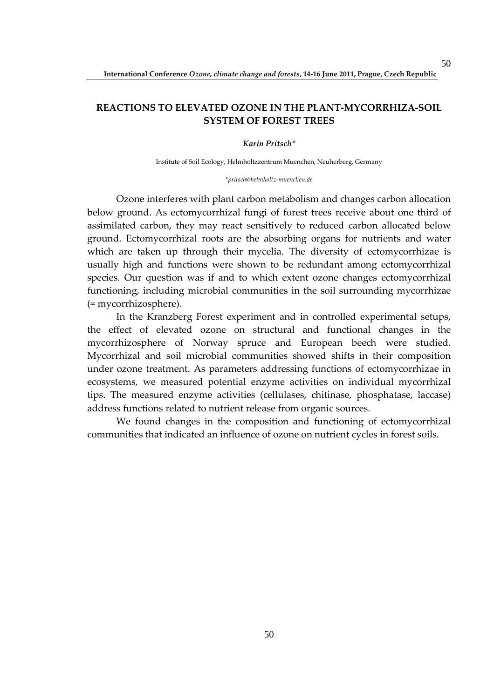# **REACTIONS TO ELEVATED OZONE IN THE PLANT-MYCORRHIZA-SOIL SYSTEM OF FOREST TREES**

*Karin Pritsch\** 

Institute of Soil Ecology, Helmholtzzentrum Muenchen, Neuherberg, Germany

*\*pritsch@helmholtz-muenchen.de* 

Ozone interferes with plant carbon metabolism and changes carbon allocation below ground. As ectomycorrhizal fungi of forest trees receive about one third of assimilated carbon, they may react sensitively to reduced carbon allocated below ground. Ectomycorrhizal roots are the absorbing organs for nutrients and water which are taken up through their mycelia. The diversity of ectomycorrhizae is usually high and functions were shown to be redundant among ectomycorrhizal species. Our question was if and to which extent ozone changes ectomycorrhizal functioning, including microbial communities in the soil surrounding mycorrhizae (= mycorrhizosphere).

In the Kranzberg Forest experiment and in controlled experimental setups, the effect of elevated ozone on structural and functional changes in the mycorrhizosphere of Norway spruce and European beech were studied. Mycorrhizal and soil microbial communities showed shifts in their composition under ozone treatment. As parameters addressing functions of ectomycorrhizae in ecosystems, we measured potential enzyme activities on individual mycorrhizal tips. The measured enzyme activities (cellulases, chitinase, phosphatase, laccase) address functions related to nutrient release from organic sources.

We found changes in the composition and functioning of ectomycorrhizal communities that indicated an influence of ozone on nutrient cycles in forest soils.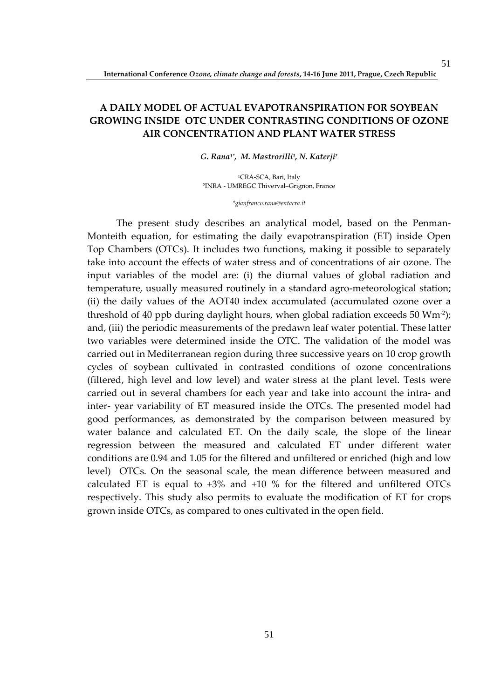# **A DAILY MODEL OF ACTUAL EVAPOTRANSPIRATION FOR SOYBEAN GROWING INSIDE OTC UNDER CONTRASTING CONDITIONS OF OZONE AIR CONCENTRATION AND PLANT WATER STRESS**

#### *G. Rana1\*, M. Mastrorilli<sup>1</sup> , N. Katerji<sup>2</sup>*

<sup>1</sup>CRA-SCA, Bari, Italy <sup>2</sup>INRA - UMREGC Thiverval–Grignon, France

*\*gianfranco.rana@entacra.it* 

The present study describes an analytical model, based on the Penman-Monteith equation, for estimating the daily evapotranspiration (ET) inside Open Top Chambers (OTCs). It includes two functions, making it possible to separately take into account the effects of water stress and of concentrations of air ozone. The input variables of the model are: (i) the diurnal values of global radiation and temperature, usually measured routinely in a standard agro-meteorological station; (ii) the daily values of the AOT40 index accumulated (accumulated ozone over a threshold of 40 ppb during daylight hours, when global radiation exceeds 50  $Wm^2$ ; and, (iii) the periodic measurements of the predawn leaf water potential. These latter two variables were determined inside the OTC. The validation of the model was carried out in Mediterranean region during three successive years on 10 crop growth cycles of soybean cultivated in contrasted conditions of ozone concentrations (filtered, high level and low level) and water stress at the plant level. Tests were carried out in several chambers for each year and take into account the intra- and inter- year variability of ET measured inside the OTCs. The presented model had good performances, as demonstrated by the comparison between measured by water balance and calculated ET. On the daily scale, the slope of the linear regression between the measured and calculated ET under different water conditions are 0.94 and 1.05 for the filtered and unfiltered or enriched (high and low level) OTCs. On the seasonal scale, the mean difference between measured and calculated ET is equal to +3% and +10 % for the filtered and unfiltered OTCs respectively. This study also permits to evaluate the modification of ET for crops grown inside OTCs, as compared to ones cultivated in the open field.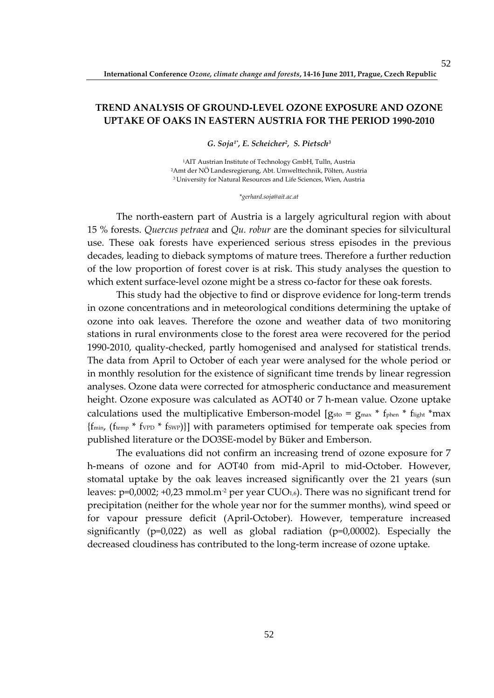# **TREND ANALYSIS OF GROUND-LEVEL OZONE EXPOSURE AND OZONE UPTAKE OF OAKS IN EASTERN AUSTRIA FOR THE PERIOD 1990-2010**

*G. Soja1\*, E. Scheicher<sup>2</sup> , S. Pietsch<sup>3</sup>*

<sup>1</sup>AIT Austrian Institute of Technology GmbH, Tulln, Austria <sup>2</sup>Amt der NÖ Landesregierung, Abt. Umwelttechnik, Pölten, Austria <sup>3</sup>University for Natural Resources and Life Sciences, Wien, Austria

*\*gerhard.soja@ait.ac.at* 

The north-eastern part of Austria is a largely agricultural region with about 15 % forests. *Quercus petraea* and *Qu. robur* are the dominant species for silvicultural use. These oak forests have experienced serious stress episodes in the previous decades, leading to dieback symptoms of mature trees. Therefore a further reduction of the low proportion of forest cover is at risk. This study analyses the question to which extent surface-level ozone might be a stress co-factor for these oak forests.

This study had the objective to find or disprove evidence for long-term trends in ozone concentrations and in meteorological conditions determining the uptake of ozone into oak leaves. Therefore the ozone and weather data of two monitoring stations in rural environments close to the forest area were recovered for the period 1990-2010, quality-checked, partly homogenised and analysed for statistical trends. The data from April to October of each year were analysed for the whole period or in monthly resolution for the existence of significant time trends by linear regression analyses. Ozone data were corrected for atmospheric conductance and measurement height. Ozone exposure was calculated as AOT40 or 7 h-mean value. Ozone uptake calculations used the multiplicative Emberson-model  $g_{sto} = g_{max} * f_{phen} * f_{light} * max$  ${f_{\text{fmin}}}, {f_{\text{temp}}}$  \*  $f_{\text{VPD}}$  \*  $f_{\text{SWP}}$ }] with parameters optimised for temperate oak species from published literature or the DO3SE-model by Büker and Emberson.

The evaluations did not confirm an increasing trend of ozone exposure for 7 h-means of ozone and for AOT40 from mid-April to mid-October. However, stomatal uptake by the oak leaves increased significantly over the 21 years (sun leaves:  $p=0,0002; +0,23$  mmol.m<sup>-2</sup> per year CUO<sub>1,6</sub>). There was no significant trend for precipitation (neither for the whole year nor for the summer months), wind speed or for vapour pressure deficit (April-October). However, temperature increased significantly ( $p=0.022$ ) as well as global radiation ( $p=0.00002$ ). Especially the decreased cloudiness has contributed to the long-term increase of ozone uptake.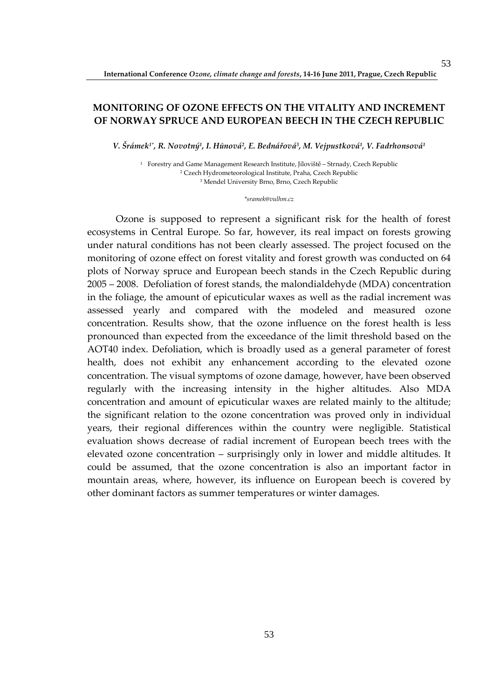### **MONITORING OF OZONE EFFECTS ON THE VITALITY AND INCREMENT OF NORWAY SPRUCE AND EUROPEAN BEECH IN THE CZECH REPUBLIC**

*V. Šrámek1\*, R. Novotný<sup>1</sup> , I. Hůnová<sup>2</sup> , E. Bednářová<sup>3</sup> , M. Vejpustková<sup>1</sup> , V. Fadrhonsová<sup>1</sup>*

1 Forestry and Game Management Research Institute, Jíloviště – Strnady, Czech Republic 2 Czech Hydrometeorological Institute, Praha, Czech Republic 3 Mendel University Brno, Brno, Czech Republic

#### *\*sramek@vulhm.cz*

Ozone is supposed to represent a significant risk for the health of forest ecosystems in Central Europe. So far, however, its real impact on forests growing under natural conditions has not been clearly assessed. The project focused on the monitoring of ozone effect on forest vitality and forest growth was conducted on 64 plots of Norway spruce and European beech stands in the Czech Republic during 2005 – 2008. Defoliation of forest stands, the malondialdehyde (MDA) concentration in the foliage, the amount of epicuticular waxes as well as the radial increment was assessed yearly and compared with the modeled and measured ozone concentration. Results show, that the ozone influence on the forest health is less pronounced than expected from the exceedance of the limit threshold based on the AOT40 index. Defoliation, which is broadly used as a general parameter of forest health, does not exhibit any enhancement according to the elevated ozone concentration. The visual symptoms of ozone damage, however, have been observed regularly with the increasing intensity in the higher altitudes. Also MDA concentration and amount of epicuticular waxes are related mainly to the altitude; the significant relation to the ozone concentration was proved only in individual years, their regional differences within the country were negligible. Statistical evaluation shows decrease of radial increment of European beech trees with the elevated ozone concentration – surprisingly only in lower and middle altitudes. It could be assumed, that the ozone concentration is also an important factor in mountain areas, where, however, its influence on European beech is covered by other dominant factors as summer temperatures or winter damages.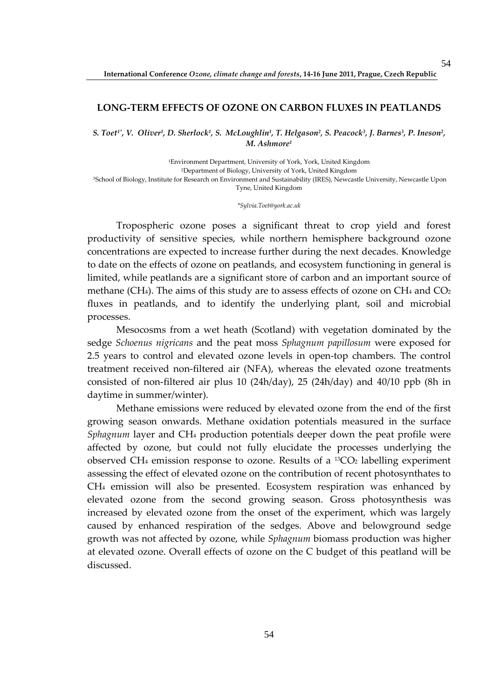#### **LONG-TERM EFFECTS OF OZONE ON CARBON FLUXES IN PEATLANDS**

S. Toet½, V. Oliver½, D. Sherlock½, S. McLoughlin½, T. Helgason², S. Peacock¾, J. Barnes¾, P. Ineson², *M. Ashmore<sup>1</sup>*

Environment Department, University of York, York, United Kingdom Department of Biology, University of York, United Kingdom School of Biology, Institute for Research on Environment and Sustainability (IRES), Newcastle University, Newcastle Upon Tyne, United Kingdom

*\*Sylvia.Toet@york.ac.uk* 

Tropospheric ozone poses a significant threat to crop yield and forest productivity of sensitive species, while northern hemisphere background ozone concentrations are expected to increase further during the next decades. Knowledge to date on the effects of ozone on peatlands, and ecosystem functioning in general is limited, while peatlands are a significant store of carbon and an important source of methane (CH<sub>4</sub>). The aims of this study are to assess effects of ozone on CH<sub>4</sub> and CO<sub>2</sub> fluxes in peatlands, and to identify the underlying plant, soil and microbial processes.

Mesocosms from a wet heath (Scotland) with vegetation dominated by the sedge *Schoenus nigricans* and the peat moss *Sphagnum papillosum* were exposed for 2.5 years to control and elevated ozone levels in open-top chambers. The control treatment received non-filtered air (NFA), whereas the elevated ozone treatments consisted of non-filtered air plus 10 (24h/day), 25 (24h/day) and 40/10 ppb (8h in daytime in summer/winter).

Methane emissions were reduced by elevated ozone from the end of the first growing season onwards. Methane oxidation potentials measured in the surface *Sphagnum* layer and CH4 production potentials deeper down the peat profile were affected by ozone, but could not fully elucidate the processes underlying the observed CH<sub>4</sub> emission response to ozone. Results of a <sup>13</sup>CO<sub>2</sub> labelling experiment assessing the effect of elevated ozone on the contribution of recent photosynthates to CH4 emission will also be presented. Ecosystem respiration was enhanced by elevated ozone from the second growing season. Gross photosynthesis was increased by elevated ozone from the onset of the experiment, which was largely caused by enhanced respiration of the sedges. Above and belowground sedge growth was not affected by ozone, while *Sphagnum* biomass production was higher at elevated ozone. Overall effects of ozone on the C budget of this peatland will be discussed.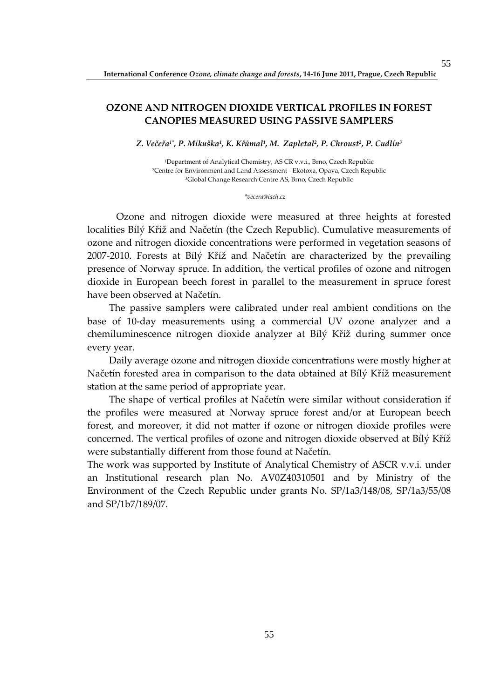### **OZONE AND NITROGEN DIOXIDE VERTICAL PROFILES IN FOREST CANOPIES MEASURED USING PASSIVE SAMPLERS**

*Z. Večeřa1\*, P. Mikuška<sup>1</sup> , K. Křůmal<sup>1</sup> , M. Zapletal<sup>2</sup> , P. Chroust<sup>2</sup> , P. Cudlín<sup>3</sup>*

<sup>1</sup>Department of Analytical Chemistry, AS CR v.v.i., Brno, Czech Republic <sup>2</sup>Centre for Environment and Land Assessment - Ekotoxa, Opava, Czech Republic <sup>3</sup>Global Change Research Centre AS, Brno, Czech Republic

#### *\*vecera@iach.cz*

 Ozone and nitrogen dioxide were measured at three heights at forested localities Bílý Kříž and Načetín (the Czech Republic). Cumulative measurements of ozone and nitrogen dioxide concentrations were performed in vegetation seasons of 2007-2010. Forests at Bílý Kříž and Načetín are characterized by the prevailing presence of Norway spruce. In addition, the vertical profiles of ozone and nitrogen dioxide in European beech forest in parallel to the measurement in spruce forest have been observed at Načetín.

 The passive samplers were calibrated under real ambient conditions on the base of 10-day measurements using a commercial UV ozone analyzer and a chemiluminescence nitrogen dioxide analyzer at Bílý Kříž during summer once every year.

 Daily average ozone and nitrogen dioxide concentrations were mostly higher at Načetín forested area in comparison to the data obtained at Bílý Kříž measurement station at the same period of appropriate year.

 The shape of vertical profiles at Načetín were similar without consideration if the profiles were measured at Norway spruce forest and/or at European beech forest, and moreover, it did not matter if ozone or nitrogen dioxide profiles were concerned. The vertical profiles of ozone and nitrogen dioxide observed at Bílý Kříž were substantially different from those found at Načetín.

The work was supported by Institute of Analytical Chemistry of ASCR v.v.i. under an Institutional research plan No. AV0Z40310501 and by Ministry of the Environment of the Czech Republic under grants No. SP/1a3/148/08, SP/1a3/55/08 and SP/1b7/189/07.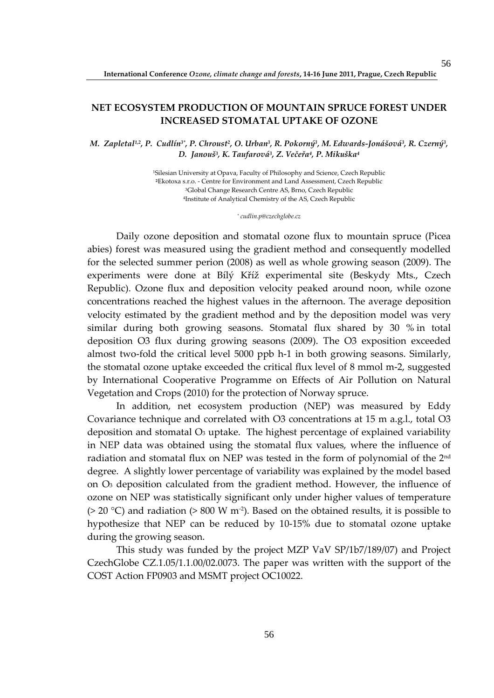### **NET ECOSYSTEM PRODUCTION OF MOUNTAIN SPRUCE FOREST UNDER INCREASED STOMATAL UPTAKE OF OZONE**

*M. Zapletal1,2, P. Cudlín3\*, P. Chroust<sup>2</sup> , O. Urban<sup>3</sup> , R. Pokorný<sup>3</sup> , M. Edwards-Jonášová<sup>3</sup> , R. Czerný<sup>3</sup> , D. Janouš<sup>3</sup> , K. Taufarová<sup>3</sup> , Z. Večeřa<sup>4</sup> , P. Mikuška<sup>4</sup>*

> Silesian University at Opava, Faculty of Philosophy and Science, Czech Republic Ekotoxa s.r.o. - Centre for Environment and Land Assessment, Czech Republic Global Change Research Centre AS, Brno, Czech Republic Institute of Analytical Chemistry of the AS, Czech Republic

> > *\* cudlin.p@czechglobe.cz*

Daily ozone deposition and stomatal ozone flux to mountain spruce (Picea abies) forest was measured using the gradient method and consequently modelled for the selected summer perion (2008) as well as whole growing season (2009). The experiments were done at Bílý Kříž experimental site (Beskydy Mts., Czech Republic). Ozone flux and deposition velocity peaked around noon, while ozone concentrations reached the highest values in the afternoon. The average deposition velocity estimated by the gradient method and by the deposition model was very similar during both growing seasons. Stomatal flux shared by 30 % in total deposition O3 flux during growing seasons (2009). The O3 exposition exceeded almost two-fold the critical level 5000 ppb h-1 in both growing seasons. Similarly, the stomatal ozone uptake exceeded the critical flux level of 8 mmol m-2, suggested by International Cooperative Programme on Effects of Air Pollution on Natural Vegetation and Crops (2010) for the protection of Norway spruce.

In addition, net ecosystem production (NEP) was measured by Eddy Covariance technique and correlated with O3 concentrations at 15 m a.g.l., total O3 deposition and stomatal  $O_3$  uptake. The highest percentage of explained variability in NEP data was obtained using the stomatal flux values, where the influence of radiation and stomatal flux on NEP was tested in the form of polynomial of the 2nd degree. A slightly lower percentage of variability was explained by the model based on O3 deposition calculated from the gradient method. However, the influence of ozone on NEP was statistically significant only under higher values of temperature ( $>$  20 °C) and radiation ( $>$  800 W m<sup>-2</sup>). Based on the obtained results, it is possible to hypothesize that NEP can be reduced by 10-15% due to stomatal ozone uptake during the growing season.

This study was funded by the project MZP VaV SP/1b7/189/07) and Project CzechGlobe CZ.1.05/1.1.00/02.0073. The paper was written with the support of the COST Action FP0903 and MSMT project OC10022.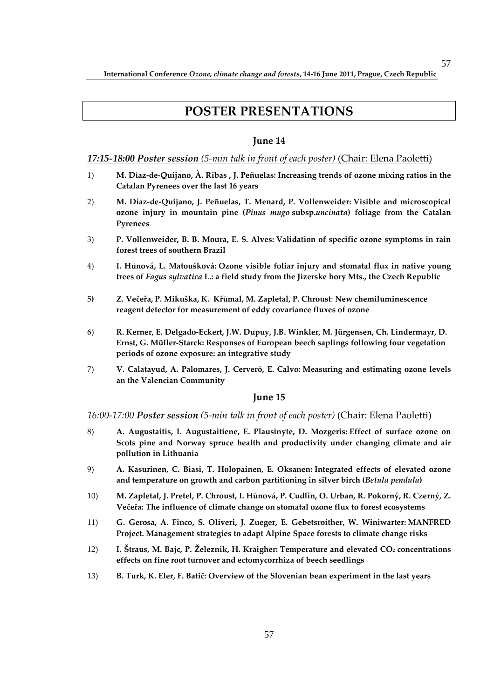# **POSTER PRESENTATIONS**

### **June 14**

#### *17:15-18:00 Poster session (5-min talk in front of each poster)* (Chair: Elena Paoletti)

- 1) **M. Díaz-de-Quijano, À. Ribas , J. Peñuelas: Increasing trends of ozone mixing ratios in the Catalan Pyrenees over the last 16 years**
- 2) **M. Díaz-de-Quijano, J. Peñuelas, T. Menard, P. Vollenweider: Visible and microscopical ozone injury in mountain pine (***Pinus mugo* **subsp.***uncinata***) foliage from the Catalan Pyrenees**
- 3) **P. Vollenweider, B. B. Moura, E. S. Alves: Validation of specific ozone symptoms in rain forest trees of southern Brazil**
- 4) **I. Hůnová, L. Matoušková: Ozone visible foliar injury and stomatal flux in native young trees of** *Fagus sylvatica* **L.: a field study from the Jizerske hory Mts., the Czech Republic**
- 5**) Z. Večeřa, P. Mikuška, K. Křůmal, M. Zapletal, P. Chroust**: **New chemiluminescence reagent detector for measurement of eddy covariance fluxes of ozone**
- 6) **R. Kerner, E. Delgado-Eckert, J.W. Dupuy, J.B. Winkler, M. Jürgensen, Ch. Lindermayr, D. Ernst, G. Müller-Starck: Responses of European beech saplings following four vegetation periods of ozone exposure: an integrative study**
- 7) **V. Calatayud, A. Palomares, J. Cerveró, E. Calvo: Measuring and estimating ozone levels an the Valencian Community**

#### **June 15**

#### *16:00-17:00 Poster session (5-min talk in front of each poster)* (Chair: Elena Paoletti)

- 8) **A. Augustaitis, I. Augustaitiene, E. Plausinyte, D. Mozgeris: Effect of surface ozone on Scots pine and Norway spruce health and productivity under changing climate and air pollution in Lithuania**
- 9) **A. Kasurinen, C. Biasi, T. Holopainen, E. Oksanen: Integrated effects of elevated ozone and temperature on growth and carbon partitioning in silver birch (***Betula pendula***)**
- 10) **M. Zapletal, J. Pretel, P. Chroust, I. Hůnová, P. Cudlín, O. Urban, R. Pokorný, R. Czerný, Z. Večeřa: The influence of climate change on stomatal ozone flux to forest ecosystems**
- 11) **G. Gerosa, A. Finco, S. Oliveri, J. Zueger, E. Gebetsroither, W. Winiwarter: MANFRED Project. Management strategies to adapt Alpine Space forests to climate change risks**
- 12) **I. Štraus, M. Bajc, P. Železnik, H. Kraigher: Temperature and elevated CO2 concentrations effects on fine root turnover and ectomycorrhiza of beech seedlings**
- 13) **B. Turk, K. Eler, F. Batič: Overview of the Slovenian bean experiment in the last years**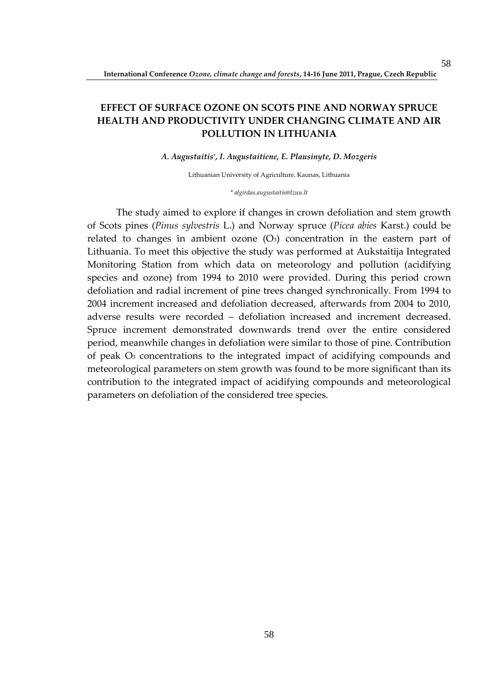# **EFFECT OF SURFACE OZONE ON SCOTS PINE AND NORWAY SPRUCE HEALTH AND PRODUCTIVITY UNDER CHANGING CLIMATE AND AIR POLLUTION IN LITHUANIA**

#### *A. Augustaitis\* , I. Augustaitiene, E. Plausinyte, D. Mozgeris*

Lithuanian University of Agriculture, Kaunas, Lithuania

*\* algirdas.augustaitis@lzuu.lt* 

The study aimed to explore if changes in crown defoliation and stem growth of Scots pines (*Pinus sylvestris* L.) and Norway spruce (*Picea abies* Karst.) could be related to changes in ambient ozone  $(O_3)$  concentration in the eastern part of Lithuania. To meet this objective the study was performed at Aukstaitija Integrated Monitoring Station from which data on meteorology and pollution (acidifying species and ozone) from 1994 to 2010 were provided. During this period crown defoliation and radial increment of pine trees changed synchronically. From 1994 to 2004 increment increased and defoliation decreased, afterwards from 2004 to 2010, adverse results were recorded – defoliation increased and increment decreased. Spruce increment demonstrated downwards trend over the entire considered period, meanwhile changes in defoliation were similar to those of pine. Contribution of peak O3 concentrations to the integrated impact of acidifying compounds and meteorological parameters on stem growth was found to be more significant than its contribution to the integrated impact of acidifying compounds and meteorological parameters on defoliation of the considered tree species.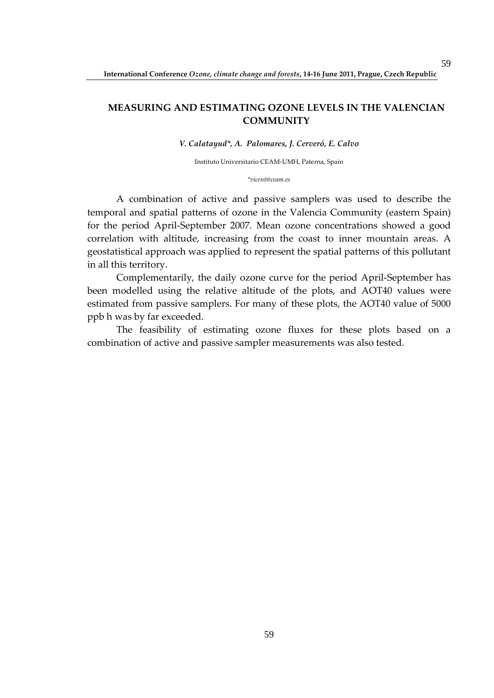### **MEASURING AND ESTIMATING OZONE LEVELS IN THE VALENCIAN COMMUNITY**

*V. Calatayud\*, A. Palomares, J. Cerveró, E. Calvo* 

Instituto Universitario CEAM-UMH, Paterna, Spain

*\*vicent@ceam.es* 

A combination of active and passive samplers was used to describe the temporal and spatial patterns of ozone in the Valencia Community (eastern Spain) for the period April-September 2007. Mean ozone concentrations showed a good correlation with altitude, increasing from the coast to inner mountain areas. A geostatistical approach was applied to represent the spatial patterns of this pollutant in all this territory.

Complementarily, the daily ozone curve for the period April-September has been modelled using the relative altitude of the plots, and AOT40 values were estimated from passive samplers. For many of these plots, the AOT40 value of 5000 ppb h was by far exceeded.

The feasibility of estimating ozone fluxes for these plots based on a combination of active and passive sampler measurements was also tested.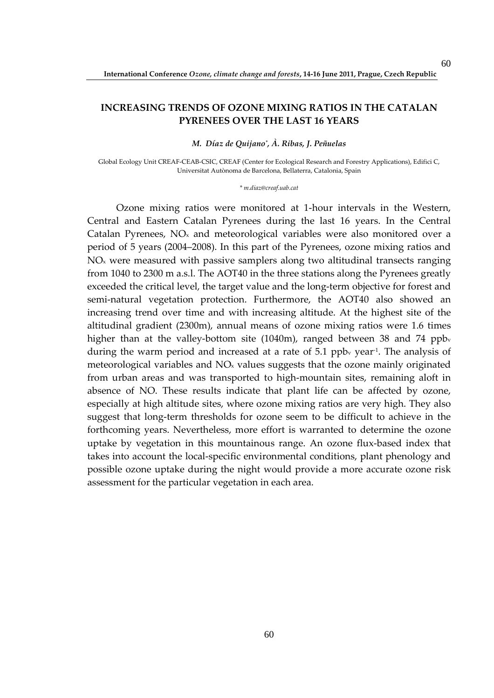### **INCREASING TRENDS OF OZONE MIXING RATIOS IN THE CATALAN PYRENEES OVER THE LAST 16 YEARS**

*M. Díaz de Quijano\* , À. Ribas, J. Peñuelas*

Global Ecology Unit CREAF-CEAB-CSIC, CREAF (Center for Ecological Research and Forestry Applications), Edifici C, Universitat Autònoma de Barcelona, Bellaterra, Catalonia, Spain

*\* m.diaz@creaf.uab.cat* 

Ozone mixing ratios were monitored at 1-hour intervals in the Western, Central and Eastern Catalan Pyrenees during the last 16 years. In the Central Catalan Pyrenees,  $NO<sub>x</sub>$  and meteorological variables were also monitored over a period of 5 years (2004–2008). In this part of the Pyrenees, ozone mixing ratios and  $NO<sub>x</sub>$  were measured with passive samplers along two altitudinal transects ranging from 1040 to 2300 m a.s.l. The AOT40 in the three stations along the Pyrenees greatly exceeded the critical level, the target value and the long-term objective for forest and semi-natural vegetation protection. Furthermore, the AOT40 also showed an increasing trend over time and with increasing altitude. At the highest site of the altitudinal gradient (2300m), annual means of ozone mixing ratios were 1.6 times higher than at the valley-bottom site  $(1040m)$ , ranged between 38 and 74 ppb<sub>v</sub> during the warm period and increased at a rate of 5.1 ppb<sub>v</sub> year<sup>1</sup>. The analysis of meteorological variables and NO<sub>x</sub> values suggests that the ozone mainly originated from urban areas and was transported to high-mountain sites, remaining aloft in absence of NO. These results indicate that plant life can be affected by ozone, especially at high altitude sites, where ozone mixing ratios are very high. They also suggest that long-term thresholds for ozone seem to be difficult to achieve in the forthcoming years. Nevertheless, more effort is warranted to determine the ozone uptake by vegetation in this mountainous range. An ozone flux-based index that takes into account the local-specific environmental conditions, plant phenology and possible ozone uptake during the night would provide a more accurate ozone risk assessment for the particular vegetation in each area.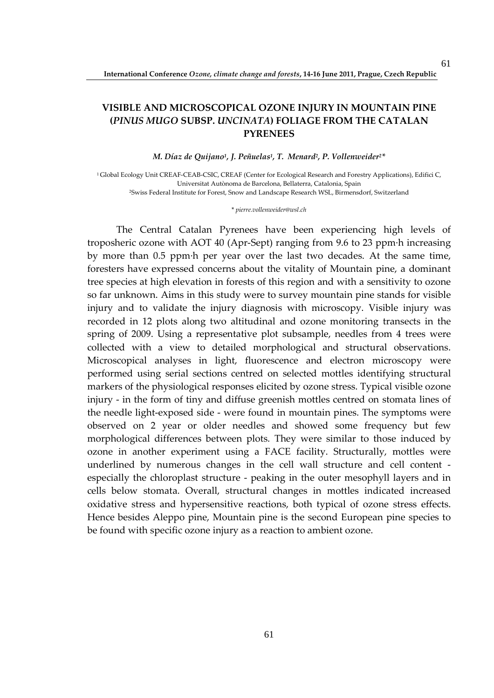# **VISIBLE AND MICROSCOPICAL OZONE INJURY IN MOUNTAIN PINE (***PINUS MUGO* **SUBSP.** *UNCINATA***) FOLIAGE FROM THE CATALAN PYRENEES**

*M. Díaz de Quijano<sup>1</sup> , J. Peñuelas<sup>1</sup> , T. Menard<sup>2</sup> , P. Vollenweider2\** 

<sup>1</sup>Global Ecology Unit CREAF-CEAB-CSIC, CREAF (Center for Ecological Research and Forestry Applications), Edifici C, Universitat Autònoma de Barcelona, Bellaterra, Catalonia, Spain <sup>2</sup>Swiss Federal Institute for Forest, Snow and Landscape Research WSL, Birmensdorf, Switzerland

\* *pierre.vollenweider@wsl.ch*

The Central Catalan Pyrenees have been experiencing high levels of troposheric ozone with AOT 40 (Apr-Sept) ranging from 9.6 to 23 ppm·h increasing by more than 0.5 ppm·h per year over the last two decades. At the same time, foresters have expressed concerns about the vitality of Mountain pine, a dominant tree species at high elevation in forests of this region and with a sensitivity to ozone so far unknown. Aims in this study were to survey mountain pine stands for visible injury and to validate the injury diagnosis with microscopy. Visible injury was recorded in 12 plots along two altitudinal and ozone monitoring transects in the spring of 2009. Using a representative plot subsample, needles from 4 trees were collected with a view to detailed morphological and structural observations. Microscopical analyses in light, fluorescence and electron microscopy were performed using serial sections centred on selected mottles identifying structural markers of the physiological responses elicited by ozone stress. Typical visible ozone injury - in the form of tiny and diffuse greenish mottles centred on stomata lines of the needle light-exposed side - were found in mountain pines. The symptoms were observed on 2 year or older needles and showed some frequency but few morphological differences between plots. They were similar to those induced by ozone in another experiment using a FACE facility. Structurally, mottles were underlined by numerous changes in the cell wall structure and cell content especially the chloroplast structure - peaking in the outer mesophyll layers and in cells below stomata. Overall, structural changes in mottles indicated increased oxidative stress and hypersensitive reactions, both typical of ozone stress effects. Hence besides Aleppo pine, Mountain pine is the second European pine species to be found with specific ozone injury as a reaction to ambient ozone.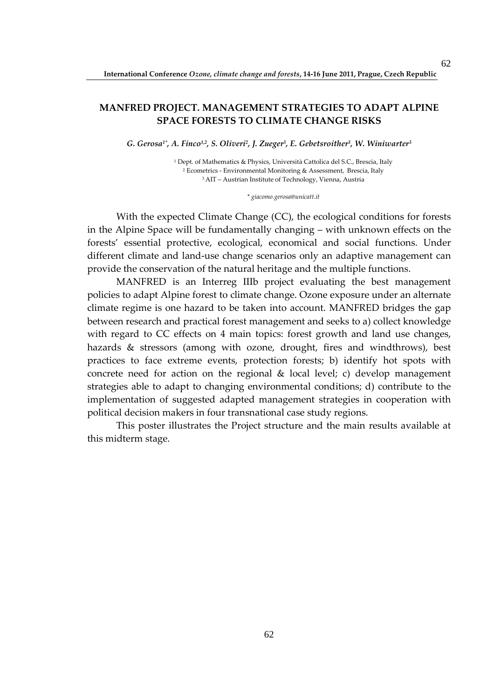### **MANFRED PROJECT. MANAGEMENT STRATEGIES TO ADAPT ALPINE SPACE FORESTS TO CLIMATE CHANGE RISKS**

*G. Gerosa1\*, A. Finco1,2, S. Oliveri<sup>2</sup> , J. Zueger<sup>3</sup> , E. Gebetsroither<sup>3</sup> , W. Winiwarter<sup>3</sup>*

1 Dept. of Mathematics & Physics, Università Cattolica del S.C., Brescia, Italy 2 Ecometrics - Environmental Monitoring & Assessment, Brescia, Italy <sup>3</sup>AIT – Austrian Institute of Technology, Vienna, Austria

*\* giacomo.gerosa@unicatt.it* 

With the expected Climate Change (CC), the ecological conditions for forests in the Alpine Space will be fundamentally changing – with unknown effects on the forests' essential protective, ecological, economical and social functions. Under different climate and land-use change scenarios only an adaptive management can provide the conservation of the natural heritage and the multiple functions.

MANFRED is an Interreg IIIb project evaluating the best management policies to adapt Alpine forest to climate change. Ozone exposure under an alternate climate regime is one hazard to be taken into account. MANFRED bridges the gap between research and practical forest management and seeks to a) collect knowledge with regard to CC effects on 4 main topics: forest growth and land use changes, hazards & stressors (among with ozone, drought, fires and windthrows), best practices to face extreme events, protection forests; b) identify hot spots with concrete need for action on the regional & local level; c) develop management strategies able to adapt to changing environmental conditions; d) contribute to the implementation of suggested adapted management strategies in cooperation with political decision makers in four transnational case study regions.

This poster illustrates the Project structure and the main results available at this midterm stage.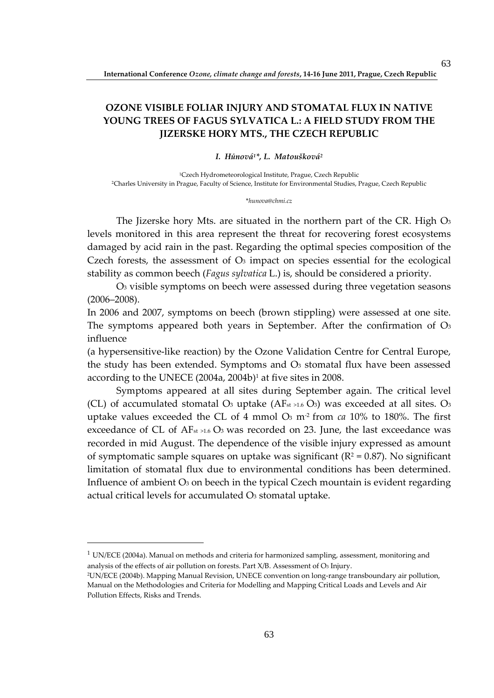# **OZONE VISIBLE FOLIAR INJURY AND STOMATAL FLUX IN NATIVE YOUNG TREES OF FAGUS SYLVATICA L.: A FIELD STUDY FROM THE JIZERSKE HORY MTS., THE CZECH REPUBLIC**

#### *I. Hůnová1\*, L. Matoušková<sup>2</sup>*

<sup>1</sup>Czech Hydrometeorological Institute, Prague, Czech Republic <sup>2</sup>Charles University in Prague, Faculty of Science, Institute for Environmental Studies, Prague, Czech Republic

#### \**hunova@chmi.cz*

The Jizerske hory Mts. are situated in the northern part of the CR. High  $O<sub>3</sub>$ levels monitored in this area represent the threat for recovering forest ecosystems damaged by acid rain in the past. Regarding the optimal species composition of the Czech forests, the assessment of  $O<sub>3</sub>$  impact on species essential for the ecological stability as common beech (*Fagus sylvatica* L.) is, should be considered a priority.

O3 visible symptoms on beech were assessed during three vegetation seasons (2006–2008).

In 2006 and 2007, symptoms on beech (brown stippling) were assessed at one site. The symptoms appeared both years in September. After the confirmation of  $O<sub>3</sub>$ influence

(a hypersensitive-like reaction) by the Ozone Validation Centre for Central Europe, the study has been extended. Symptoms and  $O<sub>3</sub>$  stomatal flux have been assessed according to the UNECE (2004a, 2004b)<sup>1</sup> at five sites in 2008.

Symptoms appeared at all sites during September again. The critical level (CL) of accumulated stomatal O<sub>3</sub> uptake  $(AF<sub>st >1.6</sub> O<sub>3</sub>)$  was exceeded at all sites. O<sub>3</sub> uptake values exceeded the CL of 4 mmol O3 m-2 from *ca* 10% to 180%. The first exceedance of CL of AF<sub>st >1.6</sub> O<sub>3</sub> was recorded on 23. June, the last exceedance was recorded in mid August. The dependence of the visible injury expressed as amount of symptomatic sample squares on uptake was significant ( $R^2$  = 0.87). No significant limitation of stomatal flux due to environmental conditions has been determined. Influence of ambient  $O_3$  on beech in the typical Czech mountain is evident regarding actual critical levels for accumulated O<sub>3</sub> stomatal uptake.

 $1$  UN/ECE (2004a). Manual on methods and criteria for harmonized sampling, assessment, monitoring and analysis of the effects of air pollution on forests. Part X/B. Assessment of O3 Injury.

<sup>2</sup>UN/ECE (2004b). Mapping Manual Revision, UNECE convention on long-range transboundary air pollution, Manual on the Methodologies and Criteria for Modelling and Mapping Critical Loads and Levels and Air Pollution Effects, Risks and Trends.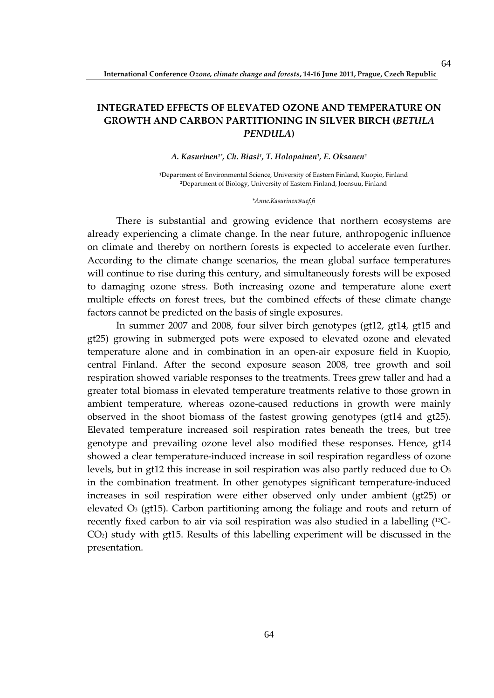# **INTEGRATED EFFECTS OF ELEVATED OZONE AND TEMPERATURE ON GROWTH AND CARBON PARTITIONING IN SILVER BIRCH (***BETULA PENDULA***)**

#### *A. Kasurinen1\*, Ch. Biasi<sup>1</sup> , T. Holopainen<sup>1</sup> , E. Oksanen<sup>2</sup>*

**<sup>1</sup>**Department of Environmental Science, University of Eastern Finland, Kuopio, Finland **<sup>2</sup>**Department of Biology, University of Eastern Finland, Joensuu, Finland

#### *\*Anne.Kasurinen@uef.fi*

There is substantial and growing evidence that northern ecosystems are already experiencing a climate change. In the near future, anthropogenic influence on climate and thereby on northern forests is expected to accelerate even further. According to the climate change scenarios, the mean global surface temperatures will continue to rise during this century, and simultaneously forests will be exposed to damaging ozone stress. Both increasing ozone and temperature alone exert multiple effects on forest trees, but the combined effects of these climate change factors cannot be predicted on the basis of single exposures.

In summer 2007 and 2008, four silver birch genotypes (gt12, gt14, gt15 and gt25) growing in submerged pots were exposed to elevated ozone and elevated temperature alone and in combination in an open-air exposure field in Kuopio, central Finland. After the second exposure season 2008, tree growth and soil respiration showed variable responses to the treatments. Trees grew taller and had a greater total biomass in elevated temperature treatments relative to those grown in ambient temperature, whereas ozone-caused reductions in growth were mainly observed in the shoot biomass of the fastest growing genotypes (gt14 and gt25). Elevated temperature increased soil respiration rates beneath the trees, but tree genotype and prevailing ozone level also modified these responses. Hence, gt14 showed a clear temperature-induced increase in soil respiration regardless of ozone levels, but in gt12 this increase in soil respiration was also partly reduced due to O3 in the combination treatment. In other genotypes significant temperature-induced increases in soil respiration were either observed only under ambient (gt25) or elevated  $O<sub>3</sub>$  (gt15). Carbon partitioning among the foliage and roots and return of recently fixed carbon to air via soil respiration was also studied in a labelling (13C-CO2) study with gt15. Results of this labelling experiment will be discussed in the presentation.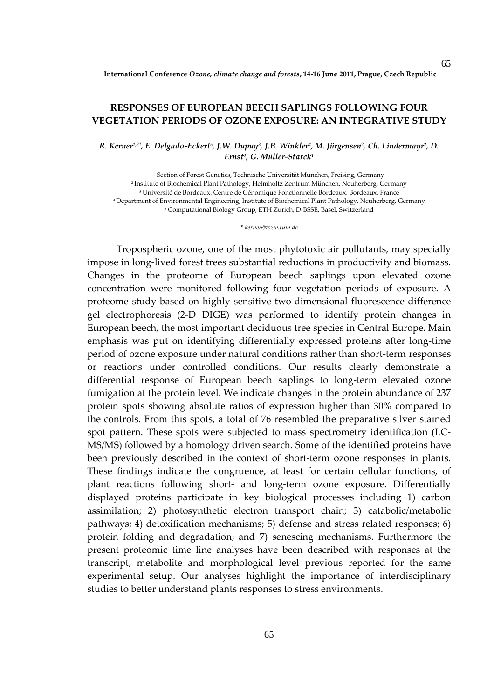### **RESPONSES OF EUROPEAN BEECH SAPLINGS FOLLOWING FOUR VEGETATION PERIODS OF OZONE EXPOSURE: AN INTEGRATIVE STUDY**

*R. Kerner1,2\*, E. Delgado-Eckert<sup>5</sup> , J.W. Dupuy<sup>3</sup> , J.B. Winkler<sup>4</sup> , M. Jürgensen<sup>2</sup> , Ch. Lindermayr<sup>2</sup> , D. Ernst<sup>2</sup> , G. Müller-Starck<sup>1</sup>*

Section of Forest Genetics, Technische Universität München, Freising, Germany Institute of Biochemical Plant Pathology, Helmholtz Zentrum München, Neuherberg, Germany Université de Bordeaux, Centre de Génomique Fonctionnelle Bordeaux, Bordeaux, France Department of Environmental Engineering, Institute of Biochemical Plant Pathology, Neuherberg, Germany Computational Biology Group, ETH Zurich, D-BSSE, Basel, Switzerland

*\* kerner@wzw.tum.de*

Tropospheric ozone, one of the most phytotoxic air pollutants, may specially impose in long-lived forest trees substantial reductions in productivity and biomass. Changes in the proteome of European beech saplings upon elevated ozone concentration were monitored following four vegetation periods of exposure. A proteome study based on highly sensitive two-dimensional fluorescence difference gel electrophoresis (2-D DIGE) was performed to identify protein changes in European beech, the most important deciduous tree species in Central Europe. Main emphasis was put on identifying differentially expressed proteins after long-time period of ozone exposure under natural conditions rather than short-term responses or reactions under controlled conditions. Our results clearly demonstrate a differential response of European beech saplings to long-term elevated ozone fumigation at the protein level. We indicate changes in the protein abundance of 237 protein spots showing absolute ratios of expression higher than 30% compared to the controls. From this spots, a total of 76 resembled the preparative silver stained spot pattern. These spots were subjected to mass spectrometry identification (LC-MS/MS) followed by a homology driven search. Some of the identified proteins have been previously described in the context of short-term ozone responses in plants. These findings indicate the congruence, at least for certain cellular functions, of plant reactions following short- and long-term ozone exposure. Differentially displayed proteins participate in key biological processes including 1) carbon assimilation; 2) photosynthetic electron transport chain; 3) catabolic/metabolic pathways; 4) detoxification mechanisms; 5) defense and stress related responses; 6) protein folding and degradation; and 7) senescing mechanisms. Furthermore the present proteomic time line analyses have been described with responses at the transcript, metabolite and morphological level previous reported for the same experimental setup. Our analyses highlight the importance of interdisciplinary studies to better understand plants responses to stress environments.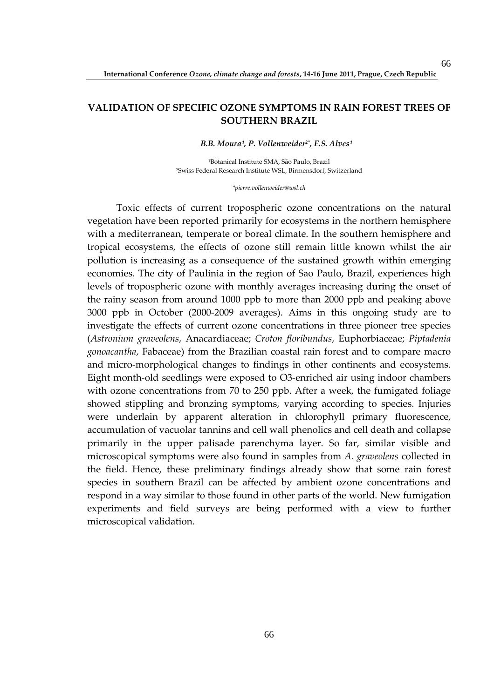### **VALIDATION OF SPECIFIC OZONE SYMPTOMS IN RAIN FOREST TREES OF SOUTHERN BRAZIL**

*B.B. Moura¹, P. Vollenweider2\*, E.S. Alves¹* 

<sup>1</sup>Botanical Institute SMA, São Paulo, Brazil <sup>2</sup>Swiss Federal Research Institute WSL, Birmensdorf, Switzerland

*\*pierre.vollenweider@wsl.ch* 

Toxic effects of current tropospheric ozone concentrations on the natural vegetation have been reported primarily for ecosystems in the northern hemisphere with a mediterranean, temperate or boreal climate. In the southern hemisphere and tropical ecosystems, the effects of ozone still remain little known whilst the air pollution is increasing as a consequence of the sustained growth within emerging economies. The city of Paulinia in the region of Sao Paulo, Brazil, experiences high levels of tropospheric ozone with monthly averages increasing during the onset of the rainy season from around 1000 ppb to more than 2000 ppb and peaking above 3000 ppb in October (2000-2009 averages). Aims in this ongoing study are to investigate the effects of current ozone concentrations in three pioneer tree species (*Astronium graveolens*, Anacardiaceae; *Croton floribundus*, Euphorbiaceae; *Piptadenia gonoacantha*, Fabaceae) from the Brazilian coastal rain forest and to compare macro and micro-morphological changes to findings in other continents and ecosystems. Eight month-old seedlings were exposed to O3-enriched air using indoor chambers with ozone concentrations from 70 to 250 ppb. After a week, the fumigated foliage showed stippling and bronzing symptoms, varying according to species. Injuries were underlain by apparent alteration in chlorophyll primary fluorescence, accumulation of vacuolar tannins and cell wall phenolics and cell death and collapse primarily in the upper palisade parenchyma layer. So far, similar visible and microscopical symptoms were also found in samples from *A. graveolens* collected in the field. Hence, these preliminary findings already show that some rain forest species in southern Brazil can be affected by ambient ozone concentrations and respond in a way similar to those found in other parts of the world. New fumigation experiments and field surveys are being performed with a view to further microscopical validation.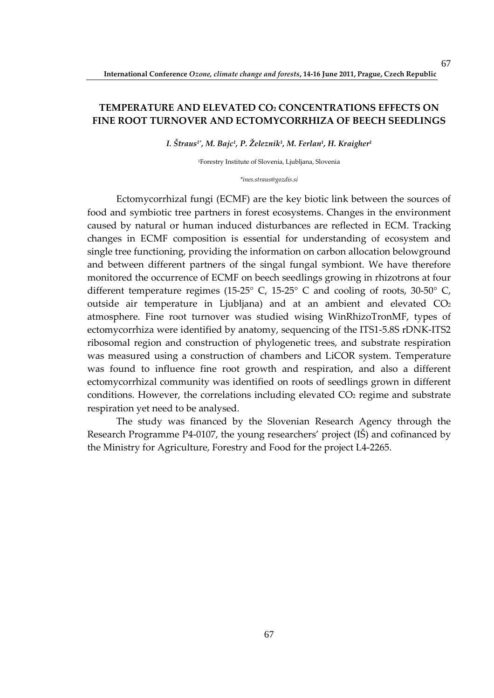### **TEMPERATURE AND ELEVATED CO2 CONCENTRATIONS EFFECTS ON FINE ROOT TURNOVER AND ECTOMYCORRHIZA OF BEECH SEEDLINGS**

*I. Štraus1\*, M. Bajc<sup>1</sup> , P. Železnik<sup>1</sup> , M. Ferlan<sup>1</sup> , H. Kraigher<sup>1</sup>*

<sup>1</sup>Forestry Institute of Slovenia, Ljubljana, Slovenia

*\*ines.straus@gozdis.si* 

Ectomycorrhizal fungi (ECMF) are the key biotic link between the sources of food and symbiotic tree partners in forest ecosystems. Changes in the environment caused by natural or human induced disturbances are reflected in ECM. Tracking changes in ECMF composition is essential for understanding of ecosystem and single tree functioning, providing the information on carbon allocation belowground and between different partners of the singal fungal symbiont. We have therefore monitored the occurrence of ECMF on beech seedlings growing in rhizotrons at four different temperature regimes (15-25° C, 15-25° C and cooling of roots, 30-50° C, outside air temperature in Ljubljana) and at an ambient and elevated CO<sup>2</sup> atmosphere. Fine root turnover was studied wising WinRhizoTronMF, types of ectomycorrhiza were identified by anatomy, sequencing of the ITS1-5.8S rDNK-ITS2 ribosomal region and construction of phylogenetic trees, and substrate respiration was measured using a construction of chambers and LiCOR system. Temperature was found to influence fine root growth and respiration, and also a different ectomycorrhizal community was identified on roots of seedlings grown in different conditions. However, the correlations including elevated  $CO<sub>2</sub>$  regime and substrate respiration yet need to be analysed.

The study was financed by the Slovenian Research Agency through the Research Programme P4-0107, the young researchers' project (IŠ) and cofinanced by the Ministry for Agriculture, Forestry and Food for the project L4-2265.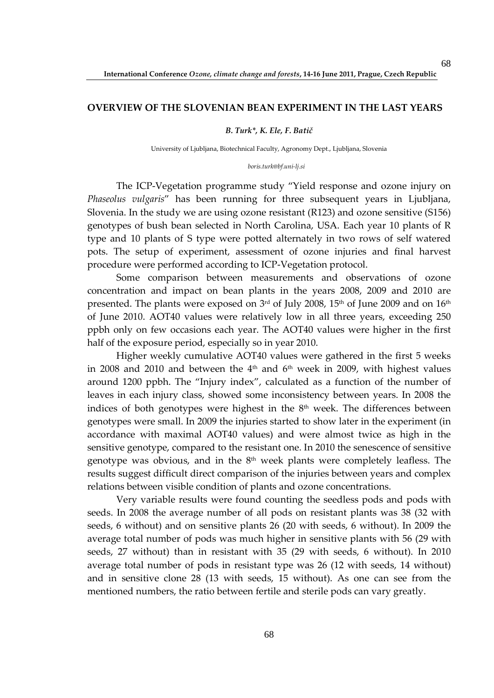#### **OVERVIEW OF THE SLOVENIAN BEAN EXPERIMENT IN THE LAST YEARS**

#### *B. Turk\*, K. Ele, F. Batič*

University of Ljubljana, Biotechnical Faculty, Agronomy Dept., Ljubljana, Slovenia

#### *boris.turk@bf.uni-lj.si*

The ICP-Vegetation programme study "Yield response and ozone injury on *Phaseolus vulgaris*" has been running for three subsequent years in Ljubljana, Slovenia. In the study we are using ozone resistant (R123) and ozone sensitive (S156) genotypes of bush bean selected in North Carolina, USA. Each year 10 plants of R type and 10 plants of S type were potted alternately in two rows of self watered pots. The setup of experiment, assessment of ozone injuries and final harvest procedure were performed according to ICP-Vegetation protocol.

Some comparison between measurements and observations of ozone concentration and impact on bean plants in the years 2008, 2009 and 2010 are presented. The plants were exposed on  $3<sup>rd</sup>$  of July 2008, 15<sup>th</sup> of June 2009 and on  $16<sup>th</sup>$ of June 2010. AOT40 values were relatively low in all three years, exceeding 250 ppbh only on few occasions each year. The AOT40 values were higher in the first half of the exposure period, especially so in year 2010.

Higher weekly cumulative AOT40 values were gathered in the first 5 weeks in 2008 and 2010 and between the  $4<sup>th</sup>$  and  $6<sup>th</sup>$  week in 2009, with highest values around 1200 ppbh. The "Injury index", calculated as a function of the number of leaves in each injury class, showed some inconsistency between years. In 2008 the indices of both genotypes were highest in the  $8<sup>th</sup>$  week. The differences between genotypes were small. In 2009 the injuries started to show later in the experiment (in accordance with maximal AOT40 values) and were almost twice as high in the sensitive genotype, compared to the resistant one. In 2010 the senescence of sensitive genotype was obvious, and in the  $8<sup>th</sup>$  week plants were completely leafless. The results suggest difficult direct comparison of the injuries between years and complex relations between visible condition of plants and ozone concentrations.

Very variable results were found counting the seedless pods and pods with seeds. In 2008 the average number of all pods on resistant plants was 38 (32 with seeds, 6 without) and on sensitive plants 26 (20 with seeds, 6 without). In 2009 the average total number of pods was much higher in sensitive plants with 56 (29 with seeds, 27 without) than in resistant with 35 (29 with seeds, 6 without). In 2010 average total number of pods in resistant type was 26 (12 with seeds, 14 without) and in sensitive clone 28 (13 with seeds, 15 without). As one can see from the mentioned numbers, the ratio between fertile and sterile pods can vary greatly.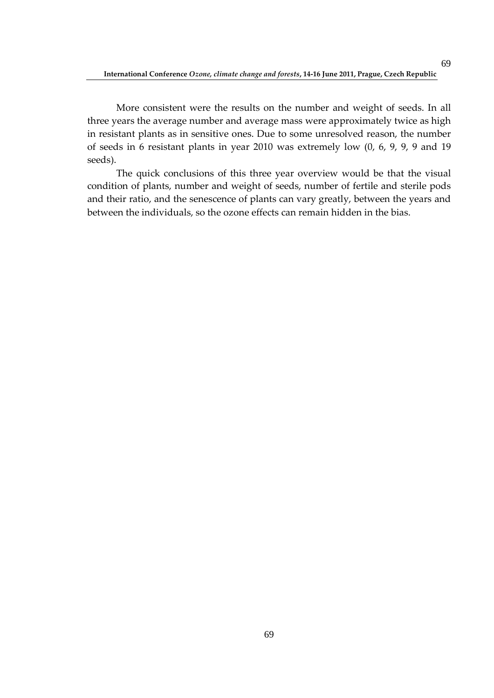More consistent were the results on the number and weight of seeds. In all three years the average number and average mass were approximately twice as high in resistant plants as in sensitive ones. Due to some unresolved reason, the number of seeds in 6 resistant plants in year 2010 was extremely low (0, 6, 9, 9, 9 and 19 seeds).

The quick conclusions of this three year overview would be that the visual condition of plants, number and weight of seeds, number of fertile and sterile pods and their ratio, and the senescence of plants can vary greatly, between the years and between the individuals, so the ozone effects can remain hidden in the bias.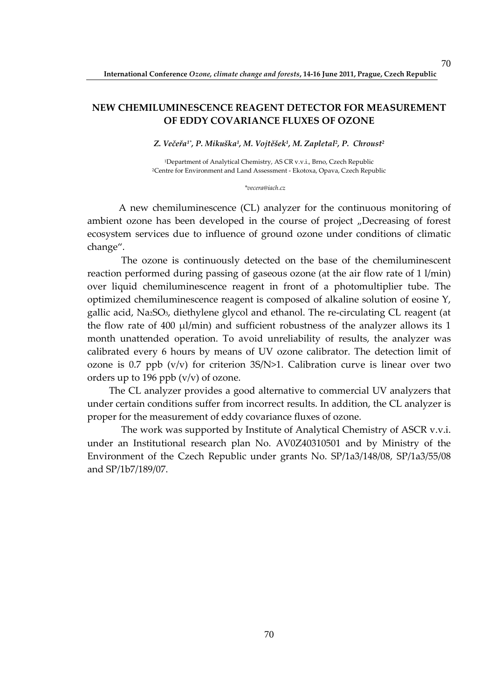### **NEW CHEMILUMINESCENCE REAGENT DETECTOR FOR MEASUREMENT OF EDDY COVARIANCE FLUXES OF OZONE**

*Z. Večeřa1\*, P. Mikuška<sup>1</sup> , M. Vojtěšek<sup>1</sup> , M. Zapletal<sup>2</sup> , P. Chroust<sup>2</sup>*

<sup>1</sup>Department of Analytical Chemistry, AS CR v.v.i., Brno, Czech Republic <sup>2</sup>Centre for Environment and Land Assessment - Ekotoxa, Opava, Czech Republic

*\*vecera@iach.cz* 

 A new chemiluminescence (CL) analyzer for the continuous monitoring of ambient ozone has been developed in the course of project "Decreasing of forest ecosystem services due to influence of ground ozone under conditions of climatic change".

 The ozone is continuously detected on the base of the chemiluminescent reaction performed during passing of gaseous ozone (at the air flow rate of 1 l/min) over liquid chemiluminescence reagent in front of a photomultiplier tube. The optimized chemiluminescence reagent is composed of alkaline solution of eosine Y, gallic acid, Na2SO3, diethylene glycol and ethanol. The re-circulating CL reagent (at the flow rate of 400  $\mu$ l/min) and sufficient robustness of the analyzer allows its 1 month unattended operation. To avoid unreliability of results, the analyzer was calibrated every 6 hours by means of UV ozone calibrator. The detection limit of ozone is 0.7 ppb  $(v/v)$  for criterion 3S/N>1. Calibration curve is linear over two orders up to 196 ppb  $(v/v)$  of ozone.

The CL analyzer provides a good alternative to commercial UV analyzers that under certain conditions suffer from incorrect results. In addition, the CL analyzer is proper for the measurement of eddy covariance fluxes of ozone.

 The work was supported by Institute of Analytical Chemistry of ASCR v.v.i. under an Institutional research plan No. AV0Z40310501 and by Ministry of the Environment of the Czech Republic under grants No. SP/1a3/148/08, SP/1a3/55/08 and SP/1b7/189/07.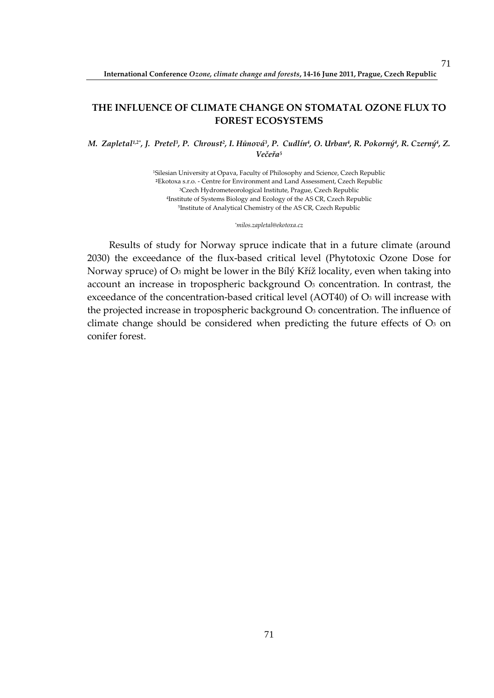### **THE INFLUENCE OF CLIMATE CHANGE ON STOMATAL OZONE FLUX TO FOREST ECOSYSTEMS**

M. Zapletal12\*, J. Pretel<sup>3</sup>, P. Chroust<sup>2</sup>, I. Hůnová<sup>3</sup>, P. Cudlín<sup>4</sup>, O. Urban<sup>4</sup>, R. Pokorný<sup>4</sup>, R. Czerný<sup>4</sup>, Z. *Večeřa<sup>5</sup>*

> Silesian University at Opava, Faculty of Philosophy and Science, Czech Republic Ekotoxa s.r.o. - Centre for Environment and Land Assessment, Czech Republic Czech Hydrometeorological Institute, Prague, Czech Republic Institute of Systems Biology and Ecology of the AS CR, Czech Republic Institute of Analytical Chemistry of the AS CR, Czech Republic

> > *\*milos.zapletal@ekotoxa.cz*

Results of study for Norway spruce indicate that in a future climate (around 2030) the exceedance of the flux-based critical level (Phytotoxic Ozone Dose for Norway spruce) of O3 might be lower in the Bílý Kříž locality, even when taking into account an increase in tropospheric background  $O<sub>3</sub>$  concentration. In contrast, the exceedance of the concentration-based critical level (AOT40) of O3 will increase with the projected increase in tropospheric background  $O_3$  concentration. The influence of climate change should be considered when predicting the future effects of  $O<sub>3</sub>$  on conifer forest.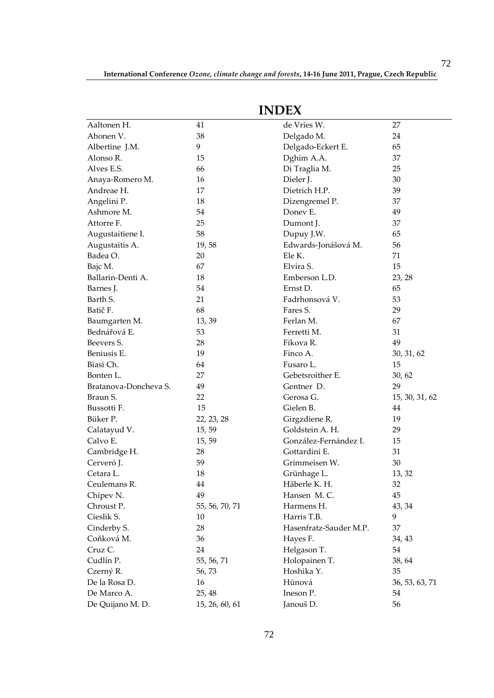|                       |                | INDEA                  |                |
|-----------------------|----------------|------------------------|----------------|
| Aaltonen H.           | 41             | de Vries W.            | 27             |
| Ahonen V.             | 38             | Delgado M.             | 24             |
| Albertine J.M.        | 9              | Delgado-Eckert E.      | 65             |
| Alonso R.             | 15             | Dghim A.A.             | 37             |
| Alves E.S.            | 66             | Di Traglia M.          | 25             |
| Anaya-Romero M.       | 16             | Dieler J.              | 30             |
| Andreae H.            | 17             | Dietrich H.P.          | 39             |
| Angelini P.           | 18             | Dizengremel P.         | 37             |
| Ashmore M.            | 54             | Doney E.               | 49             |
| Attorre F.            | 25             | Dumont J.              | 37             |
| Augustaitiene I.      | 58             | Dupuy J.W.             | 65             |
| Augustaitis A.        | 19,58          | Edwards-Jonášová M.    | 56             |
| Badea O.              | 20             | Ele K.                 | 71             |
| Bajc M.               | 67             | Elvira S.              | 15             |
| Ballarin-Denti A.     | 18             | Emberson L.D.          | 23, 28         |
| Barnes J.             | 54             | Ernst D.               | 65             |
| Barth S.              | 21             | Fadrhonsová V.         | 53             |
| Batič F.              | 68             | Fares S.               | 29             |
| Baumgarten M.         | 13, 39         | Ferlan M.              | 67             |
| Bednářová E.          | 53             | Ferretti M.            | 31             |
| Beevers S.            | 28             | Fikova R.              | 49             |
| Beniusis E.           | 19             | Finco A.               | 30, 31, 62     |
| Biasi Ch.             | 64             | Fusaro L.              | 15             |
| Bonten L.             | 27             | Gebetsroither E.       | 30, 62         |
| Bratanova-Doncheva S. | 49             | Gentner D.             | 29             |
| Braun S.              | 22             | Gerosa G.              | 15, 30, 31, 62 |
| Bussotti F.           | 15             | Gielen B.              | 44             |
| Büker P.              | 22, 23, 28     | Girgzdiene R.          | 19             |
| Calatayud V.          | 15, 59         | Goldstein A. H.        | 29             |
| Calvo E.              | 15, 59         | González-Fernández I.  | 15             |
| Cambridge H.          | 28             | Gottardini E.          | 31             |
| Cerveró J.            | 59             | Grimmeisen W.          | 30             |
| Cetara L.             | 18             | Grünhage L.            | 13, 32         |
| Ceulemans R.          | 44             | Häberle K. H.          | 32             |
| Chipev N.             | 49             | Hansen M.C.            | 45             |
| Chroust P.            | 55, 56, 70, 71 | Harmens H.             | 43, 34         |
| Cieslik S.            | 10             | Harris T.B.            | 9              |
| Cinderby S.           | 28             | Hasenfratz-Sauder M.P. | 37             |
| Coňková M.            | 36             | Hayes F.               | 34, 43         |
| Cruz C.               | 24             | Helgason T.            | 54             |
| Cudlín P.             | 55, 56, 71     | Holopainen T.          | 38, 64         |
| Czerný R.             | 56,73          | Hoshika Y.             | 35             |
| De la Rosa D.         | 16             | Hůnová                 | 36, 53, 63, 71 |
| De Marco A.           | 25, 48         | Ineson P.              | 54             |
| De Quijano M. D.      | 15, 26, 60, 61 | Janouš D.              | 56             |

## **INDEX**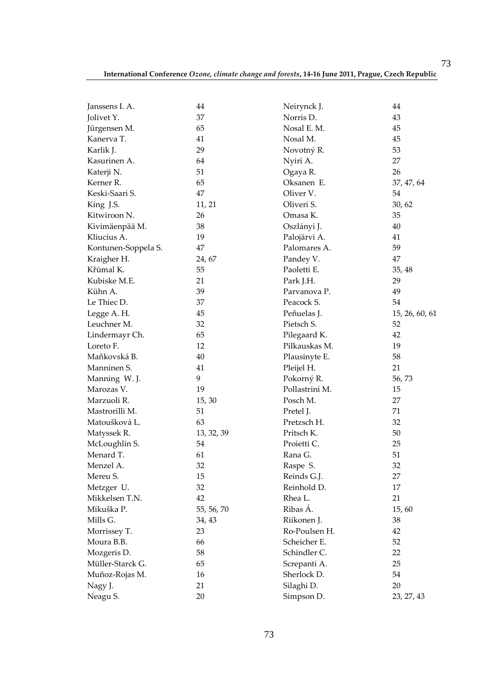73

|                              | 44         |                          | 44             |
|------------------------------|------------|--------------------------|----------------|
| Janssens I. A.<br>Jolivet Y. | 37         | Neirynck J.<br>Norris D. | 43             |
|                              |            | Nosal E. M.              | 45             |
| Jürgensen M.                 | 65         | Nosal M.                 | 45             |
| Kanerva T.                   | 41         |                          |                |
| Karlik J.                    | 29         | Novotný R.               | 53             |
| Kasurinen A.                 | 64         | Nyiri A.                 | 27             |
| Katerji N.                   | 51         | Ogaya R.                 | 26             |
| Kerner R.                    | 65         | Oksanen E.               | 37, 47, 64     |
| Keski-Saari S.               | 47         | Oliver V.                | 54             |
| King J.S.                    | 11, 21     | Oliveri S.               | 30, 62         |
| Kitwiroon N.                 | 26         | Omasa K.                 | 35             |
| Kivimäenpää M.               | 38         | Oszlányi J.              | 40             |
| Kliucius A.                  | 19         | Palojärvi A.             | 41             |
| Kontunen-Soppela S.          | 47         | Palomares A.             | 59             |
| Kraigher H.                  | 24, 67     | Pandey V.                | 47             |
| Křůmal K.                    | 55         | Paoletti E.              | 35, 48         |
| Kubiske M.E.                 | 21         | Park J.H.                | 29             |
| Kühn A.                      | 39         | Parvanova P.             | 49             |
| Le Thiec D.                  | 37         | Peacock S.               | 54             |
| Legge A. H.                  | 45         | Peñuelas J.              | 15, 26, 60, 61 |
| Leuchner M.                  | 32         | Pietsch S.               | 52             |
| Lindermayr Ch.               | 65         | Pilegaard K.             | 42             |
| Loreto F.                    | 12         | Pilkauskas M.            | 19             |
| Maňkovská B.                 | 40         | Plausinyte E.            | 58             |
| Manninen S.                  | 41         | Pleijel H.               | 21             |
| Manning W.J.                 | 9          | Pokorný R.               | 56,73          |
| Marozas V.                   | 19         | Pollastrini M.           | 15             |
| Marzuoli R.                  | 15, 30     | Posch M.                 | 27             |
| Mastrorilli M.               | 51         | Pretel J.                | 71             |
| Matoušková L.                | 63         | Pretzsch H.              | 32             |
| Matyssek R.                  | 13, 32, 39 | Pritsch K.               | 50             |
| McLoughlin S.                | 54         | Proietti C.              | 25             |
| Menard T.                    | 61         | Rana G.                  | 51             |
| Menzel A.                    | 32         | Raspe S.                 | 32             |
| Mereu S.                     | 15         | Reinds G.J.              | 27             |
| Metzger U.                   | 32         | Reinhold D.              | 17             |
| Mikkelsen T.N.               | 42         | Rhea L.                  | 21             |
| Mikuška P.                   | 55, 56, 70 | Ribas Á.                 | 15,60          |
| Mills G.                     | 34, 43     | Riikonen J.              | 38             |
| Morrissey T.                 | 23         | Ro-Poulsen H.            | 42             |
| Moura B.B.                   | 66         | Scheicher E.             | 52             |
| Mozgeris D.                  | 58         | Schindler C.             | 22             |
| Müller-Starck G.             | 65         | Screpanti A.             | 25             |
| Muñoz-Rojas M.               | 16         | Sherlock D.              | 54             |
|                              | 21         | Silaghi D.               | 20             |
| Nagy J.                      |            |                          |                |
| Neagu S.                     | 20         | Simpson D.               | 23, 27, 43     |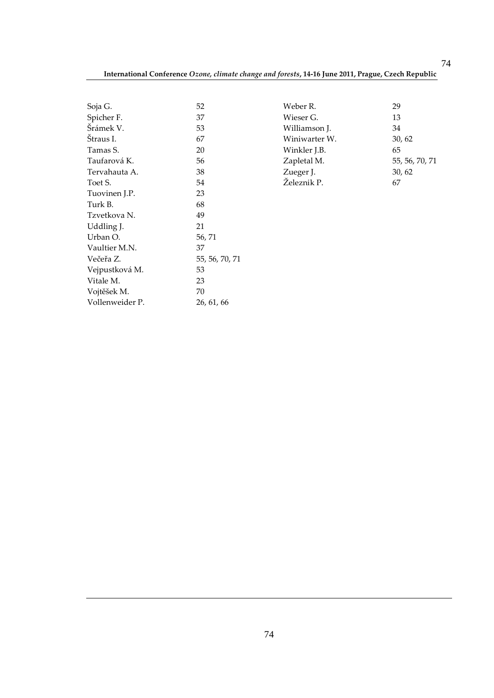| Soja G.         | 52             |
|-----------------|----------------|
| Spicher F.      | 37             |
| Šrámek V.       | 53             |
| Štraus I.       | 67             |
| Tamas S.        | 20             |
| Taufarová K.    | 56             |
| Tervahauta A.   | 38             |
| Toet S.         | 54             |
| Tuovinen J.P.   | 23             |
| Turk B.         | 68             |
| Tzvetkova N.    | 49             |
| Uddling J.      | 21             |
| Urban O.        | 56, 71         |
| Vaultier M.N.   | 37             |
| Večeřa Z.       | 55, 56, 70, 71 |
| Vejpustková M.  | 53             |
| Vitale M.       | 23             |
| Vojtěšek M.     | 70             |
| Vollenweider P. | 26, 61, 66     |

| Weber R.      | 29             |
|---------------|----------------|
| Wieser G.     | 13             |
| Williamson J. | 34             |
| Winiwarter W. | 30, 62         |
| Winkler J.B.  | 65             |
| Zapletal M.   | 55, 56, 70, 71 |
| Zueger J.     | 30, 62         |
| Železnik P.   |                |

74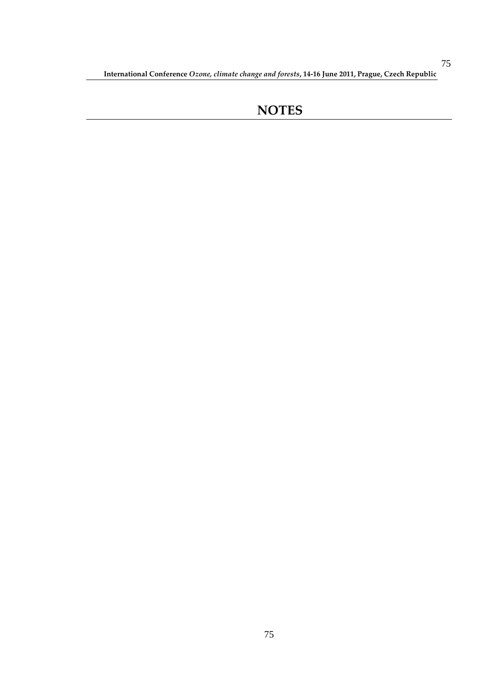## **NOTES**